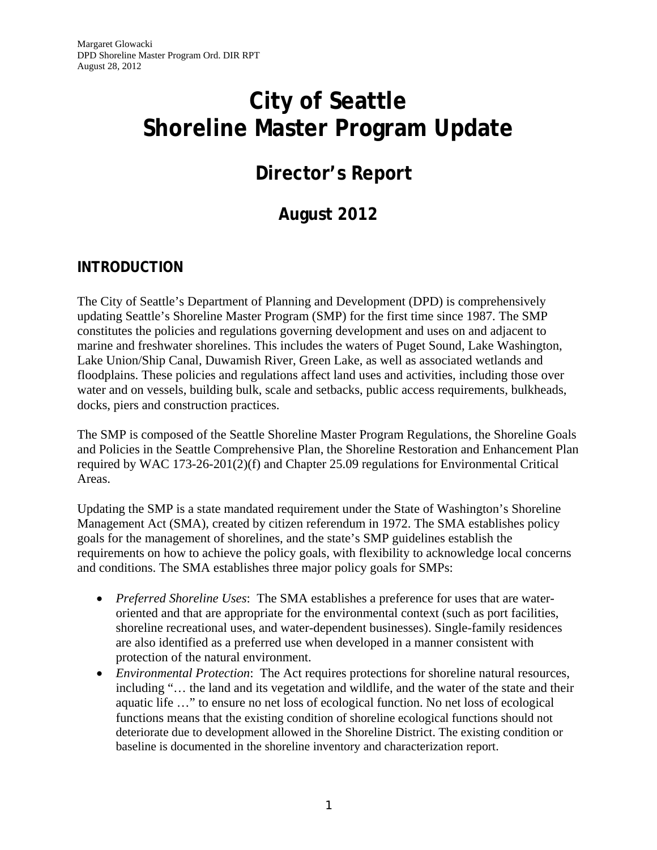# **City of Seattle Shoreline Master Program Update**

# **Director's Report**

# **August 2012**

# **INTRODUCTION**

The City of Seattle's Department of Planning and Development (DPD) is comprehensively updating Seattle's Shoreline Master Program (SMP) for the first time since 1987. The SMP constitutes the policies and regulations governing development and uses on and adjacent to marine and freshwater shorelines. This includes the waters of Puget Sound, Lake Washington, Lake Union/Ship Canal, Duwamish River, Green Lake, as well as associated wetlands and floodplains. These policies and regulations affect land uses and activities, including those over water and on vessels, building bulk, scale and setbacks, public access requirements, bulkheads, docks, piers and construction practices.

The SMP is composed of the Seattle Shoreline Master Program Regulations, the Shoreline Goals and Policies in the Seattle Comprehensive Plan, the Shoreline Restoration and Enhancement Plan required by WAC 173-26-201(2)(f) and Chapter 25.09 regulations for Environmental Critical Areas.

Updating the SMP is a state mandated requirement under the State of Washington's Shoreline Management Act (SMA), created by citizen referendum in 1972. The SMA establishes policy goals for the management of shorelines, and the state's SMP guidelines establish the requirements on how to achieve the policy goals, with flexibility to acknowledge local concerns and conditions. The SMA establishes three major policy goals for SMPs:

- *Preferred Shoreline Uses*: The SMA establishes a preference for uses that are wateroriented and that are appropriate for the environmental context (such as port facilities, shoreline recreational uses, and water-dependent businesses). Single-family residences are also identified as a preferred use when developed in a manner consistent with protection of the natural environment.
- *Environmental Protection*: The Act requires protections for shoreline natural resources, including "… the land and its vegetation and wildlife, and the water of the state and their aquatic life …" to ensure no net loss of ecological function. No net loss of ecological functions means that the existing condition of shoreline ecological functions should not deteriorate due to development allowed in the Shoreline District. The existing condition or baseline is documented in the shoreline inventory and characterization report.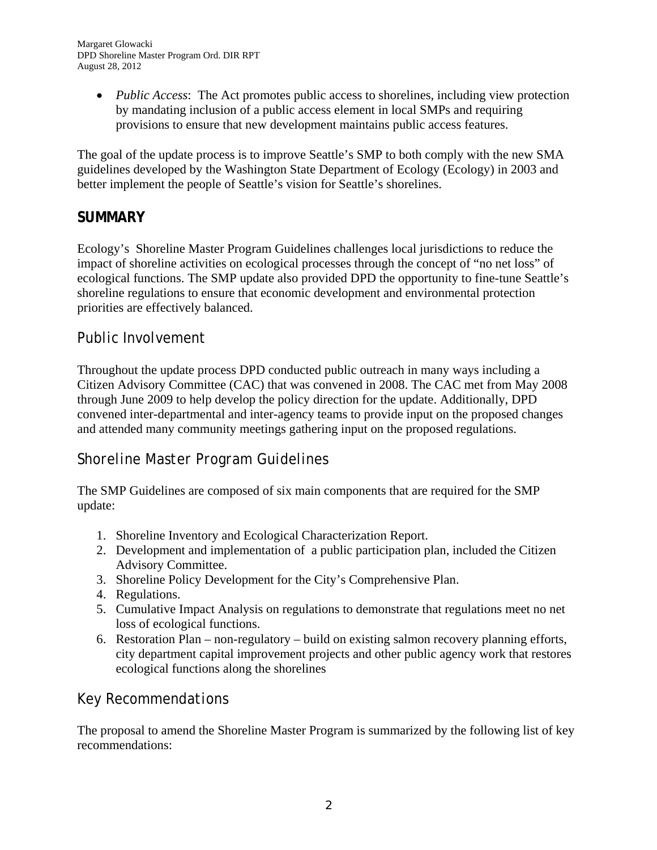*Public Access*: The Act promotes public access to shorelines, including view protection by mandating inclusion of a public access element in local SMPs and requiring provisions to ensure that new development maintains public access features.

The goal of the update process is to improve Seattle's SMP to both comply with the new SMA guidelines developed by the Washington State Department of Ecology (Ecology) in 2003 and better implement the people of Seattle's vision for Seattle's shorelines.

# **SUMMARY**

Ecology's Shoreline Master Program Guidelines challenges local jurisdictions to reduce the impact of shoreline activities on ecological processes through the concept of "no net loss" of ecological functions. The SMP update also provided DPD the opportunity to fine-tune Seattle's shoreline regulations to ensure that economic development and environmental protection priorities are effectively balanced.

# *Public Involvement*

Throughout the update process DPD conducted public outreach in many ways including a Citizen Advisory Committee (CAC) that was convened in 2008. The CAC met from May 2008 through June 2009 to help develop the policy direction for the update. Additionally, DPD convened inter-departmental and inter-agency teams to provide input on the proposed changes and attended many community meetings gathering input on the proposed regulations.

# *Shoreline Master Program Guidelines*

The SMP Guidelines are composed of six main components that are required for the SMP update:

- 1. Shoreline Inventory and Ecological Characterization Report.
- 2. Development and implementation of a public participation plan, included the Citizen Advisory Committee.
- 3. Shoreline Policy Development for the City's Comprehensive Plan.
- 4. Regulations.
- 5. Cumulative Impact Analysis on regulations to demonstrate that regulations meet no net loss of ecological functions.
- 6. Restoration Plan non-regulatory build on existing salmon recovery planning efforts, city department capital improvement projects and other public agency work that restores ecological functions along the shorelines

# *Key Recommendations*

The proposal to amend the Shoreline Master Program is summarized by the following list of key recommendations: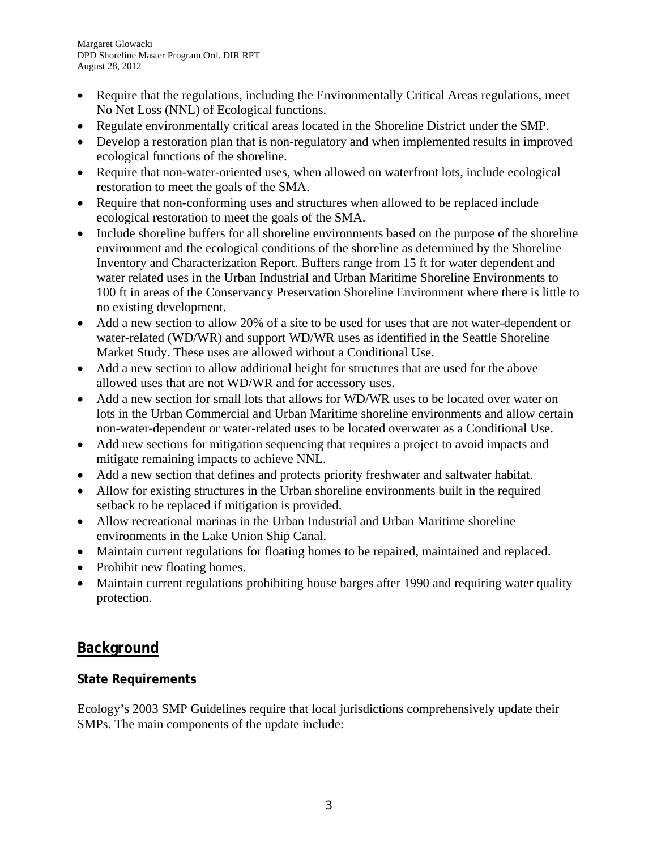- Require that the regulations, including the Environmentally Critical Areas regulations, meet No Net Loss (NNL) of Ecological functions.
- Regulate environmentally critical areas located in the Shoreline District under the SMP.
- Develop a restoration plan that is non-regulatory and when implemented results in improved ecological functions of the shoreline.
- Require that non-water-oriented uses, when allowed on waterfront lots, include ecological restoration to meet the goals of the SMA.
- Require that non-conforming uses and structures when allowed to be replaced include ecological restoration to meet the goals of the SMA.
- Include shoreline buffers for all shoreline environments based on the purpose of the shoreline environment and the ecological conditions of the shoreline as determined by the Shoreline Inventory and Characterization Report. Buffers range from 15 ft for water dependent and water related uses in the Urban Industrial and Urban Maritime Shoreline Environments to 100 ft in areas of the Conservancy Preservation Shoreline Environment where there is little to no existing development.
- Add a new section to allow 20% of a site to be used for uses that are not water-dependent or water-related (WD/WR) and support WD/WR uses as identified in the Seattle Shoreline Market Study. These uses are allowed without a Conditional Use.
- Add a new section to allow additional height for structures that are used for the above allowed uses that are not WD/WR and for accessory uses.
- Add a new section for small lots that allows for WD/WR uses to be located over water on lots in the Urban Commercial and Urban Maritime shoreline environments and allow certain non-water-dependent or water-related uses to be located overwater as a Conditional Use.
- Add new sections for mitigation sequencing that requires a project to avoid impacts and mitigate remaining impacts to achieve NNL.
- Add a new section that defines and protects priority freshwater and saltwater habitat.
- Allow for existing structures in the Urban shoreline environments built in the required setback to be replaced if mitigation is provided.
- Allow recreational marinas in the Urban Industrial and Urban Maritime shoreline environments in the Lake Union Ship Canal.
- Maintain current regulations for floating homes to be repaired, maintained and replaced.
- Prohibit new floating homes.
- Maintain current regulations prohibiting house barges after 1990 and requiring water quality protection.

# **Background**

# **State Requirements**

Ecology's 2003 SMP Guidelines require that local jurisdictions comprehensively update their SMPs. The main components of the update include: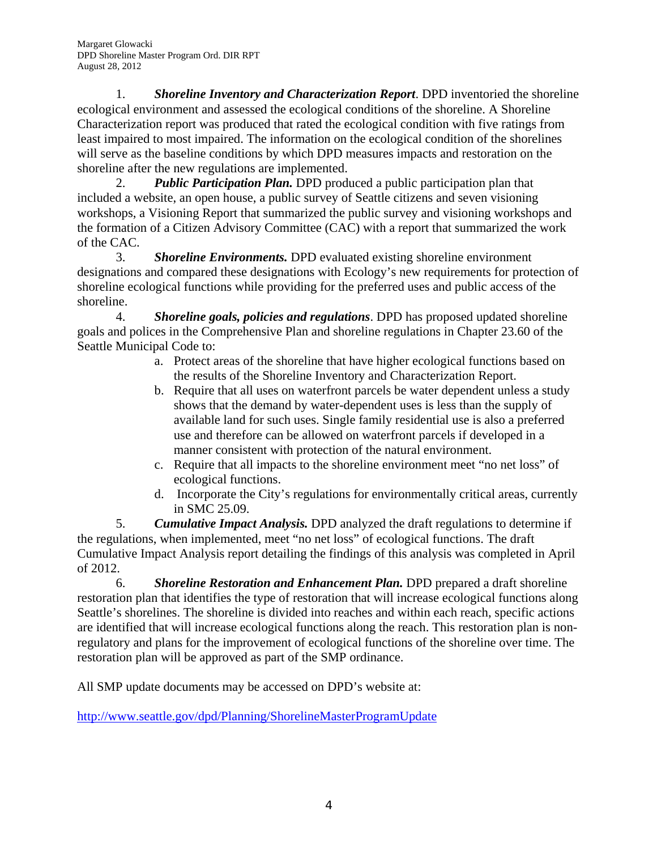1. *Shoreline Inventory and Characterization Report*. DPD inventoried the shoreline ecological environment and assessed the ecological conditions of the shoreline. A Shoreline Characterization report was produced that rated the ecological condition with five ratings from least impaired to most impaired. The information on the ecological condition of the shorelines will serve as the baseline conditions by which DPD measures impacts and restoration on the shoreline after the new regulations are implemented.

2. *Public Participation Plan.* DPD produced a public participation plan that included a website, an open house, a public survey of Seattle citizens and seven visioning workshops, a Visioning Report that summarized the public survey and visioning workshops and the formation of a Citizen Advisory Committee (CAC) with a report that summarized the work of the CAC.

3. *Shoreline Environments.* DPD evaluated existing shoreline environment designations and compared these designations with Ecology's new requirements for protection of shoreline ecological functions while providing for the preferred uses and public access of the shoreline.

4. *Shoreline goals, policies and regulations*. DPD has proposed updated shoreline goals and polices in the Comprehensive Plan and shoreline regulations in Chapter 23.60 of the Seattle Municipal Code to:

- a. Protect areas of the shoreline that have higher ecological functions based on the results of the Shoreline Inventory and Characterization Report.
- b. Require that all uses on waterfront parcels be water dependent unless a study shows that the demand by water-dependent uses is less than the supply of available land for such uses. Single family residential use is also a preferred use and therefore can be allowed on waterfront parcels if developed in a manner consistent with protection of the natural environment.
- c. Require that all impacts to the shoreline environment meet "no net loss" of ecological functions.
- d. Incorporate the City's regulations for environmentally critical areas, currently in SMC 25.09.

5. *Cumulative Impact Analysis.* DPD analyzed the draft regulations to determine if the regulations, when implemented, meet "no net loss" of ecological functions. The draft Cumulative Impact Analysis report detailing the findings of this analysis was completed in April of 2012.

6. *Shoreline Restoration and Enhancement Plan.* DPD prepared a draft shoreline restoration plan that identifies the type of restoration that will increase ecological functions along Seattle's shorelines. The shoreline is divided into reaches and within each reach, specific actions are identified that will increase ecological functions along the reach. This restoration plan is nonregulatory and plans for the improvement of ecological functions of the shoreline over time. The restoration plan will be approved as part of the SMP ordinance.

All SMP update documents may be accessed on DPD's website at:

http://www.seattle.gov/dpd/Planning/ShorelineMasterProgramUpdate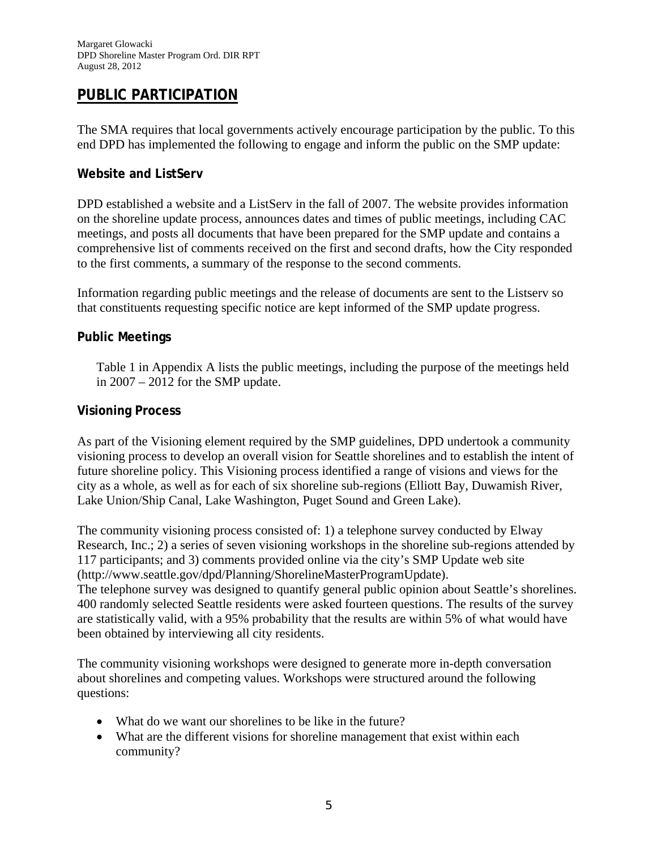# **PUBLIC PARTICIPATION**

The SMA requires that local governments actively encourage participation by the public. To this end DPD has implemented the following to engage and inform the public on the SMP update:

#### **Website and ListServ**

DPD established a website and a ListServ in the fall of 2007. The website provides information on the shoreline update process, announces dates and times of public meetings, including CAC meetings, and posts all documents that have been prepared for the SMP update and contains a comprehensive list of comments received on the first and second drafts, how the City responded to the first comments, a summary of the response to the second comments.

Information regarding public meetings and the release of documents are sent to the Listserv so that constituents requesting specific notice are kept informed of the SMP update progress.

#### **Public Meetings**

Table 1 in Appendix A lists the public meetings, including the purpose of the meetings held in 2007 – 2012 for the SMP update.

#### **Visioning Process**

As part of the Visioning element required by the SMP guidelines, DPD undertook a community visioning process to develop an overall vision for Seattle shorelines and to establish the intent of future shoreline policy. This Visioning process identified a range of visions and views for the city as a whole, as well as for each of six shoreline sub-regions (Elliott Bay, Duwamish River, Lake Union/Ship Canal, Lake Washington, Puget Sound and Green Lake).

The community visioning process consisted of: 1) a telephone survey conducted by Elway Research, Inc.; 2) a series of seven visioning workshops in the shoreline sub-regions attended by 117 participants; and 3) comments provided online via the city's SMP Update web site (http://www.seattle.gov/dpd/Planning/ShorelineMasterProgramUpdate).

The telephone survey was designed to quantify general public opinion about Seattle's shorelines. 400 randomly selected Seattle residents were asked fourteen questions. The results of the survey are statistically valid, with a 95% probability that the results are within 5% of what would have been obtained by interviewing all city residents.

The community visioning workshops were designed to generate more in-depth conversation about shorelines and competing values. Workshops were structured around the following questions:

- What do we want our shorelines to be like in the future?
- What are the different visions for shoreline management that exist within each community?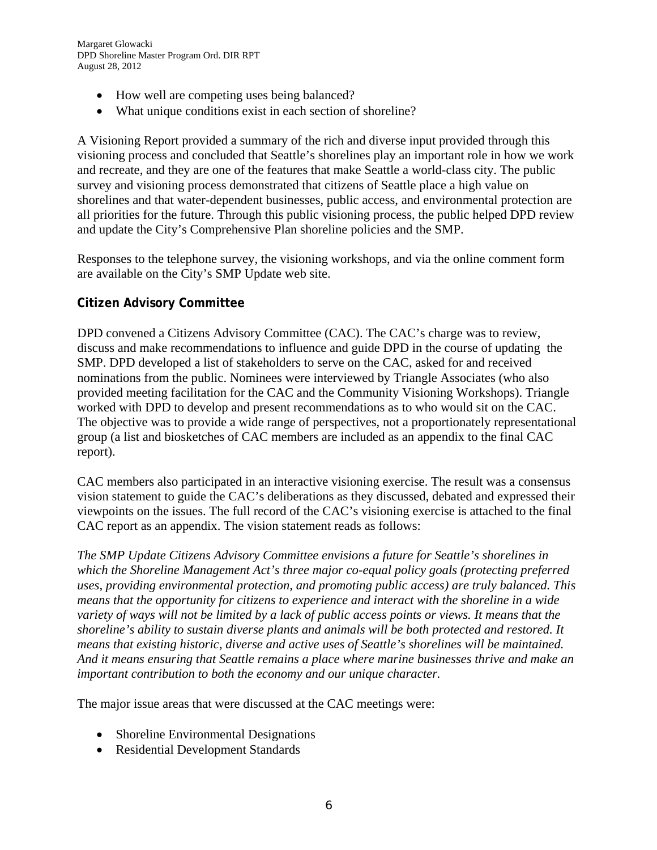- How well are competing uses being balanced?
- What unique conditions exist in each section of shoreline?

A Visioning Report provided a summary of the rich and diverse input provided through this visioning process and concluded that Seattle's shorelines play an important role in how we work and recreate, and they are one of the features that make Seattle a world-class city. The public survey and visioning process demonstrated that citizens of Seattle place a high value on shorelines and that water-dependent businesses, public access, and environmental protection are all priorities for the future. Through this public visioning process, the public helped DPD review and update the City's Comprehensive Plan shoreline policies and the SMP.

Responses to the telephone survey, the visioning workshops, and via the online comment form are available on the City's SMP Update web site.

#### **Citizen Advisory Committee**

DPD convened a Citizens Advisory Committee (CAC). The CAC's charge was to review, discuss and make recommendations to influence and guide DPD in the course of updating the SMP. DPD developed a list of stakeholders to serve on the CAC, asked for and received nominations from the public. Nominees were interviewed by Triangle Associates (who also provided meeting facilitation for the CAC and the Community Visioning Workshops). Triangle worked with DPD to develop and present recommendations as to who would sit on the CAC. The objective was to provide a wide range of perspectives, not a proportionately representational group (a list and biosketches of CAC members are included as an appendix to the final CAC report).

CAC members also participated in an interactive visioning exercise. The result was a consensus vision statement to guide the CAC's deliberations as they discussed, debated and expressed their viewpoints on the issues. The full record of the CAC's visioning exercise is attached to the final CAC report as an appendix. The vision statement reads as follows:

*The SMP Update Citizens Advisory Committee envisions a future for Seattle's shorelines in which the Shoreline Management Act's three major co-equal policy goals (protecting preferred uses, providing environmental protection, and promoting public access) are truly balanced. This means that the opportunity for citizens to experience and interact with the shoreline in a wide variety of ways will not be limited by a lack of public access points or views. It means that the shoreline's ability to sustain diverse plants and animals will be both protected and restored. It means that existing historic, diverse and active uses of Seattle's shorelines will be maintained. And it means ensuring that Seattle remains a place where marine businesses thrive and make an important contribution to both the economy and our unique character.* 

The major issue areas that were discussed at the CAC meetings were:

- Shoreline Environmental Designations
- Residential Development Standards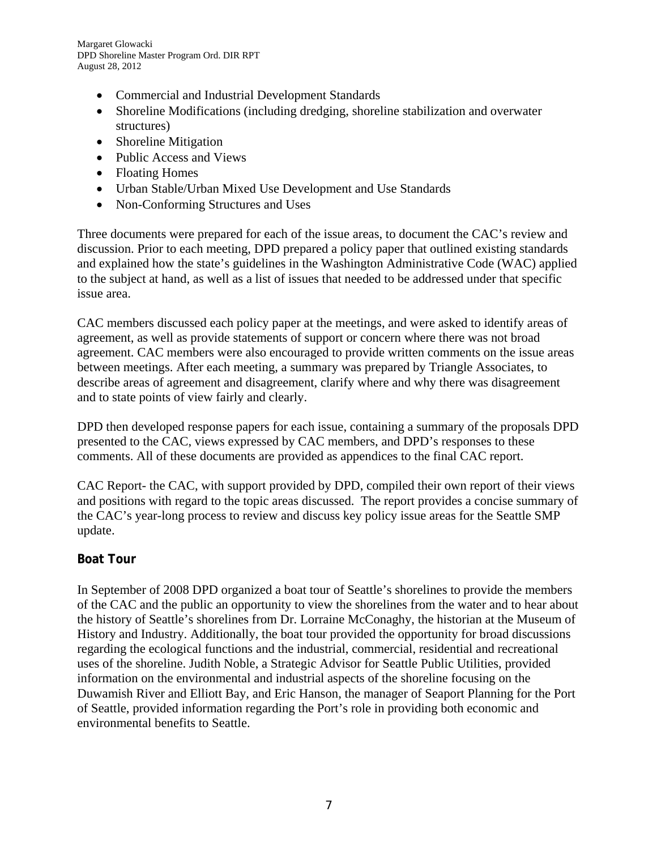Margaret Glowacki DPD Shoreline Master Program Ord. DIR RPT August 28, 2012

- Commercial and Industrial Development Standards
- Shoreline Modifications (including dredging, shoreline stabilization and overwater structures)
- Shoreline Mitigation
- Public Access and Views
- Floating Homes
- Urban Stable/Urban Mixed Use Development and Use Standards
- Non-Conforming Structures and Uses

Three documents were prepared for each of the issue areas, to document the CAC's review and discussion. Prior to each meeting, DPD prepared a policy paper that outlined existing standards and explained how the state's guidelines in the Washington Administrative Code (WAC) applied to the subject at hand, as well as a list of issues that needed to be addressed under that specific issue area.

CAC members discussed each policy paper at the meetings, and were asked to identify areas of agreement, as well as provide statements of support or concern where there was not broad agreement. CAC members were also encouraged to provide written comments on the issue areas between meetings. After each meeting, a summary was prepared by Triangle Associates, to describe areas of agreement and disagreement, clarify where and why there was disagreement and to state points of view fairly and clearly.

DPD then developed response papers for each issue, containing a summary of the proposals DPD presented to the CAC, views expressed by CAC members, and DPD's responses to these comments. All of these documents are provided as appendices to the final CAC report.

CAC Report- the CAC, with support provided by DPD, compiled their own report of their views and positions with regard to the topic areas discussed. The report provides a concise summary of the CAC's year-long process to review and discuss key policy issue areas for the Seattle SMP update.

#### **Boat Tour**

In September of 2008 DPD organized a boat tour of Seattle's shorelines to provide the members of the CAC and the public an opportunity to view the shorelines from the water and to hear about the history of Seattle's shorelines from Dr. Lorraine McConaghy, the historian at the Museum of History and Industry. Additionally, the boat tour provided the opportunity for broad discussions regarding the ecological functions and the industrial, commercial, residential and recreational uses of the shoreline. Judith Noble, a Strategic Advisor for Seattle Public Utilities, provided information on the environmental and industrial aspects of the shoreline focusing on the Duwamish River and Elliott Bay, and Eric Hanson, the manager of Seaport Planning for the Port of Seattle, provided information regarding the Port's role in providing both economic and environmental benefits to Seattle.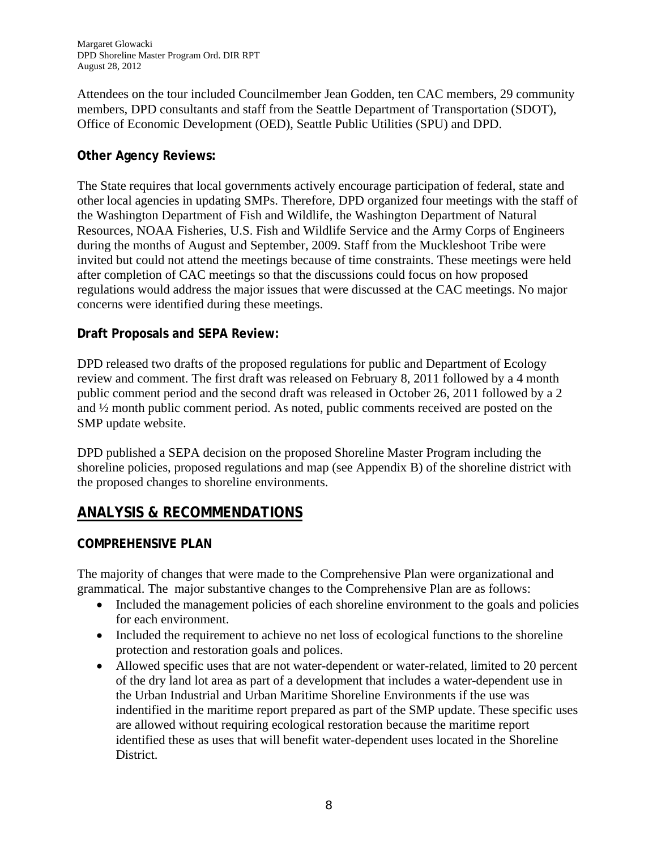Attendees on the tour included Councilmember Jean Godden, ten CAC members, 29 community members, DPD consultants and staff from the Seattle Department of Transportation (SDOT), Office of Economic Development (OED), Seattle Public Utilities (SPU) and DPD.

### **Other Agency Reviews:**

The State requires that local governments actively encourage participation of federal, state and other local agencies in updating SMPs. Therefore, DPD organized four meetings with the staff of the Washington Department of Fish and Wildlife, the Washington Department of Natural Resources, NOAA Fisheries, U.S. Fish and Wildlife Service and the Army Corps of Engineers during the months of August and September, 2009. Staff from the Muckleshoot Tribe were invited but could not attend the meetings because of time constraints. These meetings were held after completion of CAC meetings so that the discussions could focus on how proposed regulations would address the major issues that were discussed at the CAC meetings. No major concerns were identified during these meetings.

### **Draft Proposals and SEPA Review:**

DPD released two drafts of the proposed regulations for public and Department of Ecology review and comment. The first draft was released on February 8, 2011 followed by a 4 month public comment period and the second draft was released in October 26, 2011 followed by a 2 and ½ month public comment period. As noted, public comments received are posted on the SMP update website.

DPD published a SEPA decision on the proposed Shoreline Master Program including the shoreline policies, proposed regulations and map (see Appendix B) of the shoreline district with the proposed changes to shoreline environments.

# **ANALYSIS & RECOMMENDATIONS**

#### **COMPREHENSIVE PLAN**

The majority of changes that were made to the Comprehensive Plan were organizational and grammatical. The major substantive changes to the Comprehensive Plan are as follows:

- Included the management policies of each shoreline environment to the goals and policies for each environment.
- Included the requirement to achieve no net loss of ecological functions to the shoreline protection and restoration goals and polices.
- Allowed specific uses that are not water-dependent or water-related, limited to 20 percent of the dry land lot area as part of a development that includes a water-dependent use in the Urban Industrial and Urban Maritime Shoreline Environments if the use was indentified in the maritime report prepared as part of the SMP update. These specific uses are allowed without requiring ecological restoration because the maritime report identified these as uses that will benefit water-dependent uses located in the Shoreline District.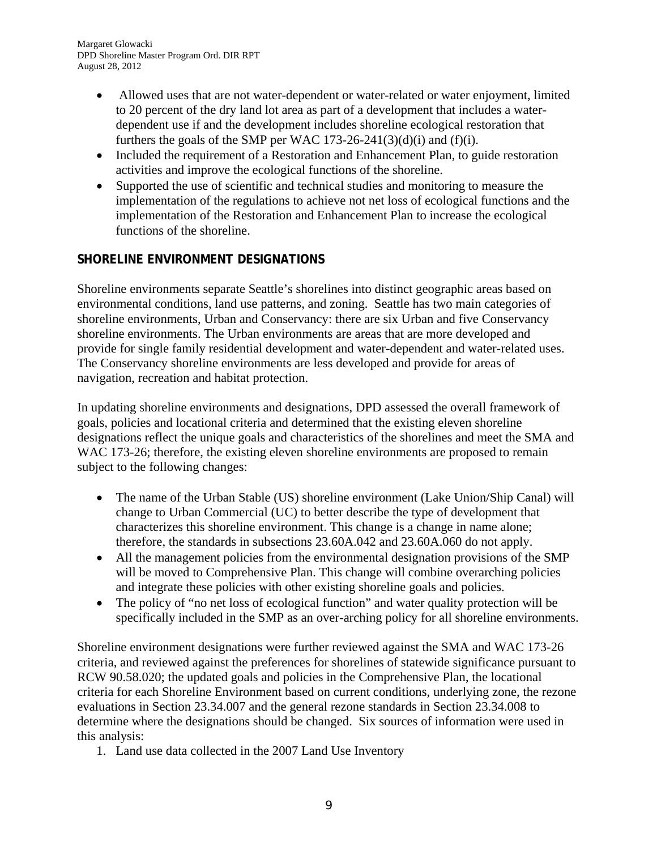Margaret Glowacki DPD Shoreline Master Program Ord. DIR RPT August 28, 2012

- Allowed uses that are not water-dependent or water-related or water enjoyment, limited to 20 percent of the dry land lot area as part of a development that includes a waterdependent use if and the development includes shoreline ecological restoration that furthers the goals of the SMP per WAC 173-26-241(3)(d)(i) and (f)(i).
- Included the requirement of a Restoration and Enhancement Plan, to guide restoration activities and improve the ecological functions of the shoreline.
- Supported the use of scientific and technical studies and monitoring to measure the implementation of the regulations to achieve not net loss of ecological functions and the implementation of the Restoration and Enhancement Plan to increase the ecological functions of the shoreline.

# **SHORELINE ENVIRONMENT DESIGNATIONS**

Shoreline environments separate Seattle's shorelines into distinct geographic areas based on environmental conditions, land use patterns, and zoning. Seattle has two main categories of shoreline environments, Urban and Conservancy: there are six Urban and five Conservancy shoreline environments. The Urban environments are areas that are more developed and provide for single family residential development and water-dependent and water-related uses. The Conservancy shoreline environments are less developed and provide for areas of navigation, recreation and habitat protection.

In updating shoreline environments and designations, DPD assessed the overall framework of goals, policies and locational criteria and determined that the existing eleven shoreline designations reflect the unique goals and characteristics of the shorelines and meet the SMA and WAC 173-26; therefore, the existing eleven shoreline environments are proposed to remain subject to the following changes:

- The name of the Urban Stable (US) shoreline environment (Lake Union/Ship Canal) will change to Urban Commercial (UC) to better describe the type of development that characterizes this shoreline environment. This change is a change in name alone; therefore, the standards in subsections 23.60A.042 and 23.60A.060 do not apply.
- All the management policies from the environmental designation provisions of the SMP will be moved to Comprehensive Plan. This change will combine overarching policies and integrate these policies with other existing shoreline goals and policies.
- The policy of "no net loss of ecological function" and water quality protection will be specifically included in the SMP as an over-arching policy for all shoreline environments.

Shoreline environment designations were further reviewed against the SMA and WAC 173-26 criteria, and reviewed against the preferences for shorelines of statewide significance pursuant to RCW 90.58.020; the updated goals and policies in the Comprehensive Plan, the locational criteria for each Shoreline Environment based on current conditions, underlying zone, the rezone evaluations in Section 23.34.007 and the general rezone standards in Section 23.34.008 to determine where the designations should be changed. Six sources of information were used in this analysis:

1. Land use data collected in the 2007 Land Use Inventory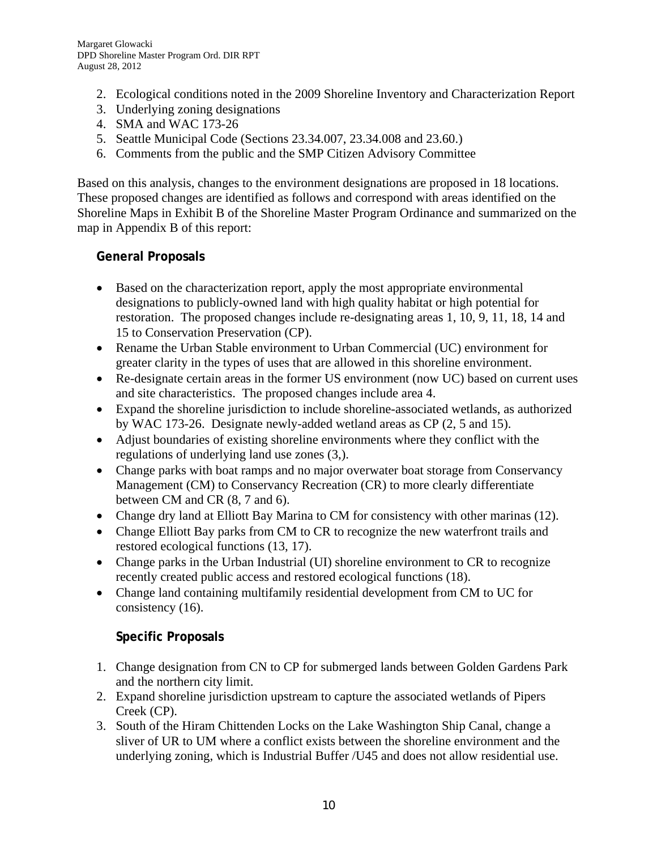- 2. Ecological conditions noted in the 2009 Shoreline Inventory and Characterization Report
- 3. Underlying zoning designations
- 4. SMA and WAC 173-26
- 5. Seattle Municipal Code (Sections 23.34.007, 23.34.008 and 23.60.)
- 6. Comments from the public and the SMP Citizen Advisory Committee

Based on this analysis, changes to the environment designations are proposed in 18 locations. These proposed changes are identified as follows and correspond with areas identified on the Shoreline Maps in Exhibit B of the Shoreline Master Program Ordinance and summarized on the map in Appendix B of this report:

### **General Proposals**

- Based on the characterization report, apply the most appropriate environmental designations to publicly-owned land with high quality habitat or high potential for restoration. The proposed changes include re-designating areas 1, 10, 9, 11, 18, 14 and 15 to Conservation Preservation (CP).
- Rename the Urban Stable environment to Urban Commercial (UC) environment for greater clarity in the types of uses that are allowed in this shoreline environment.
- Re-designate certain areas in the former US environment (now UC) based on current uses and site characteristics. The proposed changes include area 4.
- Expand the shoreline jurisdiction to include shoreline-associated wetlands, as authorized by WAC 173-26. Designate newly-added wetland areas as CP (2, 5 and 15).
- Adjust boundaries of existing shoreline environments where they conflict with the regulations of underlying land use zones (3,).
- Change parks with boat ramps and no major overwater boat storage from Conservancy Management (CM) to Conservancy Recreation (CR) to more clearly differentiate between CM and CR (8, 7 and 6).
- Change dry land at Elliott Bay Marina to CM for consistency with other marinas (12).
- Change Elliott Bay parks from CM to CR to recognize the new waterfront trails and restored ecological functions (13, 17).
- Change parks in the Urban Industrial (UI) shoreline environment to CR to recognize recently created public access and restored ecological functions (18).
- Change land containing multifamily residential development from CM to UC for consistency (16).

# **Specific Proposals**

- 1. Change designation from CN to CP for submerged lands between Golden Gardens Park and the northern city limit.
- 2. Expand shoreline jurisdiction upstream to capture the associated wetlands of Pipers Creek (CP).
- 3. South of the Hiram Chittenden Locks on the Lake Washington Ship Canal, change a sliver of UR to UM where a conflict exists between the shoreline environment and the underlying zoning, which is Industrial Buffer /U45 and does not allow residential use.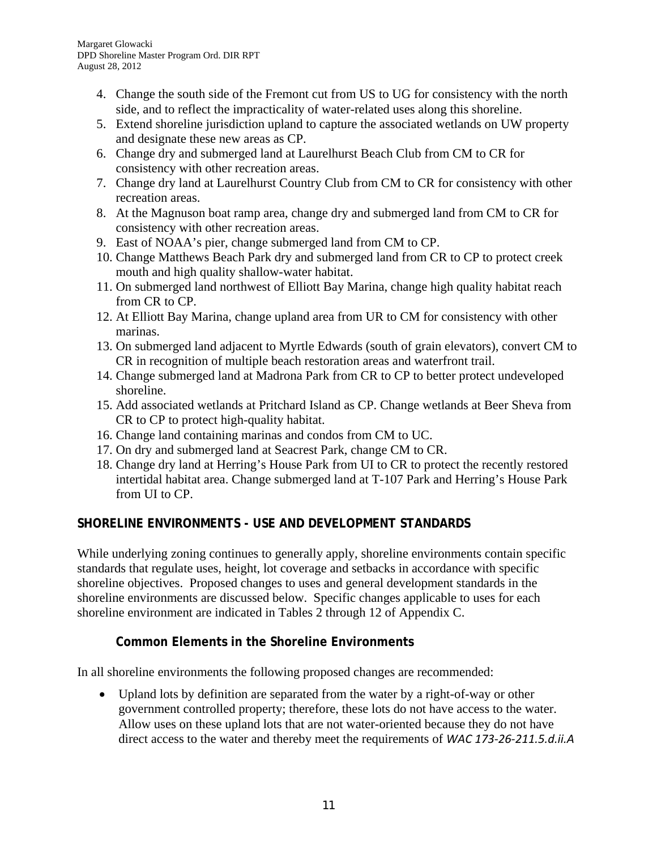- 4. Change the south side of the Fremont cut from US to UG for consistency with the north side, and to reflect the impracticality of water-related uses along this shoreline.
- 5. Extend shoreline jurisdiction upland to capture the associated wetlands on UW property and designate these new areas as CP.
- 6. Change dry and submerged land at Laurelhurst Beach Club from CM to CR for consistency with other recreation areas.
- 7. Change dry land at Laurelhurst Country Club from CM to CR for consistency with other recreation areas.
- 8. At the Magnuson boat ramp area, change dry and submerged land from CM to CR for consistency with other recreation areas.
- 9. East of NOAA's pier, change submerged land from CM to CP.
- 10. Change Matthews Beach Park dry and submerged land from CR to CP to protect creek mouth and high quality shallow-water habitat.
- 11. On submerged land northwest of Elliott Bay Marina, change high quality habitat reach from CR to CP.
- 12. At Elliott Bay Marina, change upland area from UR to CM for consistency with other marinas.
- 13. On submerged land adjacent to Myrtle Edwards (south of grain elevators), convert CM to CR in recognition of multiple beach restoration areas and waterfront trail.
- 14. Change submerged land at Madrona Park from CR to CP to better protect undeveloped shoreline.
- 15. Add associated wetlands at Pritchard Island as CP. Change wetlands at Beer Sheva from CR to CP to protect high-quality habitat.
- 16. Change land containing marinas and condos from CM to UC.
- 17. On dry and submerged land at Seacrest Park, change CM to CR.
- 18. Change dry land at Herring's House Park from UI to CR to protect the recently restored intertidal habitat area. Change submerged land at T-107 Park and Herring's House Park from UI to CP.

# **SHORELINE ENVIRONMENTS - USE AND DEVELOPMENT STANDARDS**

While underlying zoning continues to generally apply, shoreline environments contain specific standards that regulate uses, height, lot coverage and setbacks in accordance with specific shoreline objectives. Proposed changes to uses and general development standards in the shoreline environments are discussed below. Specific changes applicable to uses for each shoreline environment are indicated in Tables 2 through 12 of Appendix C.

# **Common Elements in the Shoreline Environments**

In all shoreline environments the following proposed changes are recommended:

 Upland lots by definition are separated from the water by a right-of-way or other government controlled property; therefore, these lots do not have access to the water. Allow uses on these upland lots that are not water-oriented because they do not have direct access to the water and thereby meet the requirements of *WAC 173‐26‐211.5.d.ii.A*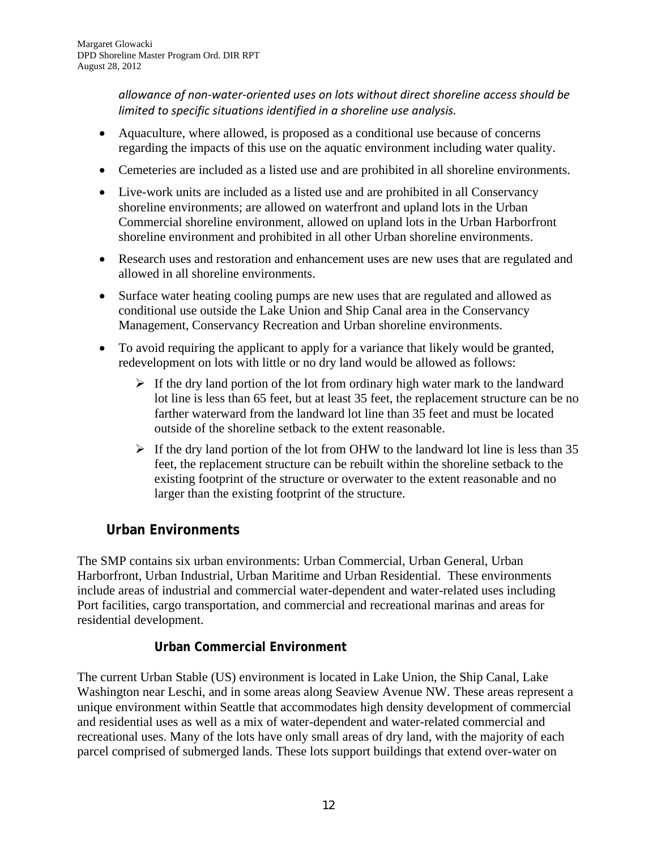*allowance of non‐water‐oriented uses on lots without direct shoreline access should be limited to specific situations identified in a shoreline use analysis.*

- Aquaculture, where allowed, is proposed as a conditional use because of concerns regarding the impacts of this use on the aquatic environment including water quality.
- Cemeteries are included as a listed use and are prohibited in all shoreline environments.
- Live-work units are included as a listed use and are prohibited in all Conservancy shoreline environments; are allowed on waterfront and upland lots in the Urban Commercial shoreline environment, allowed on upland lots in the Urban Harborfront shoreline environment and prohibited in all other Urban shoreline environments.
- Research uses and restoration and enhancement uses are new uses that are regulated and allowed in all shoreline environments.
- Surface water heating cooling pumps are new uses that are regulated and allowed as conditional use outside the Lake Union and Ship Canal area in the Conservancy Management, Conservancy Recreation and Urban shoreline environments.
- To avoid requiring the applicant to apply for a variance that likely would be granted, redevelopment on lots with little or no dry land would be allowed as follows:
	- $\triangleright$  If the dry land portion of the lot from ordinary high water mark to the landward lot line is less than 65 feet, but at least 35 feet, the replacement structure can be no farther waterward from the landward lot line than 35 feet and must be located outside of the shoreline setback to the extent reasonable.
	- $\triangleright$  If the dry land portion of the lot from OHW to the landward lot line is less than 35 feet, the replacement structure can be rebuilt within the shoreline setback to the existing footprint of the structure or overwater to the extent reasonable and no larger than the existing footprint of the structure.

# **Urban Environments**

The SMP contains six urban environments: Urban Commercial, Urban General, Urban Harborfront, Urban Industrial, Urban Maritime and Urban Residential. These environments include areas of industrial and commercial water-dependent and water-related uses including Port facilities, cargo transportation, and commercial and recreational marinas and areas for residential development.

# **Urban Commercial Environment**

The current Urban Stable (US) environment is located in Lake Union, the Ship Canal, Lake Washington near Leschi, and in some areas along Seaview Avenue NW. These areas represent a unique environment within Seattle that accommodates high density development of commercial and residential uses as well as a mix of water-dependent and water-related commercial and recreational uses. Many of the lots have only small areas of dry land, with the majority of each parcel comprised of submerged lands. These lots support buildings that extend over-water on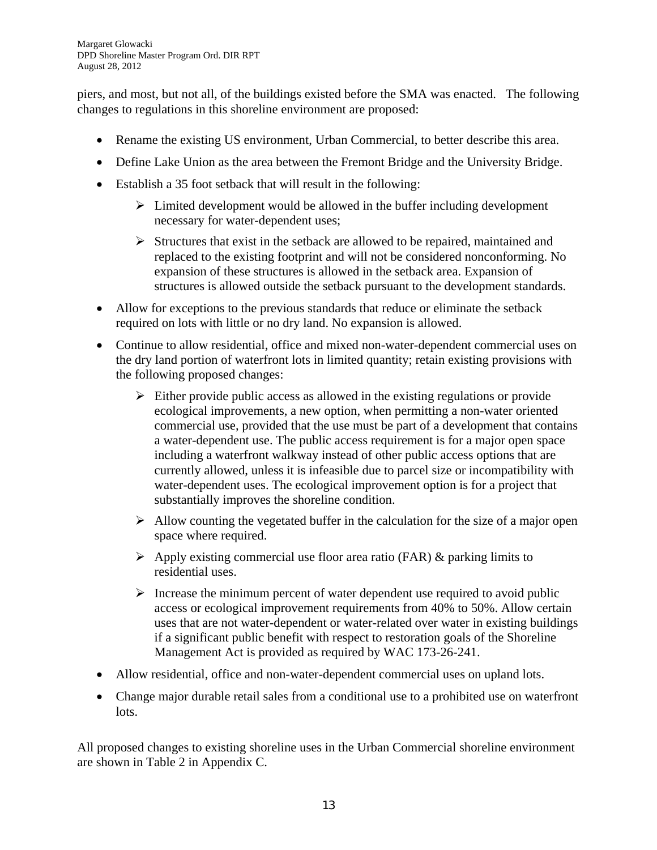piers, and most, but not all, of the buildings existed before the SMA was enacted. The following changes to regulations in this shoreline environment are proposed:

- Rename the existing US environment, Urban Commercial, to better describe this area.
- Define Lake Union as the area between the Fremont Bridge and the University Bridge.
- Establish a 35 foot setback that will result in the following:
	- $\triangleright$  Limited development would be allowed in the buffer including development necessary for water-dependent uses;
	- $\triangleright$  Structures that exist in the setback are allowed to be repaired, maintained and replaced to the existing footprint and will not be considered nonconforming. No expansion of these structures is allowed in the setback area. Expansion of structures is allowed outside the setback pursuant to the development standards.
- Allow for exceptions to the previous standards that reduce or eliminate the setback required on lots with little or no dry land. No expansion is allowed.
- Continue to allow residential, office and mixed non-water-dependent commercial uses on the dry land portion of waterfront lots in limited quantity; retain existing provisions with the following proposed changes:
	- $\triangleright$  Either provide public access as allowed in the existing regulations or provide ecological improvements, a new option, when permitting a non-water oriented commercial use, provided that the use must be part of a development that contains a water-dependent use. The public access requirement is for a major open space including a waterfront walkway instead of other public access options that are currently allowed, unless it is infeasible due to parcel size or incompatibility with water-dependent uses. The ecological improvement option is for a project that substantially improves the shoreline condition.
	- $\triangleright$  Allow counting the vegetated buffer in the calculation for the size of a major open space where required.
	- $\triangleright$  Apply existing commercial use floor area ratio (FAR) & parking limits to residential uses.
	- $\triangleright$  Increase the minimum percent of water dependent use required to avoid public access or ecological improvement requirements from 40% to 50%. Allow certain uses that are not water-dependent or water-related over water in existing buildings if a significant public benefit with respect to restoration goals of the Shoreline Management Act is provided as required by WAC 173-26-241.
- Allow residential, office and non-water-dependent commercial uses on upland lots.
- Change major durable retail sales from a conditional use to a prohibited use on waterfront lots.

All proposed changes to existing shoreline uses in the Urban Commercial shoreline environment are shown in Table 2 in Appendix C.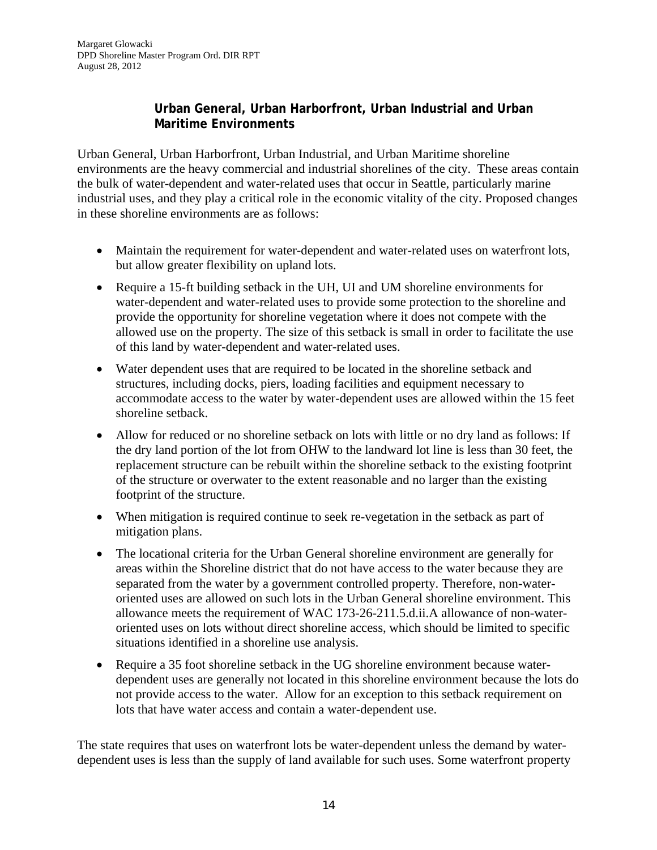### **Urban General, Urban Harborfront, Urban Industrial and Urban Maritime Environments**

Urban General, Urban Harborfront, Urban Industrial, and Urban Maritime shoreline environments are the heavy commercial and industrial shorelines of the city. These areas contain the bulk of water-dependent and water-related uses that occur in Seattle, particularly marine industrial uses, and they play a critical role in the economic vitality of the city. Proposed changes in these shoreline environments are as follows:

- Maintain the requirement for water-dependent and water-related uses on waterfront lots, but allow greater flexibility on upland lots.
- Require a 15-ft building setback in the UH, UI and UM shoreline environments for water-dependent and water-related uses to provide some protection to the shoreline and provide the opportunity for shoreline vegetation where it does not compete with the allowed use on the property. The size of this setback is small in order to facilitate the use of this land by water-dependent and water-related uses.
- Water dependent uses that are required to be located in the shoreline setback and structures, including docks, piers, loading facilities and equipment necessary to accommodate access to the water by water-dependent uses are allowed within the 15 feet shoreline setback.
- Allow for reduced or no shoreline setback on lots with little or no dry land as follows: If the dry land portion of the lot from OHW to the landward lot line is less than 30 feet, the replacement structure can be rebuilt within the shoreline setback to the existing footprint of the structure or overwater to the extent reasonable and no larger than the existing footprint of the structure.
- When mitigation is required continue to seek re-vegetation in the setback as part of mitigation plans.
- The locational criteria for the Urban General shoreline environment are generally for areas within the Shoreline district that do not have access to the water because they are separated from the water by a government controlled property. Therefore, non-wateroriented uses are allowed on such lots in the Urban General shoreline environment. This allowance meets the requirement of WAC 173-26-211.5.d.ii.A allowance of non-wateroriented uses on lots without direct shoreline access, which should be limited to specific situations identified in a shoreline use analysis.
- Require a 35 foot shoreline setback in the UG shoreline environment because waterdependent uses are generally not located in this shoreline environment because the lots do not provide access to the water. Allow for an exception to this setback requirement on lots that have water access and contain a water-dependent use.

The state requires that uses on waterfront lots be water-dependent unless the demand by waterdependent uses is less than the supply of land available for such uses. Some waterfront property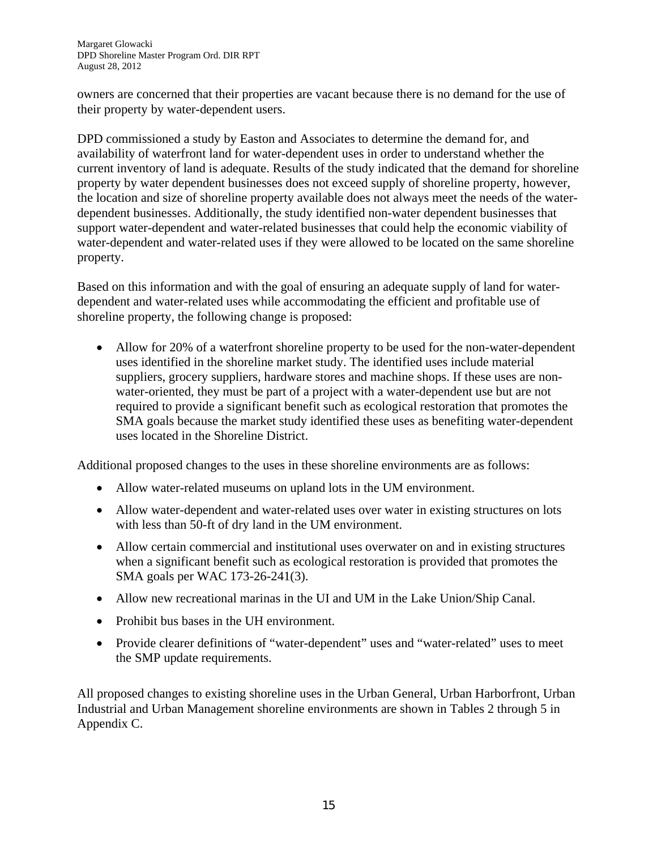owners are concerned that their properties are vacant because there is no demand for the use of their property by water-dependent users.

DPD commissioned a study by Easton and Associates to determine the demand for, and availability of waterfront land for water-dependent uses in order to understand whether the current inventory of land is adequate. Results of the study indicated that the demand for shoreline property by water dependent businesses does not exceed supply of shoreline property, however, the location and size of shoreline property available does not always meet the needs of the waterdependent businesses. Additionally, the study identified non-water dependent businesses that support water-dependent and water-related businesses that could help the economic viability of water-dependent and water-related uses if they were allowed to be located on the same shoreline property.

Based on this information and with the goal of ensuring an adequate supply of land for waterdependent and water-related uses while accommodating the efficient and profitable use of shoreline property, the following change is proposed:

 Allow for 20% of a waterfront shoreline property to be used for the non-water-dependent uses identified in the shoreline market study. The identified uses include material suppliers, grocery suppliers, hardware stores and machine shops. If these uses are nonwater-oriented, they must be part of a project with a water-dependent use but are not required to provide a significant benefit such as ecological restoration that promotes the SMA goals because the market study identified these uses as benefiting water-dependent uses located in the Shoreline District.

Additional proposed changes to the uses in these shoreline environments are as follows:

- Allow water-related museums on upland lots in the UM environment.
- Allow water-dependent and water-related uses over water in existing structures on lots with less than 50-ft of dry land in the UM environment.
- Allow certain commercial and institutional uses overwater on and in existing structures when a significant benefit such as ecological restoration is provided that promotes the SMA goals per WAC 173-26-241(3).
- Allow new recreational marinas in the UI and UM in the Lake Union/Ship Canal.
- Prohibit bus bases in the UH environment.
- Provide clearer definitions of "water-dependent" uses and "water-related" uses to meet the SMP update requirements.

All proposed changes to existing shoreline uses in the Urban General, Urban Harborfront, Urban Industrial and Urban Management shoreline environments are shown in Tables 2 through 5 in Appendix C.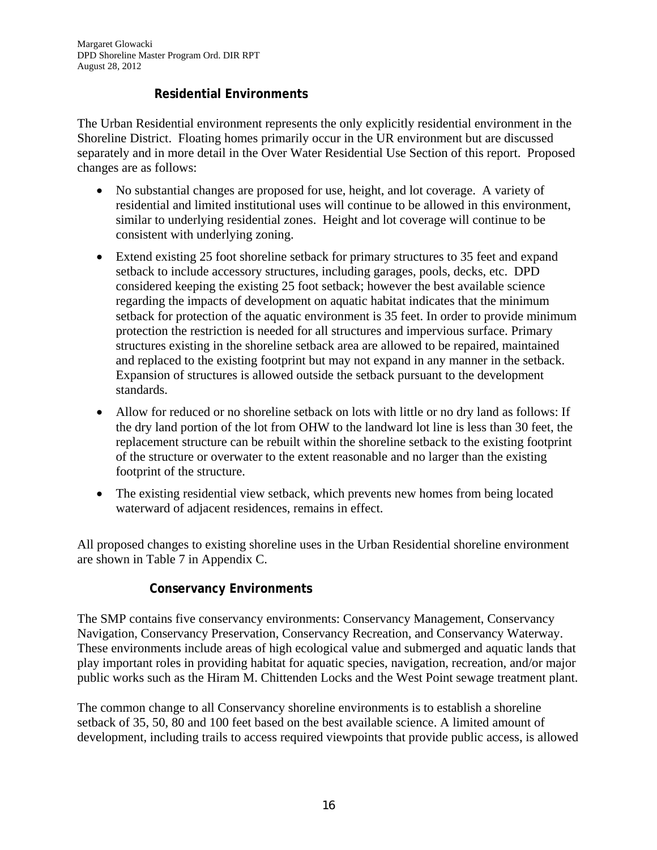### **Residential Environments**

The Urban Residential environment represents the only explicitly residential environment in the Shoreline District. Floating homes primarily occur in the UR environment but are discussed separately and in more detail in the Over Water Residential Use Section of this report. Proposed changes are as follows:

- No substantial changes are proposed for use, height, and lot coverage. A variety of residential and limited institutional uses will continue to be allowed in this environment, similar to underlying residential zones. Height and lot coverage will continue to be consistent with underlying zoning.
- Extend existing 25 foot shoreline setback for primary structures to 35 feet and expand setback to include accessory structures, including garages, pools, decks, etc. DPD considered keeping the existing 25 foot setback; however the best available science regarding the impacts of development on aquatic habitat indicates that the minimum setback for protection of the aquatic environment is 35 feet. In order to provide minimum protection the restriction is needed for all structures and impervious surface. Primary structures existing in the shoreline setback area are allowed to be repaired, maintained and replaced to the existing footprint but may not expand in any manner in the setback. Expansion of structures is allowed outside the setback pursuant to the development standards.
- Allow for reduced or no shoreline setback on lots with little or no dry land as follows: If the dry land portion of the lot from OHW to the landward lot line is less than 30 feet, the replacement structure can be rebuilt within the shoreline setback to the existing footprint of the structure or overwater to the extent reasonable and no larger than the existing footprint of the structure.
- The existing residential view setback, which prevents new homes from being located waterward of adjacent residences, remains in effect.

All proposed changes to existing shoreline uses in the Urban Residential shoreline environment are shown in Table 7 in Appendix C.

#### **Conservancy Environments**

The SMP contains five conservancy environments: Conservancy Management, Conservancy Navigation, Conservancy Preservation, Conservancy Recreation, and Conservancy Waterway. These environments include areas of high ecological value and submerged and aquatic lands that play important roles in providing habitat for aquatic species, navigation, recreation, and/or major public works such as the Hiram M. Chittenden Locks and the West Point sewage treatment plant.

The common change to all Conservancy shoreline environments is to establish a shoreline setback of 35, 50, 80 and 100 feet based on the best available science. A limited amount of development, including trails to access required viewpoints that provide public access, is allowed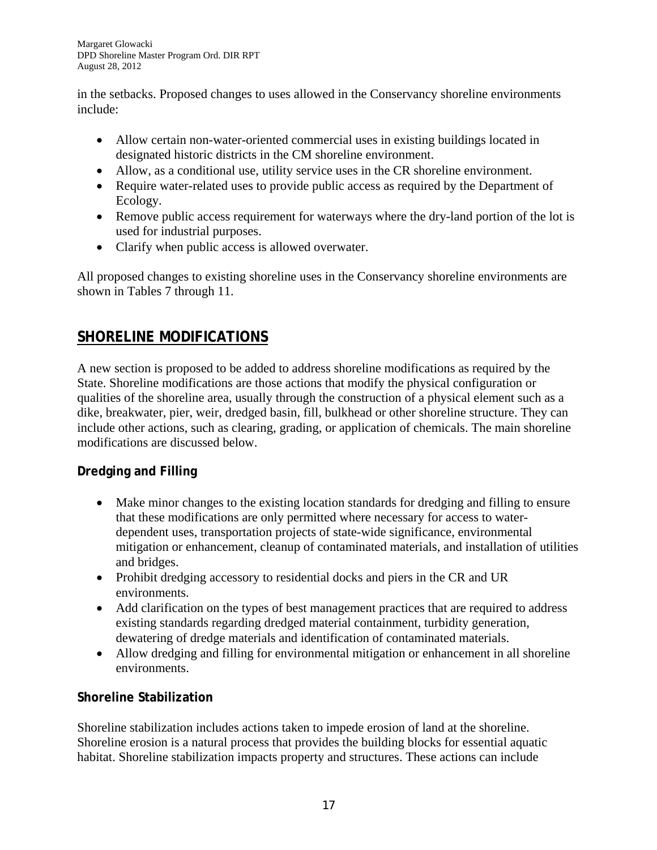in the setbacks. Proposed changes to uses allowed in the Conservancy shoreline environments include:

- Allow certain non-water-oriented commercial uses in existing buildings located in designated historic districts in the CM shoreline environment.
- Allow, as a conditional use, utility service uses in the CR shoreline environment.
- Require water-related uses to provide public access as required by the Department of Ecology.
- Remove public access requirement for waterways where the dry-land portion of the lot is used for industrial purposes.
- Clarify when public access is allowed overwater.

All proposed changes to existing shoreline uses in the Conservancy shoreline environments are shown in Tables 7 through 11.

# **SHORELINE MODIFICATIONS**

A new section is proposed to be added to address shoreline modifications as required by the State. Shoreline modifications are those actions that modify the physical configuration or qualities of the shoreline area, usually through the construction of a physical element such as a dike, breakwater, pier, weir, dredged basin, fill, bulkhead or other shoreline structure. They can include other actions, such as clearing, grading, or application of chemicals. The main shoreline modifications are discussed below.

# **Dredging and Filling**

- Make minor changes to the existing location standards for dredging and filling to ensure that these modifications are only permitted where necessary for access to waterdependent uses, transportation projects of state-wide significance, environmental mitigation or enhancement, cleanup of contaminated materials, and installation of utilities and bridges.
- Prohibit dredging accessory to residential docks and piers in the CR and UR environments.
- Add clarification on the types of best management practices that are required to address existing standards regarding dredged material containment, turbidity generation, dewatering of dredge materials and identification of contaminated materials.
- Allow dredging and filling for environmental mitigation or enhancement in all shoreline environments.

# **Shoreline Stabilization**

Shoreline stabilization includes actions taken to impede erosion of land at the shoreline. Shoreline erosion is a natural process that provides the building blocks for essential aquatic habitat. Shoreline stabilization impacts property and structures. These actions can include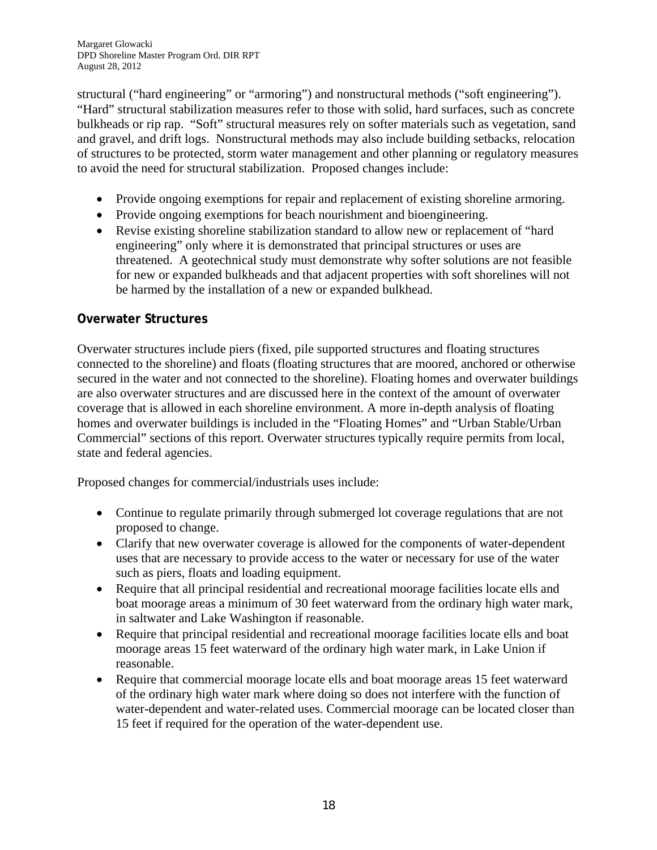structural ("hard engineering" or "armoring") and nonstructural methods ("soft engineering"). "Hard" structural stabilization measures refer to those with solid, hard surfaces, such as concrete bulkheads or rip rap. "Soft" structural measures rely on softer materials such as vegetation, sand and gravel, and drift logs. Nonstructural methods may also include building setbacks, relocation of structures to be protected, storm water management and other planning or regulatory measures to avoid the need for structural stabilization. Proposed changes include:

- Provide ongoing exemptions for repair and replacement of existing shoreline armoring.
- Provide ongoing exemptions for beach nourishment and bioengineering.
- Revise existing shoreline stabilization standard to allow new or replacement of "hard engineering" only where it is demonstrated that principal structures or uses are threatened. A geotechnical study must demonstrate why softer solutions are not feasible for new or expanded bulkheads and that adjacent properties with soft shorelines will not be harmed by the installation of a new or expanded bulkhead.

#### **Overwater Structures**

Overwater structures include piers (fixed, pile supported structures and floating structures connected to the shoreline) and floats (floating structures that are moored, anchored or otherwise secured in the water and not connected to the shoreline). Floating homes and overwater buildings are also overwater structures and are discussed here in the context of the amount of overwater coverage that is allowed in each shoreline environment. A more in-depth analysis of floating homes and overwater buildings is included in the "Floating Homes" and "Urban Stable/Urban Commercial" sections of this report. Overwater structures typically require permits from local, state and federal agencies.

Proposed changes for commercial/industrials uses include:

- Continue to regulate primarily through submerged lot coverage regulations that are not proposed to change.
- Clarify that new overwater coverage is allowed for the components of water-dependent uses that are necessary to provide access to the water or necessary for use of the water such as piers, floats and loading equipment.
- Require that all principal residential and recreational moorage facilities locate ells and boat moorage areas a minimum of 30 feet waterward from the ordinary high water mark, in saltwater and Lake Washington if reasonable.
- Require that principal residential and recreational moorage facilities locate ells and boat moorage areas 15 feet waterward of the ordinary high water mark, in Lake Union if reasonable.
- Require that commercial moorage locate ells and boat moorage areas 15 feet waterward of the ordinary high water mark where doing so does not interfere with the function of water-dependent and water-related uses. Commercial moorage can be located closer than 15 feet if required for the operation of the water-dependent use.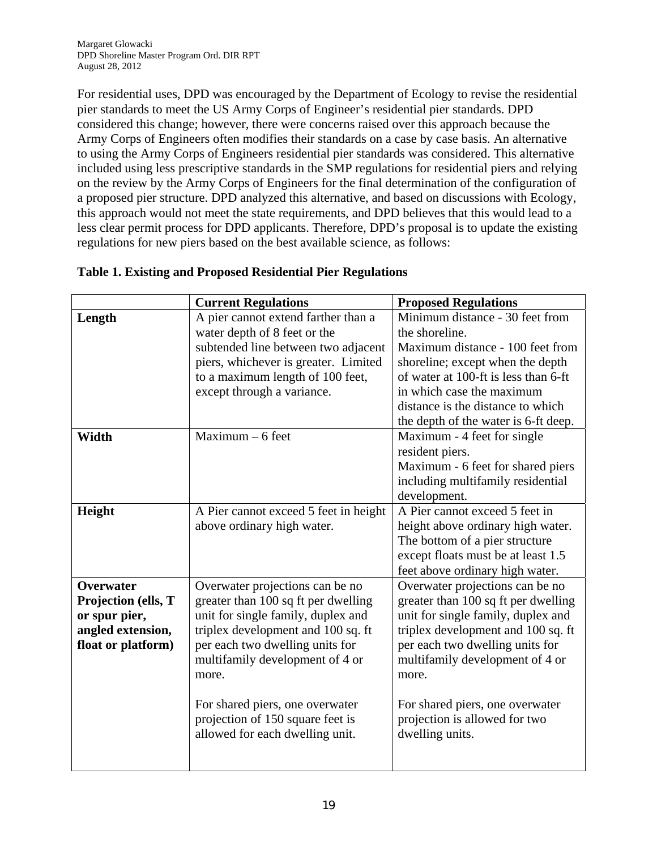For residential uses, DPD was encouraged by the Department of Ecology to revise the residential pier standards to meet the US Army Corps of Engineer's residential pier standards. DPD considered this change; however, there were concerns raised over this approach because the Army Corps of Engineers often modifies their standards on a case by case basis. An alternative to using the Army Corps of Engineers residential pier standards was considered. This alternative included using less prescriptive standards in the SMP regulations for residential piers and relying on the review by the Army Corps of Engineers for the final determination of the configuration of a proposed pier structure. DPD analyzed this alternative, and based on discussions with Ecology, this approach would not meet the state requirements, and DPD believes that this would lead to a less clear permit process for DPD applicants. Therefore, DPD's proposal is to update the existing regulations for new piers based on the best available science, as follows:

|                     | <b>Current Regulations</b>            | <b>Proposed Regulations</b>          |
|---------------------|---------------------------------------|--------------------------------------|
| Length              | A pier cannot extend farther than a   | Minimum distance - 30 feet from      |
|                     | water depth of 8 feet or the          | the shoreline.                       |
|                     | subtended line between two adjacent   | Maximum distance - 100 feet from     |
|                     | piers, whichever is greater. Limited  | shoreline; except when the depth     |
|                     | to a maximum length of 100 feet,      | of water at 100-ft is less than 6-ft |
|                     | except through a variance.            | in which case the maximum            |
|                     |                                       | distance is the distance to which    |
|                     |                                       | the depth of the water is 6-ft deep. |
| Width               | $Maximum - 6 feet$                    | Maximum - 4 feet for single          |
|                     |                                       | resident piers.                      |
|                     |                                       | Maximum - 6 feet for shared piers    |
|                     |                                       | including multifamily residential    |
|                     |                                       | development.                         |
| Height              | A Pier cannot exceed 5 feet in height | A Pier cannot exceed 5 feet in       |
|                     | above ordinary high water.            | height above ordinary high water.    |
|                     |                                       | The bottom of a pier structure       |
|                     |                                       | except floats must be at least 1.5   |
|                     |                                       | feet above ordinary high water.      |
| Overwater           | Overwater projections can be no       | Overwater projections can be no      |
| Projection (ells, T | greater than 100 sq ft per dwelling   | greater than 100 sq ft per dwelling  |
| or spur pier,       | unit for single family, duplex and    | unit for single family, duplex and   |
| angled extension,   | triplex development and 100 sq. ft    | triplex development and 100 sq. ft   |
| float or platform)  | per each two dwelling units for       | per each two dwelling units for      |
|                     | multifamily development of 4 or       | multifamily development of 4 or      |
|                     | more.                                 | more.                                |
|                     | For shared piers, one overwater       | For shared piers, one overwater      |
|                     | projection of 150 square feet is      | projection is allowed for two        |
|                     | allowed for each dwelling unit.       | dwelling units.                      |
|                     |                                       |                                      |
|                     |                                       |                                      |

### **Table 1. Existing and Proposed Residential Pier Regulations**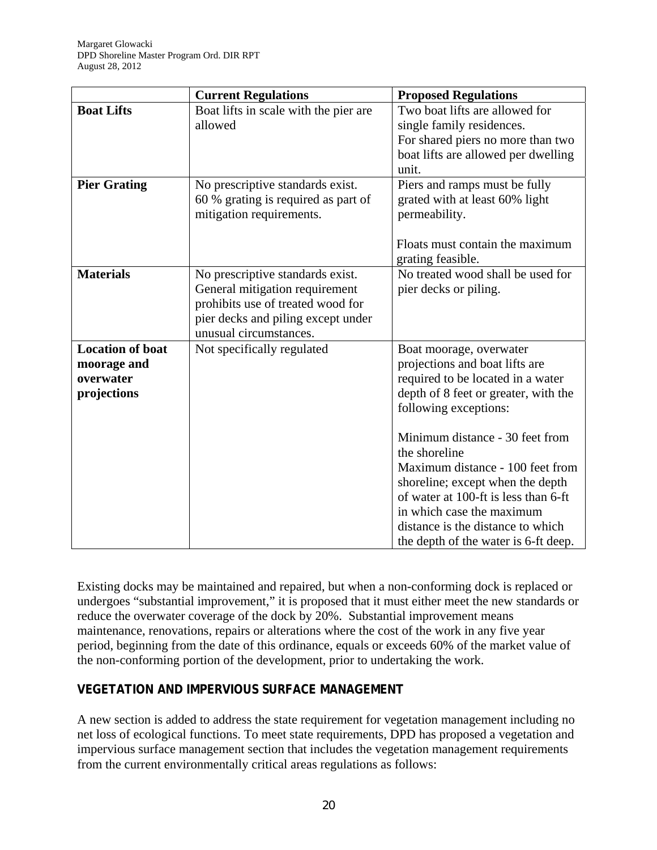|                         | <b>Current Regulations</b>            | <b>Proposed Regulations</b>          |
|-------------------------|---------------------------------------|--------------------------------------|
| <b>Boat Lifts</b>       | Boat lifts in scale with the pier are | Two boat lifts are allowed for       |
|                         | allowed                               | single family residences.            |
|                         |                                       | For shared piers no more than two    |
|                         |                                       | boat lifts are allowed per dwelling  |
|                         |                                       | unit.                                |
| <b>Pier Grating</b>     | No prescriptive standards exist.      | Piers and ramps must be fully        |
|                         | 60 % grating is required as part of   | grated with at least 60% light       |
|                         | mitigation requirements.              | permeability.                        |
|                         |                                       |                                      |
|                         |                                       | Floats must contain the maximum      |
|                         |                                       | grating feasible.                    |
| <b>Materials</b>        | No prescriptive standards exist.      | No treated wood shall be used for    |
|                         | General mitigation requirement        | pier decks or piling.                |
|                         | prohibits use of treated wood for     |                                      |
|                         | pier decks and piling except under    |                                      |
|                         | unusual circumstances.                |                                      |
| <b>Location of boat</b> | Not specifically regulated            | Boat moorage, overwater              |
| moorage and             |                                       | projections and boat lifts are       |
| overwater               |                                       | required to be located in a water    |
| projections             |                                       | depth of 8 feet or greater, with the |
|                         |                                       | following exceptions:                |
|                         |                                       |                                      |
|                         |                                       | Minimum distance - 30 feet from      |
|                         |                                       | the shoreline                        |
|                         |                                       | Maximum distance - 100 feet from     |
|                         |                                       | shoreline; except when the depth     |
|                         |                                       | of water at 100-ft is less than 6-ft |
|                         |                                       | in which case the maximum            |
|                         |                                       | distance is the distance to which    |
|                         |                                       | the depth of the water is 6-ft deep. |

Existing docks may be maintained and repaired, but when a non-conforming dock is replaced or undergoes "substantial improvement," it is proposed that it must either meet the new standards or reduce the overwater coverage of the dock by 20%. Substantial improvement means maintenance, renovations, repairs or alterations where the cost of the work in any five year period, beginning from the date of this ordinance, equals or exceeds 60% of the market value of the non-conforming portion of the development, prior to undertaking the work.

# **VEGETATION AND IMPERVIOUS SURFACE MANAGEMENT**

A new section is added to address the state requirement for vegetation management including no net loss of ecological functions. To meet state requirements, DPD has proposed a vegetation and impervious surface management section that includes the vegetation management requirements from the current environmentally critical areas regulations as follows: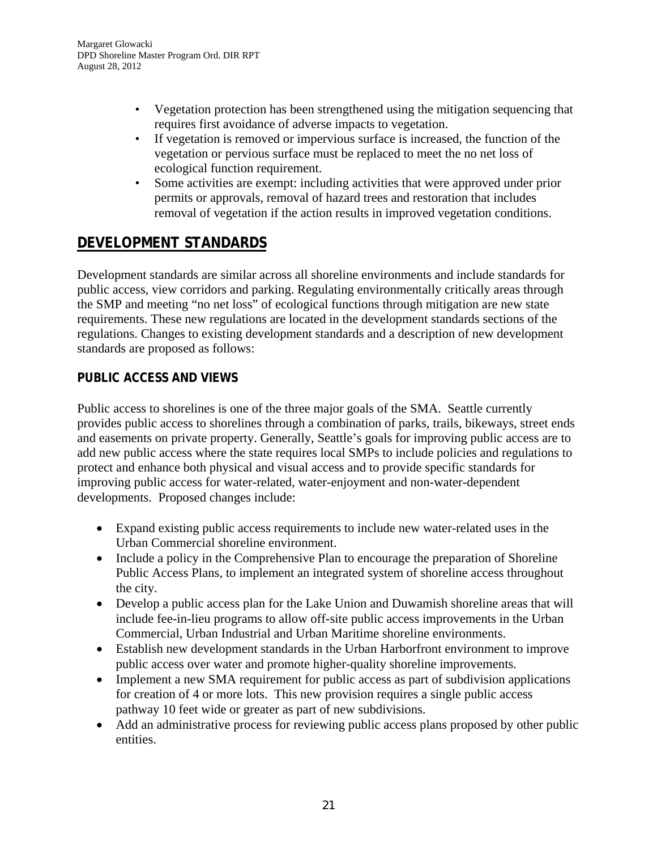- Vegetation protection has been strengthened using the mitigation sequencing that requires first avoidance of adverse impacts to vegetation.
- If vegetation is removed or impervious surface is increased, the function of the vegetation or pervious surface must be replaced to meet the no net loss of ecological function requirement.
- Some activities are exempt: including activities that were approved under prior permits or approvals, removal of hazard trees and restoration that includes removal of vegetation if the action results in improved vegetation conditions.

# **DEVELOPMENT STANDARDS**

Development standards are similar across all shoreline environments and include standards for public access, view corridors and parking. Regulating environmentally critically areas through the SMP and meeting "no net loss" of ecological functions through mitigation are new state requirements. These new regulations are located in the development standards sections of the regulations. Changes to existing development standards and a description of new development standards are proposed as follows:

# **PUBLIC ACCESS AND VIEWS**

Public access to shorelines is one of the three major goals of the SMA. Seattle currently provides public access to shorelines through a combination of parks, trails, bikeways, street ends and easements on private property. Generally, Seattle's goals for improving public access are to add new public access where the state requires local SMPs to include policies and regulations to protect and enhance both physical and visual access and to provide specific standards for improving public access for water-related, water-enjoyment and non-water-dependent developments. Proposed changes include:

- Expand existing public access requirements to include new water-related uses in the Urban Commercial shoreline environment.
- Include a policy in the Comprehensive Plan to encourage the preparation of Shoreline Public Access Plans, to implement an integrated system of shoreline access throughout the city.
- Develop a public access plan for the Lake Union and Duwamish shoreline areas that will include fee-in-lieu programs to allow off-site public access improvements in the Urban Commercial, Urban Industrial and Urban Maritime shoreline environments.
- Establish new development standards in the Urban Harborfront environment to improve public access over water and promote higher-quality shoreline improvements.
- Implement a new SMA requirement for public access as part of subdivision applications for creation of 4 or more lots. This new provision requires a single public access pathway 10 feet wide or greater as part of new subdivisions.
- Add an administrative process for reviewing public access plans proposed by other public entities.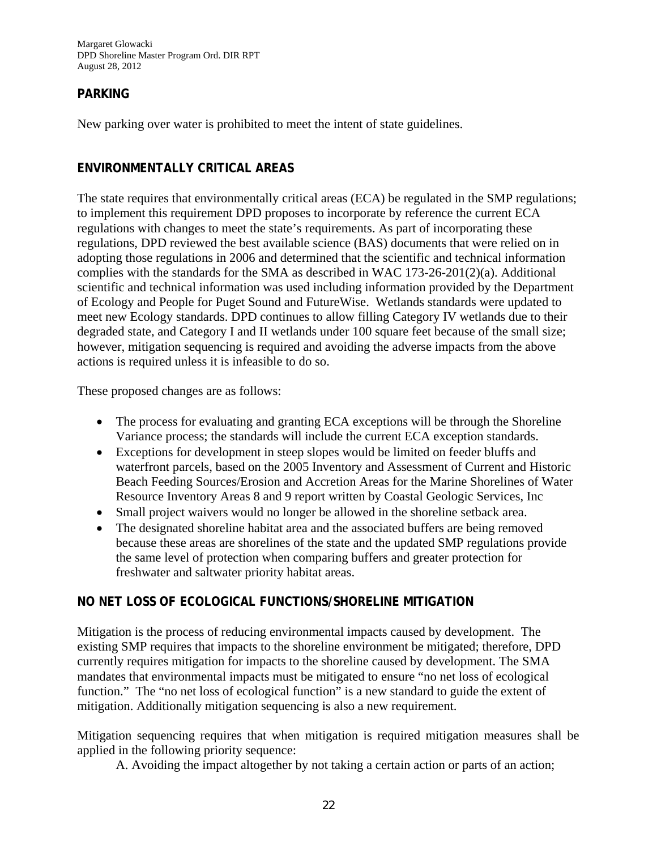Margaret Glowacki DPD Shoreline Master Program Ord. DIR RPT August 28, 2012

#### **PARKING**

New parking over water is prohibited to meet the intent of state guidelines.

#### **ENVIRONMENTALLY CRITICAL AREAS**

The state requires that environmentally critical areas (ECA) be regulated in the SMP regulations; to implement this requirement DPD proposes to incorporate by reference the current ECA regulations with changes to meet the state's requirements. As part of incorporating these regulations, DPD reviewed the best available science (BAS) documents that were relied on in adopting those regulations in 2006 and determined that the scientific and technical information complies with the standards for the SMA as described in WAC 173-26-201(2)(a). Additional scientific and technical information was used including information provided by the Department of Ecology and People for Puget Sound and FutureWise. Wetlands standards were updated to meet new Ecology standards. DPD continues to allow filling Category IV wetlands due to their degraded state, and Category I and II wetlands under 100 square feet because of the small size; however, mitigation sequencing is required and avoiding the adverse impacts from the above actions is required unless it is infeasible to do so.

These proposed changes are as follows:

- The process for evaluating and granting ECA exceptions will be through the Shoreline Variance process; the standards will include the current ECA exception standards.
- Exceptions for development in steep slopes would be limited on feeder bluffs and waterfront parcels, based on the 2005 Inventory and Assessment of Current and Historic Beach Feeding Sources/Erosion and Accretion Areas for the Marine Shorelines of Water Resource Inventory Areas 8 and 9 report written by Coastal Geologic Services, Inc
- Small project waivers would no longer be allowed in the shoreline setback area.
- The designated shoreline habitat area and the associated buffers are being removed because these areas are shorelines of the state and the updated SMP regulations provide the same level of protection when comparing buffers and greater protection for freshwater and saltwater priority habitat areas.

#### **NO NET LOSS OF ECOLOGICAL FUNCTIONS/SHORELINE MITIGATION**

Mitigation is the process of reducing environmental impacts caused by development. The existing SMP requires that impacts to the shoreline environment be mitigated; therefore, DPD currently requires mitigation for impacts to the shoreline caused by development. The SMA mandates that environmental impacts must be mitigated to ensure "no net loss of ecological function." The "no net loss of ecological function" is a new standard to guide the extent of mitigation. Additionally mitigation sequencing is also a new requirement.

Mitigation sequencing requires that when mitigation is required mitigation measures shall be applied in the following priority sequence:

A. Avoiding the impact altogether by not taking a certain action or parts of an action;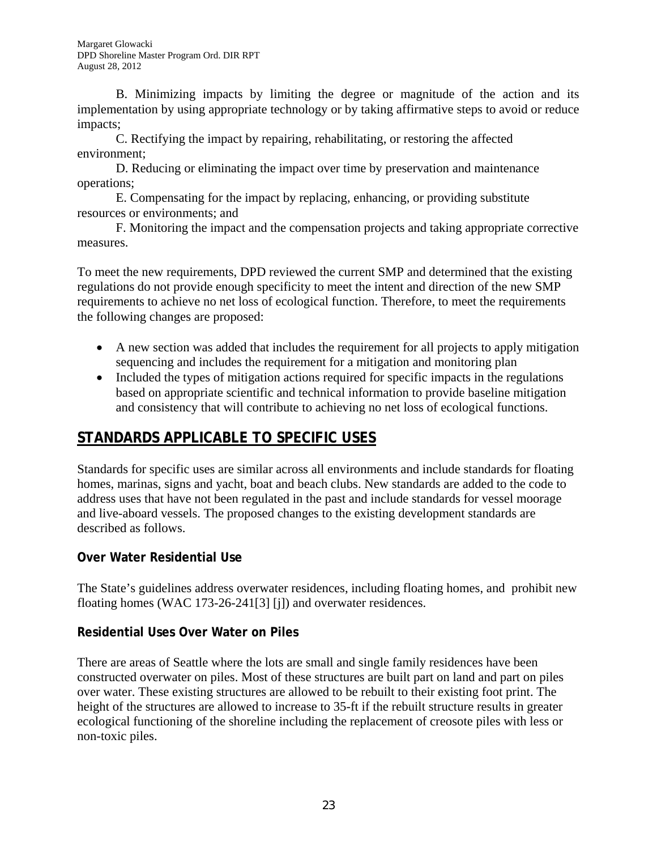B. Minimizing impacts by limiting the degree or magnitude of the action and its implementation by using appropriate technology or by taking affirmative steps to avoid or reduce impacts;

 C. Rectifying the impact by repairing, rehabilitating, or restoring the affected environment;

 D. Reducing or eliminating the impact over time by preservation and maintenance operations;

 E. Compensating for the impact by replacing, enhancing, or providing substitute resources or environments; and

 F. Monitoring the impact and the compensation projects and taking appropriate corrective measures.

To meet the new requirements, DPD reviewed the current SMP and determined that the existing regulations do not provide enough specificity to meet the intent and direction of the new SMP requirements to achieve no net loss of ecological function. Therefore, to meet the requirements the following changes are proposed:

- A new section was added that includes the requirement for all projects to apply mitigation sequencing and includes the requirement for a mitigation and monitoring plan
- Included the types of mitigation actions required for specific impacts in the regulations based on appropriate scientific and technical information to provide baseline mitigation and consistency that will contribute to achieving no net loss of ecological functions.

# **STANDARDS APPLICABLE TO SPECIFIC USES**

Standards for specific uses are similar across all environments and include standards for floating homes, marinas, signs and yacht, boat and beach clubs. New standards are added to the code to address uses that have not been regulated in the past and include standards for vessel moorage and live-aboard vessels. The proposed changes to the existing development standards are described as follows.

# **Over Water Residential Use**

The State's guidelines address overwater residences, including floating homes, and prohibit new floating homes (WAC 173-26-241[3] [j]) and overwater residences.

# **Residential Uses Over Water on Piles**

There are areas of Seattle where the lots are small and single family residences have been constructed overwater on piles. Most of these structures are built part on land and part on piles over water. These existing structures are allowed to be rebuilt to their existing foot print. The height of the structures are allowed to increase to 35-ft if the rebuilt structure results in greater ecological functioning of the shoreline including the replacement of creosote piles with less or non-toxic piles.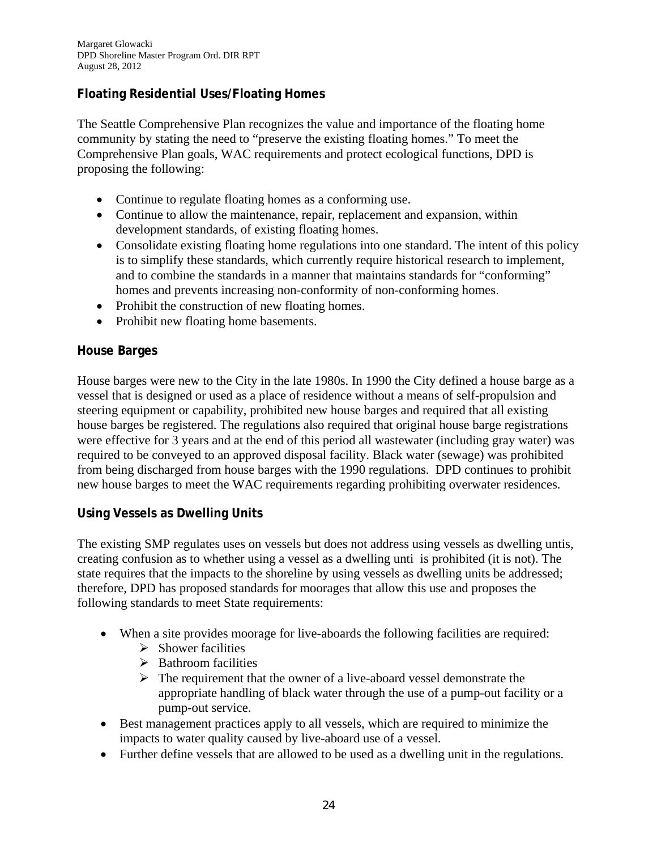# **Floating Residential Uses/Floating Homes**

The Seattle Comprehensive Plan recognizes the value and importance of the floating home community by stating the need to "preserve the existing floating homes." To meet the Comprehensive Plan goals, WAC requirements and protect ecological functions, DPD is proposing the following:

- Continue to regulate floating homes as a conforming use.
- Continue to allow the maintenance, repair, replacement and expansion, within development standards, of existing floating homes.
- Consolidate existing floating home regulations into one standard. The intent of this policy is to simplify these standards, which currently require historical research to implement, and to combine the standards in a manner that maintains standards for "conforming" homes and prevents increasing non-conformity of non-conforming homes.
- Prohibit the construction of new floating homes.
- Prohibit new floating home basements.

#### **House Barges**

House barges were new to the City in the late 1980s. In 1990 the City defined a house barge as a vessel that is designed or used as a place of residence without a means of self-propulsion and steering equipment or capability, prohibited new house barges and required that all existing house barges be registered. The regulations also required that original house barge registrations were effective for 3 years and at the end of this period all wastewater (including gray water) was required to be conveyed to an approved disposal facility. Black water (sewage) was prohibited from being discharged from house barges with the 1990 regulations. DPD continues to prohibit new house barges to meet the WAC requirements regarding prohibiting overwater residences.

#### **Using Vessels as Dwelling Units**

The existing SMP regulates uses on vessels but does not address using vessels as dwelling untis, creating confusion as to whether using a vessel as a dwelling unti is prohibited (it is not). The state requires that the impacts to the shoreline by using vessels as dwelling units be addressed; therefore, DPD has proposed standards for moorages that allow this use and proposes the following standards to meet State requirements:

- When a site provides moorage for live-aboards the following facilities are required:
	- $\triangleright$  Shower facilities
	- $\triangleright$  Bathroom facilities
	- $\triangleright$  The requirement that the owner of a live-aboard vessel demonstrate the appropriate handling of black water through the use of a pump-out facility or a pump-out service.
- Best management practices apply to all vessels, which are required to minimize the impacts to water quality caused by live-aboard use of a vessel.
- Further define vessels that are allowed to be used as a dwelling unit in the regulations.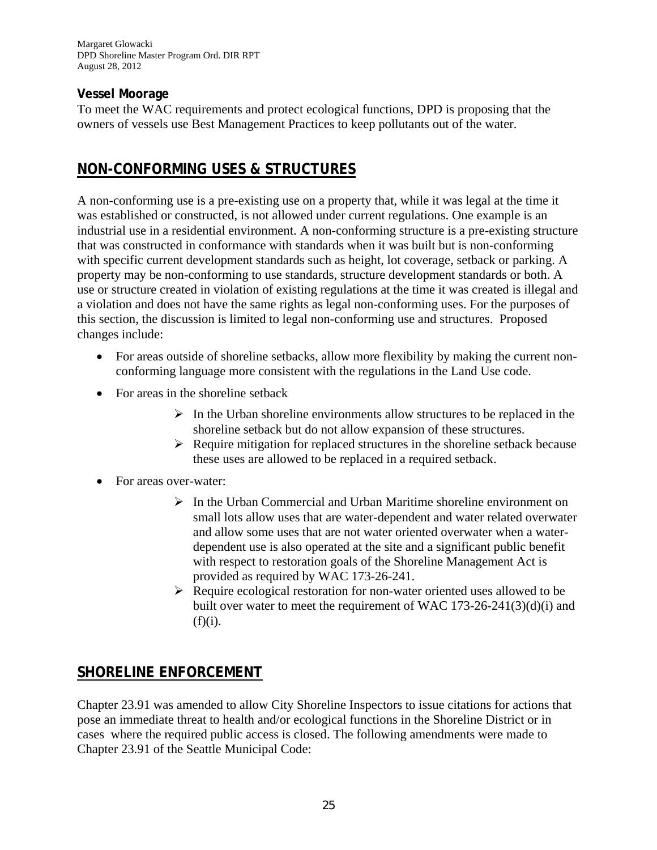Margaret Glowacki DPD Shoreline Master Program Ord. DIR RPT August 28, 2012

#### **Vessel Moorage**

To meet the WAC requirements and protect ecological functions, DPD is proposing that the owners of vessels use Best Management Practices to keep pollutants out of the water.

# **NON-CONFORMING USES & STRUCTURES**

A non-conforming use is a pre-existing use on a property that, while it was legal at the time it was established or constructed, is not allowed under current regulations. One example is an industrial use in a residential environment. A non-conforming structure is a pre-existing structure that was constructed in conformance with standards when it was built but is non-conforming with specific current development standards such as height, lot coverage, setback or parking. A property may be non-conforming to use standards, structure development standards or both. A use or structure created in violation of existing regulations at the time it was created is illegal and a violation and does not have the same rights as legal non-conforming uses. For the purposes of this section, the discussion is limited to legal non-conforming use and structures. Proposed changes include:

- For areas outside of shoreline setbacks, allow more flexibility by making the current nonconforming language more consistent with the regulations in the Land Use code.
- For areas in the shoreline setback
	- $\triangleright$  In the Urban shoreline environments allow structures to be replaced in the shoreline setback but do not allow expansion of these structures.
	- $\triangleright$  Require mitigation for replaced structures in the shoreline setback because these uses are allowed to be replaced in a required setback.
- For areas over-water:
	- $\triangleright$  In the Urban Commercial and Urban Maritime shoreline environment on small lots allow uses that are water-dependent and water related overwater and allow some uses that are not water oriented overwater when a waterdependent use is also operated at the site and a significant public benefit with respect to restoration goals of the Shoreline Management Act is provided as required by WAC 173-26-241.
	- $\triangleright$  Require ecological restoration for non-water oriented uses allowed to be built over water to meet the requirement of WAC 173-26-241(3)(d)(i) and  $(f)(i)$ .

# **SHORELINE ENFORCEMENT**

Chapter 23.91 was amended to allow City Shoreline Inspectors to issue citations for actions that pose an immediate threat to health and/or ecological functions in the Shoreline District or in cases where the required public access is closed. The following amendments were made to Chapter 23.91 of the Seattle Municipal Code: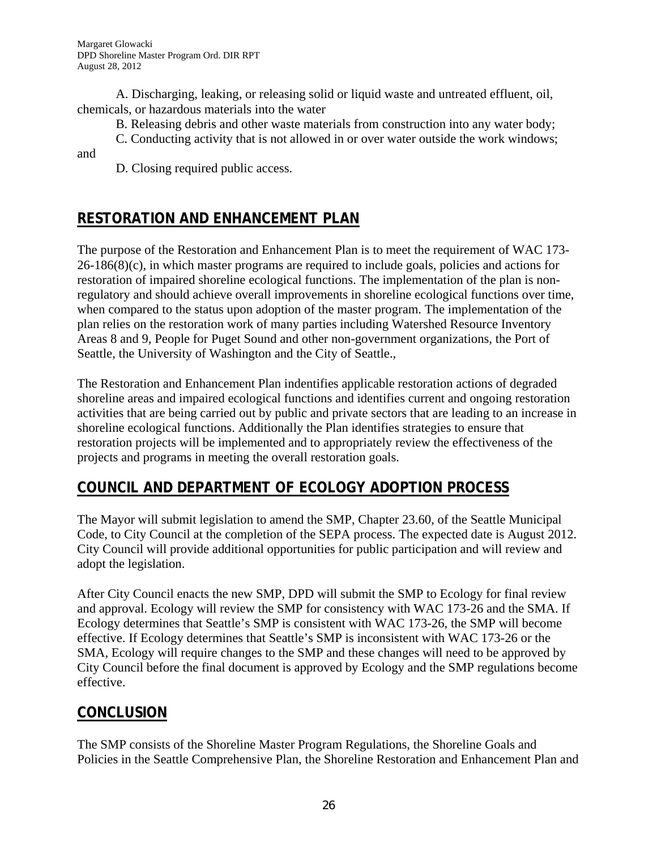A. Discharging, leaking, or releasing solid or liquid waste and untreated effluent, oil, chemicals, or hazardous materials into the water

B. Releasing debris and other waste materials from construction into any water body;

C. Conducting activity that is not allowed in or over water outside the work windows; and

D. Closing required public access.

# **RESTORATION AND ENHANCEMENT PLAN**

The purpose of the Restoration and Enhancement Plan is to meet the requirement of WAC 173-  $26-186(8)(c)$ , in which master programs are required to include goals, policies and actions for restoration of impaired shoreline ecological functions. The implementation of the plan is nonregulatory and should achieve overall improvements in shoreline ecological functions over time, when compared to the status upon adoption of the master program. The implementation of the plan relies on the restoration work of many parties including Watershed Resource Inventory Areas 8 and 9, People for Puget Sound and other non-government organizations, the Port of Seattle, the University of Washington and the City of Seattle.,

The Restoration and Enhancement Plan indentifies applicable restoration actions of degraded shoreline areas and impaired ecological functions and identifies current and ongoing restoration activities that are being carried out by public and private sectors that are leading to an increase in shoreline ecological functions. Additionally the Plan identifies strategies to ensure that restoration projects will be implemented and to appropriately review the effectiveness of the projects and programs in meeting the overall restoration goals.

# **COUNCIL AND DEPARTMENT OF ECOLOGY ADOPTION PROCESS**

The Mayor will submit legislation to amend the SMP, Chapter 23.60, of the Seattle Municipal Code, to City Council at the completion of the SEPA process. The expected date is August 2012. City Council will provide additional opportunities for public participation and will review and adopt the legislation.

After City Council enacts the new SMP, DPD will submit the SMP to Ecology for final review and approval. Ecology will review the SMP for consistency with WAC 173-26 and the SMA. If Ecology determines that Seattle's SMP is consistent with WAC 173-26, the SMP will become effective. If Ecology determines that Seattle's SMP is inconsistent with WAC 173-26 or the SMA, Ecology will require changes to the SMP and these changes will need to be approved by City Council before the final document is approved by Ecology and the SMP regulations become effective.

# **CONCLUSION**

The SMP consists of the Shoreline Master Program Regulations, the Shoreline Goals and Policies in the Seattle Comprehensive Plan, the Shoreline Restoration and Enhancement Plan and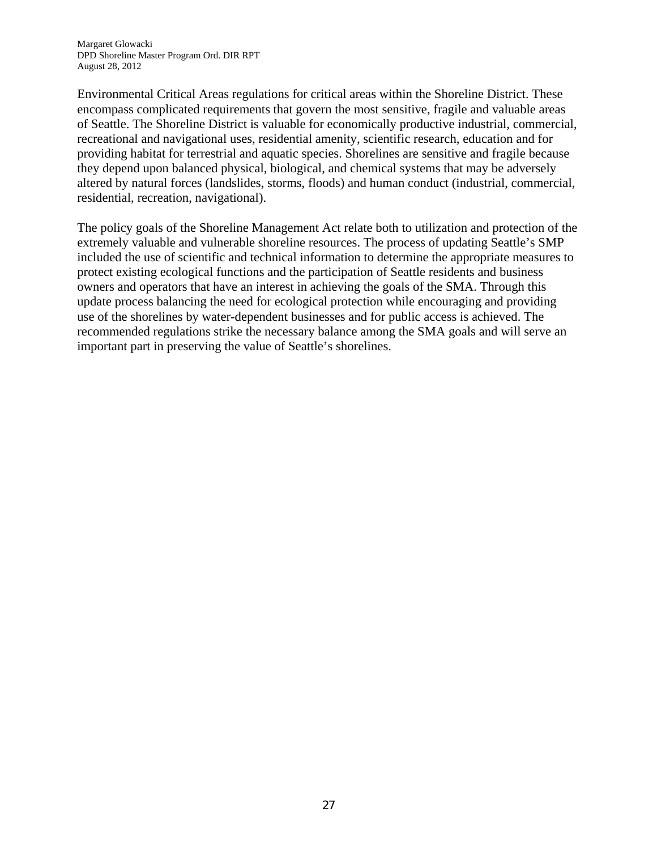Environmental Critical Areas regulations for critical areas within the Shoreline District. These encompass complicated requirements that govern the most sensitive, fragile and valuable areas of Seattle. The Shoreline District is valuable for economically productive industrial, commercial, recreational and navigational uses, residential amenity, scientific research, education and for providing habitat for terrestrial and aquatic species. Shorelines are sensitive and fragile because they depend upon balanced physical, biological, and chemical systems that may be adversely altered by natural forces (landslides, storms, floods) and human conduct (industrial, commercial, residential, recreation, navigational).

The policy goals of the Shoreline Management Act relate both to utilization and protection of the extremely valuable and vulnerable shoreline resources. The process of updating Seattle's SMP included the use of scientific and technical information to determine the appropriate measures to protect existing ecological functions and the participation of Seattle residents and business owners and operators that have an interest in achieving the goals of the SMA. Through this update process balancing the need for ecological protection while encouraging and providing use of the shorelines by water-dependent businesses and for public access is achieved. The recommended regulations strike the necessary balance among the SMA goals and will serve an important part in preserving the value of Seattle's shorelines.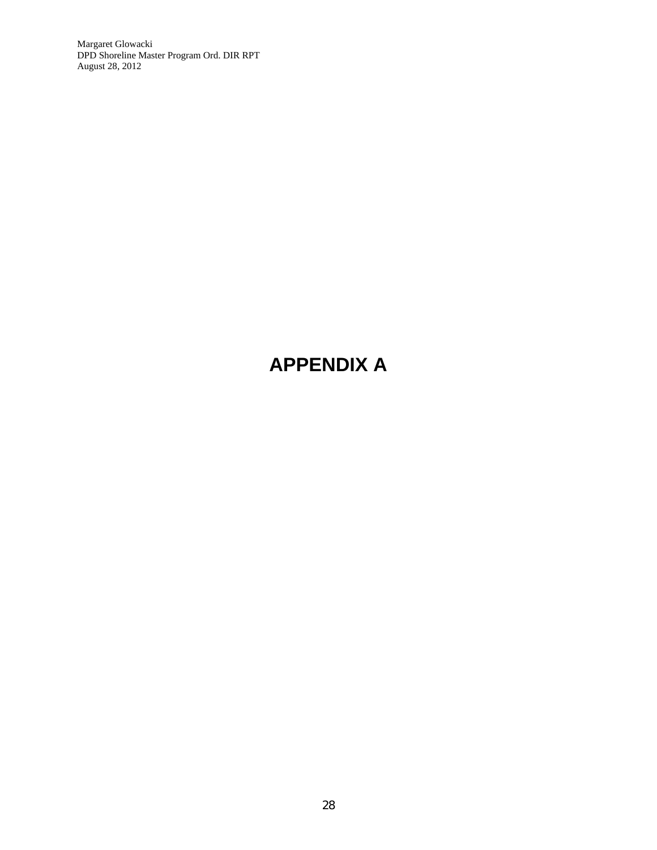Margaret Glowacki DPD Shoreline Master Program Ord. DIR RPT August 28, 2012

# **APPENDIX A**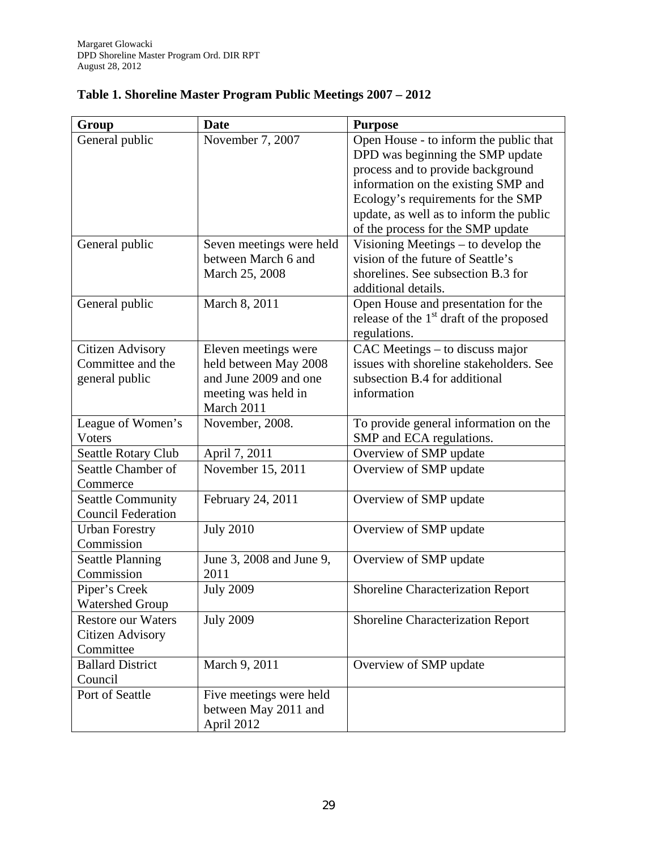| Group                                                      | <b>Date</b>                                                                                                 | <b>Purpose</b>                                                                                                                                                                                                                                                               |
|------------------------------------------------------------|-------------------------------------------------------------------------------------------------------------|------------------------------------------------------------------------------------------------------------------------------------------------------------------------------------------------------------------------------------------------------------------------------|
| General public                                             | November 7, 2007                                                                                            | Open House - to inform the public that<br>DPD was beginning the SMP update<br>process and to provide background<br>information on the existing SMP and<br>Ecology's requirements for the SMP<br>update, as well as to inform the public<br>of the process for the SMP update |
| General public                                             | Seven meetings were held<br>between March 6 and<br>March 25, 2008                                           | Visioning Meetings – to develop the<br>vision of the future of Seattle's<br>shorelines. See subsection B.3 for<br>additional details.                                                                                                                                        |
| General public                                             | March 8, 2011                                                                                               | Open House and presentation for the<br>release of the 1 <sup>st</sup> draft of the proposed<br>regulations.                                                                                                                                                                  |
| Citizen Advisory<br>Committee and the<br>general public    | Eleven meetings were<br>held between May 2008<br>and June 2009 and one<br>meeting was held in<br>March 2011 | CAC Meetings – to discuss major<br>issues with shoreline stakeholders. See<br>subsection B.4 for additional<br>information                                                                                                                                                   |
| League of Women's<br>Voters                                | November, 2008.                                                                                             | To provide general information on the<br>SMP and ECA regulations.                                                                                                                                                                                                            |
| Seattle Rotary Club                                        | April 7, 2011                                                                                               | Overview of SMP update                                                                                                                                                                                                                                                       |
| Seattle Chamber of<br>Commerce                             | November 15, 2011                                                                                           | Overview of SMP update                                                                                                                                                                                                                                                       |
| <b>Seattle Community</b><br><b>Council Federation</b>      | February 24, 2011                                                                                           | Overview of SMP update                                                                                                                                                                                                                                                       |
| <b>Urban Forestry</b><br>Commission                        | <b>July 2010</b>                                                                                            | Overview of SMP update                                                                                                                                                                                                                                                       |
| <b>Seattle Planning</b><br>Commission                      | June 3, 2008 and June 9,<br>2011                                                                            | Overview of SMP update                                                                                                                                                                                                                                                       |
| Piper's Creek<br><b>Watershed Group</b>                    | <b>July 2009</b>                                                                                            | <b>Shoreline Characterization Report</b>                                                                                                                                                                                                                                     |
| <b>Restore our Waters</b><br>Citizen Advisory<br>Committee | <b>July 2009</b>                                                                                            | Shoreline Characterization Report                                                                                                                                                                                                                                            |
| <b>Ballard District</b><br>Council                         | March 9, 2011                                                                                               | Overview of SMP update                                                                                                                                                                                                                                                       |
| Port of Seattle                                            | Five meetings were held<br>between May 2011 and<br>April 2012                                               |                                                                                                                                                                                                                                                                              |

# **Table 1. Shoreline Master Program Public Meetings 2007 – 2012**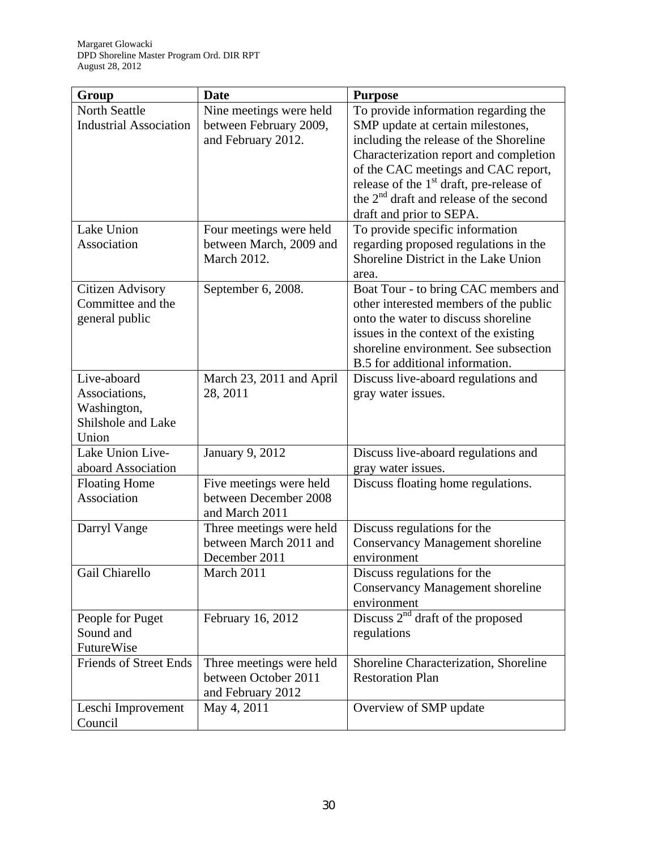| Group                         | <b>Date</b>              | <b>Purpose</b>                                            |
|-------------------------------|--------------------------|-----------------------------------------------------------|
| <b>North Seattle</b>          | Nine meetings were held  | To provide information regarding the                      |
| <b>Industrial Association</b> | between February 2009,   | SMP update at certain milestones,                         |
|                               | and February 2012.       | including the release of the Shoreline                    |
|                               |                          | Characterization report and completion                    |
|                               |                          | of the CAC meetings and CAC report,                       |
|                               |                          | release of the 1 <sup>st</sup> draft, pre-release of      |
|                               |                          | the $2nd$ draft and release of the second                 |
|                               |                          | draft and prior to SEPA.                                  |
| Lake Union                    | Four meetings were held  | To provide specific information                           |
| Association                   | between March, 2009 and  | regarding proposed regulations in the                     |
|                               | <b>March 2012.</b>       | Shoreline District in the Lake Union                      |
|                               |                          | area.                                                     |
| Citizen Advisory              | September 6, 2008.       | Boat Tour - to bring CAC members and                      |
| Committee and the             |                          | other interested members of the public                    |
| general public                |                          | onto the water to discuss shoreline                       |
|                               |                          | issues in the context of the existing                     |
|                               |                          | shoreline environment. See subsection                     |
|                               |                          | B.5 for additional information.                           |
| Live-aboard                   | March 23, 2011 and April | Discuss live-aboard regulations and                       |
| Associations,                 | 28, 2011                 | gray water issues.                                        |
| Washington,                   |                          |                                                           |
| Shilshole and Lake            |                          |                                                           |
| Union<br>Lake Union Live-     |                          |                                                           |
| aboard Association            | <b>January 9, 2012</b>   | Discuss live-aboard regulations and<br>gray water issues. |
| <b>Floating Home</b>          | Five meetings were held  | Discuss floating home regulations.                        |
| Association                   | between December 2008    |                                                           |
|                               | and March 2011           |                                                           |
| Darryl Vange                  | Three meetings were held | Discuss regulations for the                               |
|                               | between March 2011 and   | <b>Conservancy Management shoreline</b>                   |
|                               | December 2011            | environment                                               |
| Gail Chiarello                | March 2011               | Discuss regulations for the                               |
|                               |                          | <b>Conservancy Management shoreline</b>                   |
|                               |                          | environment                                               |
| People for Puget              | February 16, 2012        | Discuss $2^{nd}$ draft of the proposed                    |
| Sound and                     |                          | regulations                                               |
| FutureWise                    |                          |                                                           |
| <b>Friends of Street Ends</b> | Three meetings were held | Shoreline Characterization, Shoreline                     |
|                               | between October 2011     | <b>Restoration Plan</b>                                   |
|                               | and February 2012        |                                                           |
| Leschi Improvement            | May 4, 2011              | Overview of SMP update                                    |
| Council                       |                          |                                                           |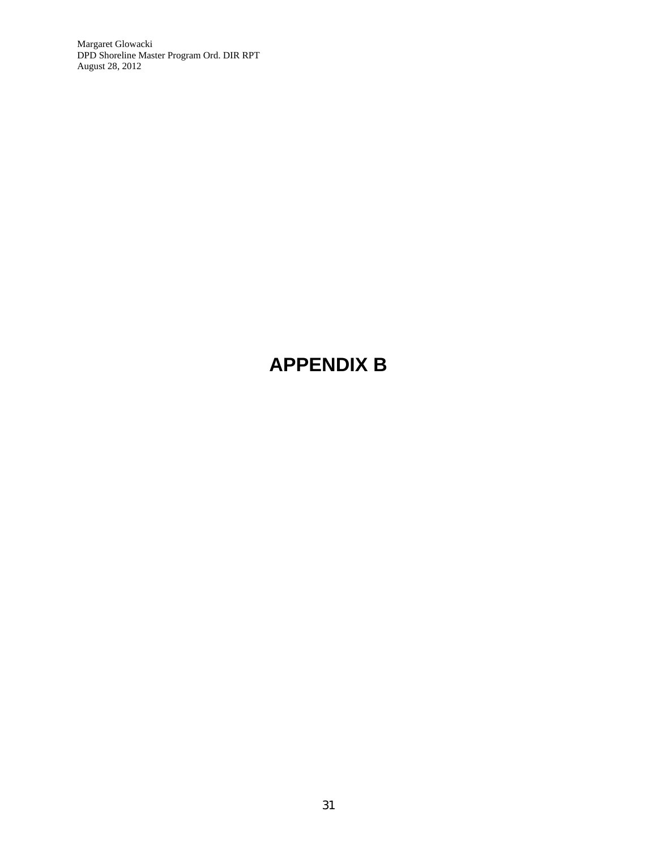Margaret Glowacki DPD Shoreline Master Program Ord. DIR RPT August 28, 2012

# **APPENDIX B**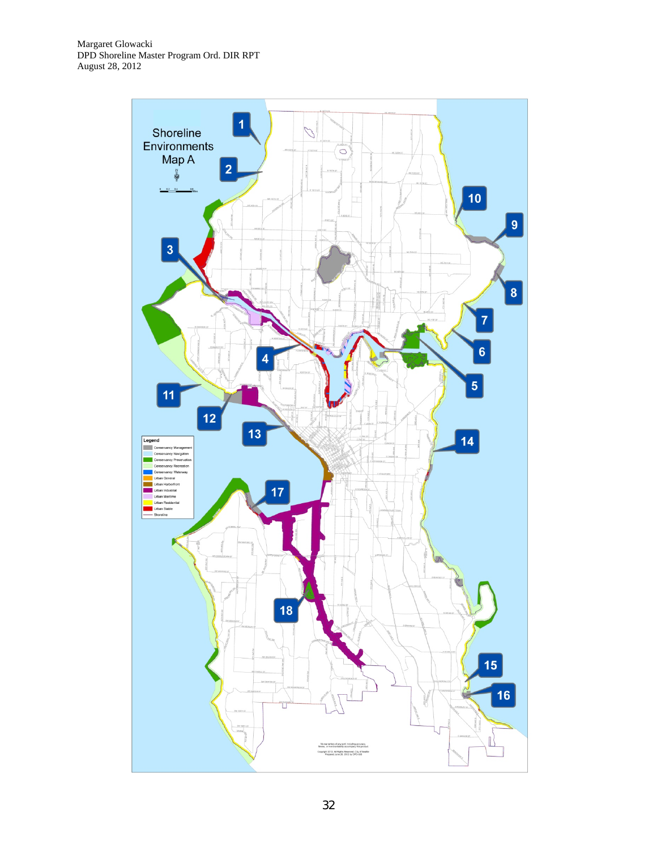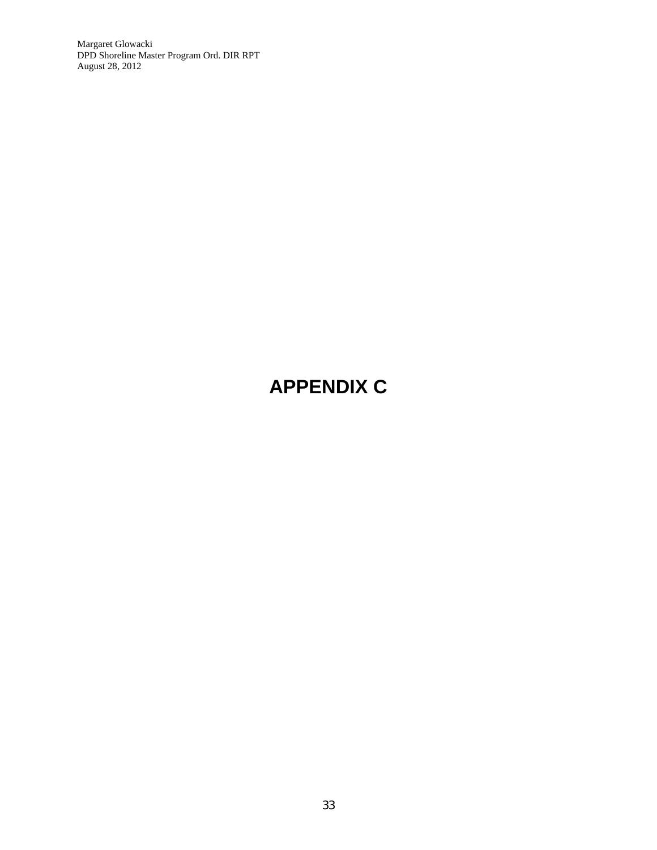Margaret Glowacki DPD Shoreline Master Program Ord. DIR RPT August 28, 2012

# **APPENDIX C**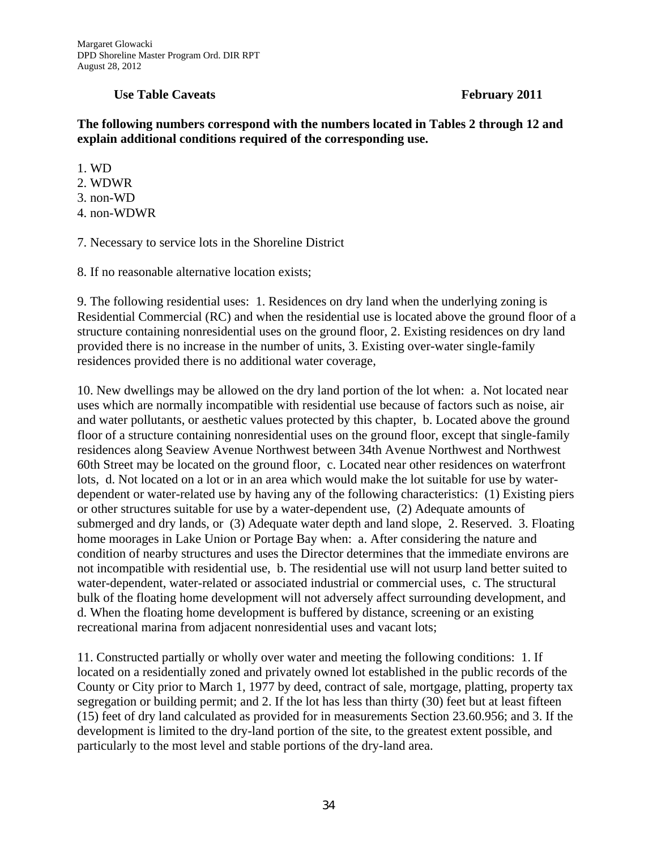#### **Use Table Caveats February 2011**

#### **The following numbers correspond with the numbers located in Tables 2 through 12 and explain additional conditions required of the corresponding use.**

1. WD

- 2. WDWR
- 3. non-WD
- 4. non-WDWR

7. Necessary to service lots in the Shoreline District

8. If no reasonable alternative location exists;

9. The following residential uses: 1. Residences on dry land when the underlying zoning is Residential Commercial (RC) and when the residential use is located above the ground floor of a structure containing nonresidential uses on the ground floor, 2. Existing residences on dry land provided there is no increase in the number of units, 3. Existing over-water single-family residences provided there is no additional water coverage,

10. New dwellings may be allowed on the dry land portion of the lot when: a. Not located near uses which are normally incompatible with residential use because of factors such as noise, air and water pollutants, or aesthetic values protected by this chapter, b. Located above the ground floor of a structure containing nonresidential uses on the ground floor, except that single-family residences along Seaview Avenue Northwest between 34th Avenue Northwest and Northwest 60th Street may be located on the ground floor, c. Located near other residences on waterfront lots, d. Not located on a lot or in an area which would make the lot suitable for use by waterdependent or water-related use by having any of the following characteristics: (1) Existing piers or other structures suitable for use by a water-dependent use, (2) Adequate amounts of submerged and dry lands, or (3) Adequate water depth and land slope, 2. Reserved. 3. Floating home moorages in Lake Union or Portage Bay when: a. After considering the nature and condition of nearby structures and uses the Director determines that the immediate environs are not incompatible with residential use, b. The residential use will not usurp land better suited to water-dependent, water-related or associated industrial or commercial uses, c. The structural bulk of the floating home development will not adversely affect surrounding development, and d. When the floating home development is buffered by distance, screening or an existing recreational marina from adjacent nonresidential uses and vacant lots;

11. Constructed partially or wholly over water and meeting the following conditions: 1. If located on a residentially zoned and privately owned lot established in the public records of the County or City prior to March 1, 1977 by deed, contract of sale, mortgage, platting, property tax segregation or building permit; and 2. If the lot has less than thirty (30) feet but at least fifteen (15) feet of dry land calculated as provided for in measurements Section 23.60.956; and 3. If the development is limited to the dry-land portion of the site, to the greatest extent possible, and particularly to the most level and stable portions of the dry-land area.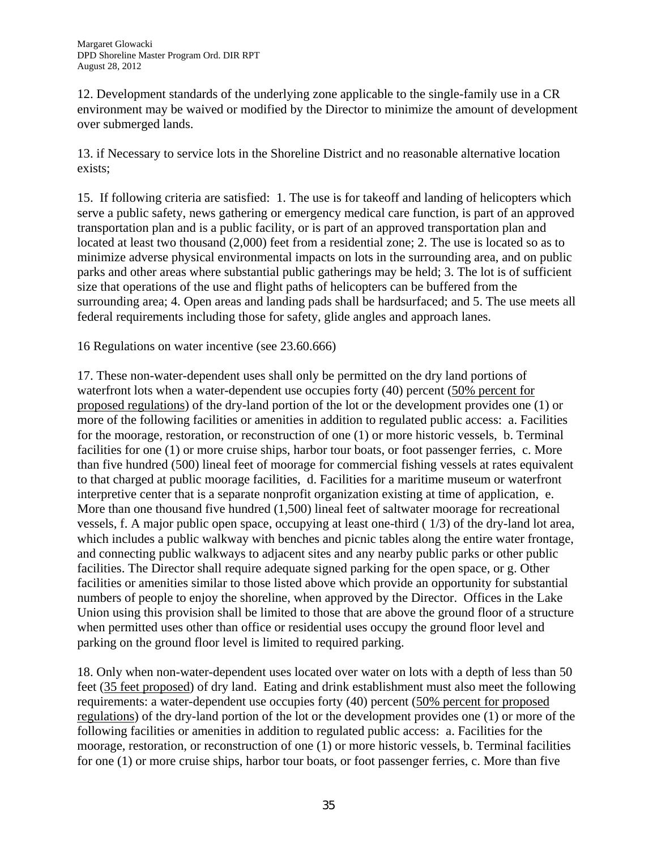12. Development standards of the underlying zone applicable to the single-family use in a CR environment may be waived or modified by the Director to minimize the amount of development over submerged lands.

13. if Necessary to service lots in the Shoreline District and no reasonable alternative location exists;

15. If following criteria are satisfied: 1. The use is for takeoff and landing of helicopters which serve a public safety, news gathering or emergency medical care function, is part of an approved transportation plan and is a public facility, or is part of an approved transportation plan and located at least two thousand (2,000) feet from a residential zone; 2. The use is located so as to minimize adverse physical environmental impacts on lots in the surrounding area, and on public parks and other areas where substantial public gatherings may be held; 3. The lot is of sufficient size that operations of the use and flight paths of helicopters can be buffered from the surrounding area; 4. Open areas and landing pads shall be hardsurfaced; and 5. The use meets all federal requirements including those for safety, glide angles and approach lanes.

16 Regulations on water incentive (see 23.60.666)

17. These non-water-dependent uses shall only be permitted on the dry land portions of waterfront lots when a water-dependent use occupies forty (40) percent (50% percent for proposed regulations) of the dry-land portion of the lot or the development provides one (1) or more of the following facilities or amenities in addition to regulated public access: a. Facilities for the moorage, restoration, or reconstruction of one (1) or more historic vessels, b. Terminal facilities for one (1) or more cruise ships, harbor tour boats, or foot passenger ferries, c. More than five hundred (500) lineal feet of moorage for commercial fishing vessels at rates equivalent to that charged at public moorage facilities, d. Facilities for a maritime museum or waterfront interpretive center that is a separate nonprofit organization existing at time of application, e. More than one thousand five hundred (1,500) lineal feet of saltwater moorage for recreational vessels, f. A major public open space, occupying at least one-third ( 1/3) of the dry-land lot area, which includes a public walkway with benches and picnic tables along the entire water frontage, and connecting public walkways to adjacent sites and any nearby public parks or other public facilities. The Director shall require adequate signed parking for the open space, or g. Other facilities or amenities similar to those listed above which provide an opportunity for substantial numbers of people to enjoy the shoreline, when approved by the Director. Offices in the Lake Union using this provision shall be limited to those that are above the ground floor of a structure when permitted uses other than office or residential uses occupy the ground floor level and parking on the ground floor level is limited to required parking.

18. Only when non-water-dependent uses located over water on lots with a depth of less than 50 feet (35 feet proposed) of dry land. Eating and drink establishment must also meet the following requirements: a water-dependent use occupies forty (40) percent (50% percent for proposed regulations) of the dry-land portion of the lot or the development provides one (1) or more of the following facilities or amenities in addition to regulated public access: a. Facilities for the moorage, restoration, or reconstruction of one (1) or more historic vessels, b. Terminal facilities for one (1) or more cruise ships, harbor tour boats, or foot passenger ferries, c. More than five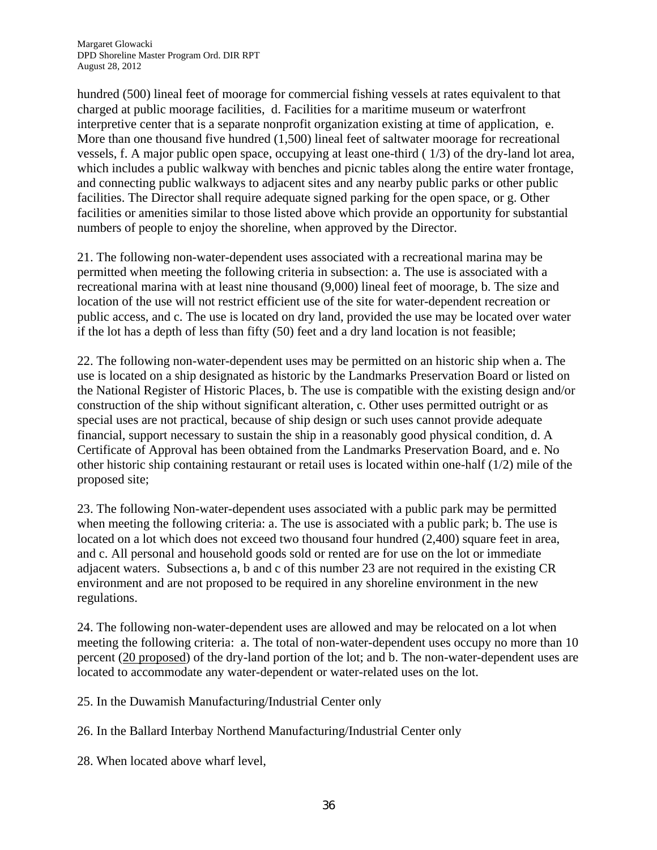hundred (500) lineal feet of moorage for commercial fishing vessels at rates equivalent to that charged at public moorage facilities, d. Facilities for a maritime museum or waterfront interpretive center that is a separate nonprofit organization existing at time of application, e. More than one thousand five hundred (1,500) lineal feet of saltwater moorage for recreational vessels, f. A major public open space, occupying at least one-third ( 1/3) of the dry-land lot area, which includes a public walkway with benches and picnic tables along the entire water frontage, and connecting public walkways to adjacent sites and any nearby public parks or other public facilities. The Director shall require adequate signed parking for the open space, or g. Other facilities or amenities similar to those listed above which provide an opportunity for substantial numbers of people to enjoy the shoreline, when approved by the Director.

21. The following non-water-dependent uses associated with a recreational marina may be permitted when meeting the following criteria in subsection: a. The use is associated with a recreational marina with at least nine thousand (9,000) lineal feet of moorage, b. The size and location of the use will not restrict efficient use of the site for water-dependent recreation or public access, and c. The use is located on dry land, provided the use may be located over water if the lot has a depth of less than fifty (50) feet and a dry land location is not feasible;

22. The following non-water-dependent uses may be permitted on an historic ship when a. The use is located on a ship designated as historic by the Landmarks Preservation Board or listed on the National Register of Historic Places, b. The use is compatible with the existing design and/or construction of the ship without significant alteration, c. Other uses permitted outright or as special uses are not practical, because of ship design or such uses cannot provide adequate financial, support necessary to sustain the ship in a reasonably good physical condition, d. A Certificate of Approval has been obtained from the Landmarks Preservation Board, and e. No other historic ship containing restaurant or retail uses is located within one-half  $(1/2)$  mile of the proposed site;

23. The following Non-water-dependent uses associated with a public park may be permitted when meeting the following criteria: a. The use is associated with a public park; b. The use is located on a lot which does not exceed two thousand four hundred (2,400) square feet in area, and c. All personal and household goods sold or rented are for use on the lot or immediate adjacent waters. Subsections a, b and c of this number 23 are not required in the existing CR environment and are not proposed to be required in any shoreline environment in the new regulations.

24. The following non-water-dependent uses are allowed and may be relocated on a lot when meeting the following criteria: a. The total of non-water-dependent uses occupy no more than 10 percent (20 proposed) of the dry-land portion of the lot; and b. The non-water-dependent uses are located to accommodate any water-dependent or water-related uses on the lot.

25. In the Duwamish Manufacturing/Industrial Center only

26. In the Ballard Interbay Northend Manufacturing/Industrial Center only

28. When located above wharf level,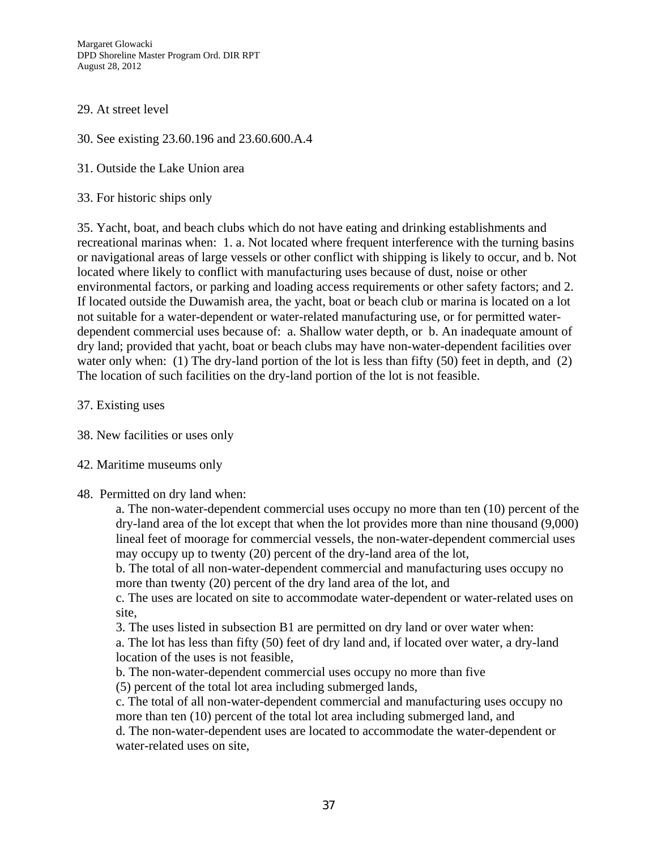Margaret Glowacki DPD Shoreline Master Program Ord. DIR RPT August 28, 2012

#### 29. At street level

- 30. See existing 23.60.196 and 23.60.600.A.4
- 31. Outside the Lake Union area
- 33. For historic ships only

35. Yacht, boat, and beach clubs which do not have eating and drinking establishments and recreational marinas when: 1. a. Not located where frequent interference with the turning basins or navigational areas of large vessels or other conflict with shipping is likely to occur, and b. Not located where likely to conflict with manufacturing uses because of dust, noise or other environmental factors, or parking and loading access requirements or other safety factors; and 2. If located outside the Duwamish area, the yacht, boat or beach club or marina is located on a lot not suitable for a water-dependent or water-related manufacturing use, or for permitted waterdependent commercial uses because of: a. Shallow water depth, or b. An inadequate amount of dry land; provided that yacht, boat or beach clubs may have non-water-dependent facilities over water only when: (1) The dry-land portion of the lot is less than fifty (50) feet in depth, and (2) The location of such facilities on the dry-land portion of the lot is not feasible.

- 37. Existing uses
- 38. New facilities or uses only
- 42. Maritime museums only

#### 48. Permitted on dry land when:

a. The non-water-dependent commercial uses occupy no more than ten (10) percent of the dry-land area of the lot except that when the lot provides more than nine thousand (9,000) lineal feet of moorage for commercial vessels, the non-water-dependent commercial uses may occupy up to twenty (20) percent of the dry-land area of the lot,

b. The total of all non-water-dependent commercial and manufacturing uses occupy no more than twenty (20) percent of the dry land area of the lot, and

c. The uses are located on site to accommodate water-dependent or water-related uses on site,

3. The uses listed in subsection B1 are permitted on dry land or over water when:

a. The lot has less than fifty (50) feet of dry land and, if located over water, a dry-land location of the uses is not feasible,

b. The non-water-dependent commercial uses occupy no more than five

(5) percent of the total lot area including submerged lands,

c. The total of all non-water-dependent commercial and manufacturing uses occupy no more than ten (10) percent of the total lot area including submerged land, and

d. The non-water-dependent uses are located to accommodate the water-dependent or water-related uses on site,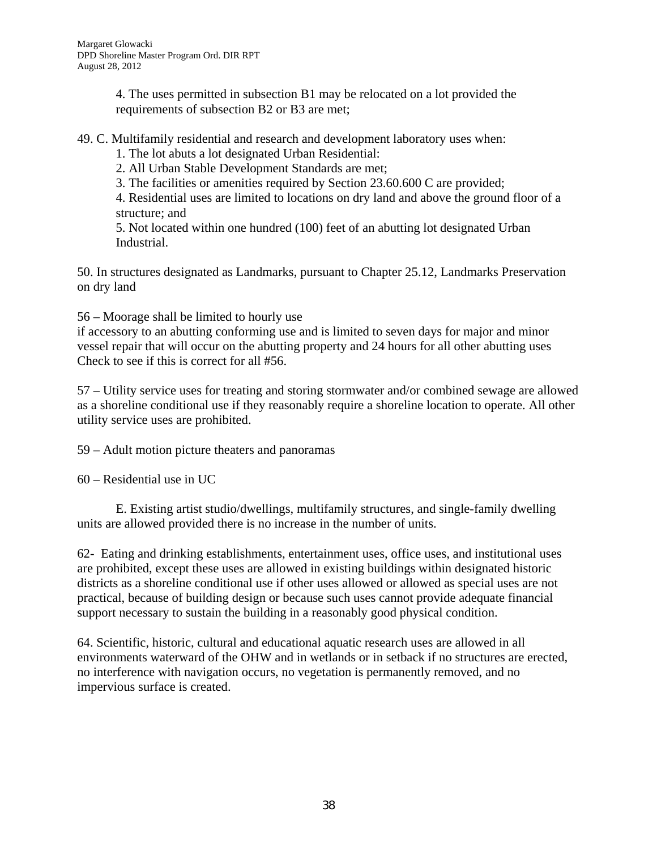4. The uses permitted in subsection B1 may be relocated on a lot provided the requirements of subsection B2 or B3 are met;

49. C. Multifamily residential and research and development laboratory uses when:

1. The lot abuts a lot designated Urban Residential:

2. All Urban Stable Development Standards are met;

3. The facilities or amenities required by Section 23.60.600 C are provided;

4. Residential uses are limited to locations on dry land and above the ground floor of a structure; and

5. Not located within one hundred (100) feet of an abutting lot designated Urban Industrial.

50. In structures designated as Landmarks, pursuant to Chapter 25.12, Landmarks Preservation on dry land

56 – Moorage shall be limited to hourly use

if accessory to an abutting conforming use and is limited to seven days for major and minor vessel repair that will occur on the abutting property and 24 hours for all other abutting uses Check to see if this is correct for all #56.

57 – Utility service uses for treating and storing stormwater and/or combined sewage are allowed as a shoreline conditional use if they reasonably require a shoreline location to operate. All other utility service uses are prohibited.

59 – Adult motion picture theaters and panoramas

60 – Residential use in UC

E. Existing artist studio/dwellings, multifamily structures, and single-family dwelling units are allowed provided there is no increase in the number of units.

62- Eating and drinking establishments, entertainment uses, office uses, and institutional uses are prohibited, except these uses are allowed in existing buildings within designated historic districts as a shoreline conditional use if other uses allowed or allowed as special uses are not practical, because of building design or because such uses cannot provide adequate financial support necessary to sustain the building in a reasonably good physical condition.

64. Scientific, historic, cultural and educational aquatic research uses are allowed in all environments waterward of the OHW and in wetlands or in setback if no structures are erected, no interference with navigation occurs, no vegetation is permanently removed, and no impervious surface is created.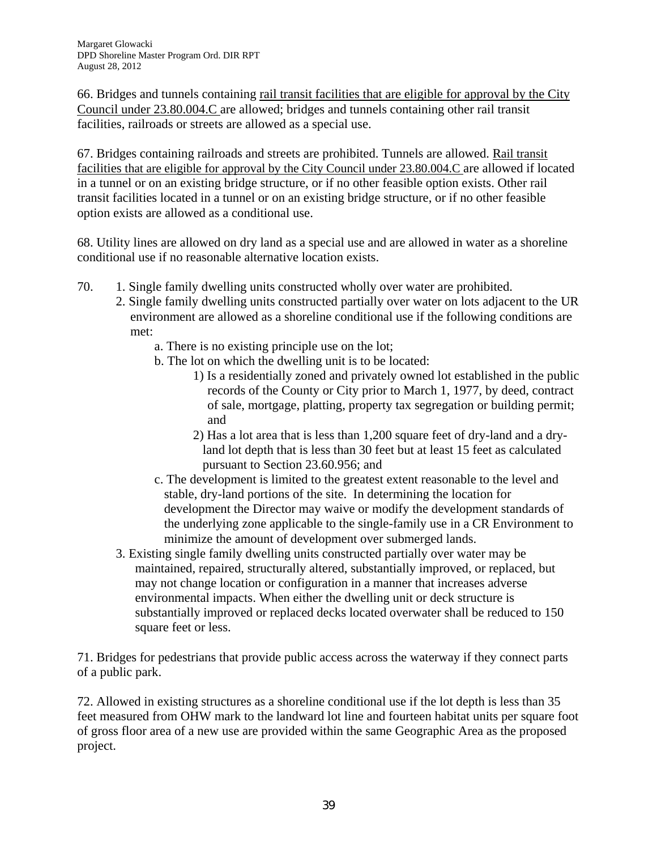66. Bridges and tunnels containing rail transit facilities that are eligible for approval by the City Council under 23.80.004.C are allowed; bridges and tunnels containing other rail transit facilities, railroads or streets are allowed as a special use.

67. Bridges containing railroads and streets are prohibited. Tunnels are allowed. Rail transit facilities that are eligible for approval by the City Council under 23.80.004.C are allowed if located in a tunnel or on an existing bridge structure, or if no other feasible option exists. Other rail transit facilities located in a tunnel or on an existing bridge structure, or if no other feasible option exists are allowed as a conditional use.

68. Utility lines are allowed on dry land as a special use and are allowed in water as a shoreline conditional use if no reasonable alternative location exists.

- 70. 1. Single family dwelling units constructed wholly over water are prohibited.
	- 2. Single family dwelling units constructed partially over water on lots adjacent to the UR environment are allowed as a shoreline conditional use if the following conditions are met:
		- a. There is no existing principle use on the lot;
		- b. The lot on which the dwelling unit is to be located:
			- 1) Is a residentially zoned and privately owned lot established in the public records of the County or City prior to March 1, 1977, by deed, contract of sale, mortgage, platting, property tax segregation or building permit; and
			- 2) Has a lot area that is less than 1,200 square feet of dry-land and a dryland lot depth that is less than 30 feet but at least 15 feet as calculated pursuant to Section 23.60.956; and
		- c. The development is limited to the greatest extent reasonable to the level and stable, dry-land portions of the site. In determining the location for development the Director may waive or modify the development standards of the underlying zone applicable to the single-family use in a CR Environment to minimize the amount of development over submerged lands.
	- 3. Existing single family dwelling units constructed partially over water may be maintained, repaired, structurally altered, substantially improved, or replaced, but may not change location or configuration in a manner that increases adverse environmental impacts. When either the dwelling unit or deck structure is substantially improved or replaced decks located overwater shall be reduced to 150 square feet or less.

71. Bridges for pedestrians that provide public access across the waterway if they connect parts of a public park.

72. Allowed in existing structures as a shoreline conditional use if the lot depth is less than 35 feet measured from OHW mark to the landward lot line and fourteen habitat units per square foot of gross floor area of a new use are provided within the same Geographic Area as the proposed project.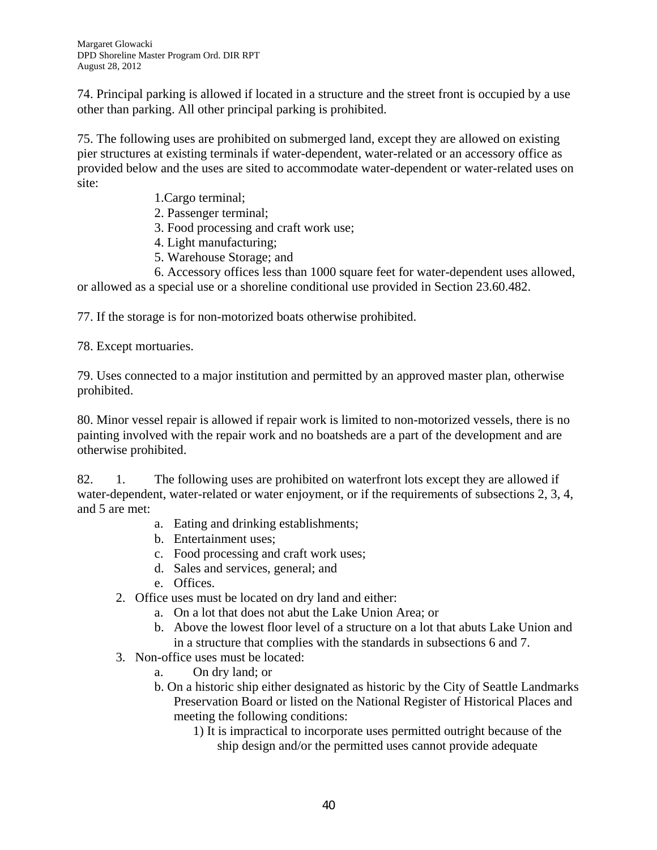74. Principal parking is allowed if located in a structure and the street front is occupied by a use other than parking. All other principal parking is prohibited.

75. The following uses are prohibited on submerged land, except they are allowed on existing pier structures at existing terminals if water-dependent, water-related or an accessory office as provided below and the uses are sited to accommodate water-dependent or water-related uses on site:

- 1.Cargo terminal;
- 2. Passenger terminal;
- 3. Food processing and craft work use;
- 4. Light manufacturing;
- 5. Warehouse Storage; and

 6. Accessory offices less than 1000 square feet for water-dependent uses allowed, or allowed as a special use or a shoreline conditional use provided in Section 23.60.482.

77. If the storage is for non-motorized boats otherwise prohibited.

78. Except mortuaries.

79. Uses connected to a major institution and permitted by an approved master plan, otherwise prohibited.

80. Minor vessel repair is allowed if repair work is limited to non-motorized vessels, there is no painting involved with the repair work and no boatsheds are a part of the development and are otherwise prohibited.

82. 1. The following uses are prohibited on waterfront lots except they are allowed if water-dependent, water-related or water enjoyment, or if the requirements of subsections 2, 3, 4, and 5 are met:

- a. Eating and drinking establishments;
- b. Entertainment uses;
- c. Food processing and craft work uses;
- d. Sales and services, general; and
- e. Offices.
- 2. Office uses must be located on dry land and either:
	- a. On a lot that does not abut the Lake Union Area; or
	- b. Above the lowest floor level of a structure on a lot that abuts Lake Union and in a structure that complies with the standards in subsections 6 and 7.
- 3. Non-office uses must be located:
	- a. On dry land; or
	- b. On a historic ship either designated as historic by the City of Seattle Landmarks Preservation Board or listed on the National Register of Historical Places and meeting the following conditions:
		- 1) It is impractical to incorporate uses permitted outright because of the ship design and/or the permitted uses cannot provide adequate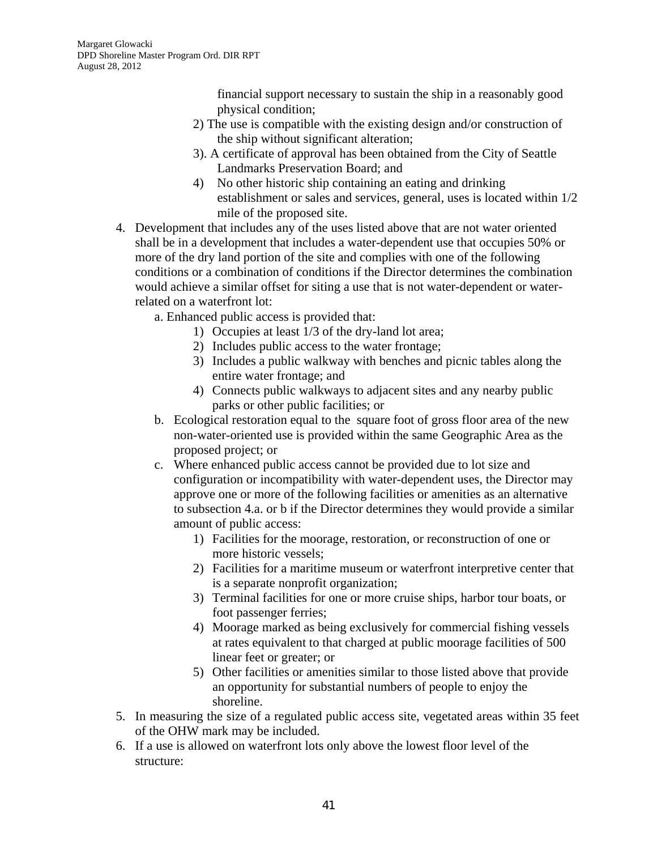financial support necessary to sustain the ship in a reasonably good physical condition;

- 2) The use is compatible with the existing design and/or construction of the ship without significant alteration;
- 3). A certificate of approval has been obtained from the City of Seattle Landmarks Preservation Board; and
- 4) No other historic ship containing an eating and drinking establishment or sales and services, general, uses is located within 1/2 mile of the proposed site.
- 4. Development that includes any of the uses listed above that are not water oriented shall be in a development that includes a water-dependent use that occupies 50% or more of the dry land portion of the site and complies with one of the following conditions or a combination of conditions if the Director determines the combination would achieve a similar offset for siting a use that is not water-dependent or waterrelated on a waterfront lot:
	- a. Enhanced public access is provided that:
		- 1) Occupies at least 1/3 of the dry-land lot area;
		- 2) Includes public access to the water frontage;
		- 3) Includes a public walkway with benches and picnic tables along the entire water frontage; and
		- 4) Connects public walkways to adjacent sites and any nearby public parks or other public facilities; or
	- b. Ecological restoration equal to the square foot of gross floor area of the new non-water-oriented use is provided within the same Geographic Area as the proposed project; or
	- c. Where enhanced public access cannot be provided due to lot size and configuration or incompatibility with water-dependent uses, the Director may approve one or more of the following facilities or amenities as an alternative to subsection 4.a. or b if the Director determines they would provide a similar amount of public access:
		- 1) Facilities for the moorage, restoration, or reconstruction of one or more historic vessels;
		- 2) Facilities for a maritime museum or waterfront interpretive center that is a separate nonprofit organization;
		- 3) Terminal facilities for one or more cruise ships, harbor tour boats, or foot passenger ferries;
		- 4) Moorage marked as being exclusively for commercial fishing vessels at rates equivalent to that charged at public moorage facilities of 500 linear feet or greater; or
		- 5) Other facilities or amenities similar to those listed above that provide an opportunity for substantial numbers of people to enjoy the shoreline.
- 5. In measuring the size of a regulated public access site, vegetated areas within 35 feet of the OHW mark may be included.
- 6. If a use is allowed on waterfront lots only above the lowest floor level of the structure: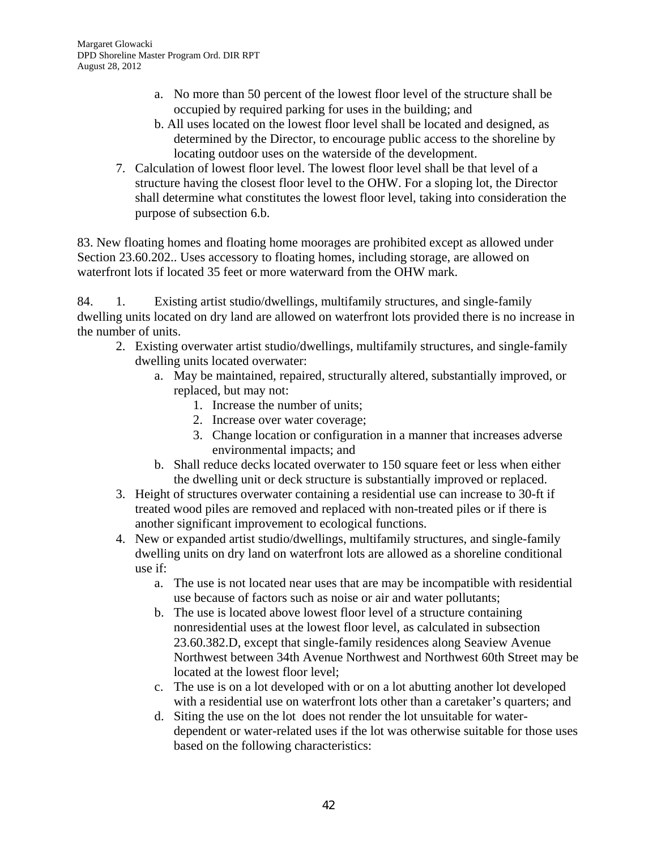- a. No more than 50 percent of the lowest floor level of the structure shall be occupied by required parking for uses in the building; and
- b. All uses located on the lowest floor level shall be located and designed, as determined by the Director, to encourage public access to the shoreline by locating outdoor uses on the waterside of the development.
- 7. Calculation of lowest floor level. The lowest floor level shall be that level of a structure having the closest floor level to the OHW. For a sloping lot, the Director shall determine what constitutes the lowest floor level, taking into consideration the purpose of subsection 6.b.

83. New floating homes and floating home moorages are prohibited except as allowed under Section 23.60.202.. Uses accessory to floating homes, including storage, are allowed on waterfront lots if located 35 feet or more waterward from the OHW mark.

84. 1. Existing artist studio/dwellings, multifamily structures, and single-family dwelling units located on dry land are allowed on waterfront lots provided there is no increase in the number of units.

- 2. Existing overwater artist studio/dwellings, multifamily structures, and single-family dwelling units located overwater:
	- a. May be maintained, repaired, structurally altered, substantially improved, or replaced, but may not:
		- 1. Increase the number of units;
		- 2. Increase over water coverage;
		- 3. Change location or configuration in a manner that increases adverse environmental impacts; and
	- b. Shall reduce decks located overwater to 150 square feet or less when either the dwelling unit or deck structure is substantially improved or replaced.
- 3. Height of structures overwater containing a residential use can increase to 30-ft if treated wood piles are removed and replaced with non-treated piles or if there is another significant improvement to ecological functions.
- 4. New or expanded artist studio/dwellings, multifamily structures, and single-family dwelling units on dry land on waterfront lots are allowed as a shoreline conditional use if:
	- a. The use is not located near uses that are may be incompatible with residential use because of factors such as noise or air and water pollutants;
	- b. The use is located above lowest floor level of a structure containing nonresidential uses at the lowest floor level, as calculated in subsection 23.60.382.D, except that single-family residences along Seaview Avenue Northwest between 34th Avenue Northwest and Northwest 60th Street may be located at the lowest floor level;
	- c. The use is on a lot developed with or on a lot abutting another lot developed with a residential use on waterfront lots other than a caretaker's quarters; and
	- d. Siting the use on the lot does not render the lot unsuitable for waterdependent or water-related uses if the lot was otherwise suitable for those uses based on the following characteristics: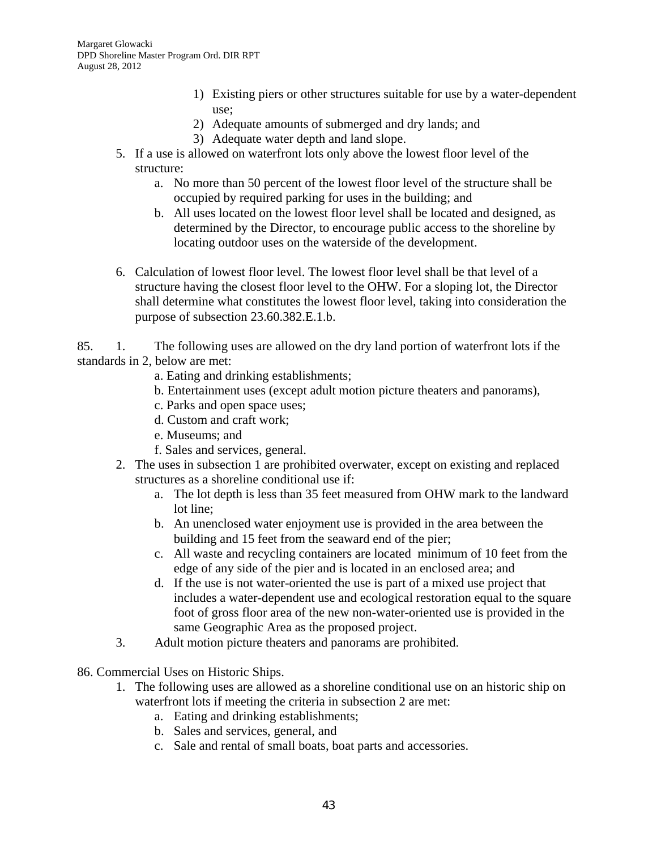- 1) Existing piers or other structures suitable for use by a water-dependent use;
- 2) Adequate amounts of submerged and dry lands; and
- 3) Adequate water depth and land slope.
- 5. If a use is allowed on waterfront lots only above the lowest floor level of the structure:
	- a. No more than 50 percent of the lowest floor level of the structure shall be occupied by required parking for uses in the building; and
	- b. All uses located on the lowest floor level shall be located and designed, as determined by the Director, to encourage public access to the shoreline by locating outdoor uses on the waterside of the development.
- 6. Calculation of lowest floor level. The lowest floor level shall be that level of a structure having the closest floor level to the OHW. For a sloping lot, the Director shall determine what constitutes the lowest floor level, taking into consideration the purpose of subsection 23.60.382.E.1.b.

85. 1. The following uses are allowed on the dry land portion of waterfront lots if the standards in 2, below are met:

- a. Eating and drinking establishments;
- b. Entertainment uses (except adult motion picture theaters and panorams),
- c. Parks and open space uses;
- d. Custom and craft work;
- e. Museums; and
- f. Sales and services, general.
- 2. The uses in subsection 1 are prohibited overwater, except on existing and replaced structures as a shoreline conditional use if:
	- a. The lot depth is less than 35 feet measured from OHW mark to the landward lot line;
	- b. An unenclosed water enjoyment use is provided in the area between the building and 15 feet from the seaward end of the pier;
	- c. All waste and recycling containers are located minimum of 10 feet from the edge of any side of the pier and is located in an enclosed area; and
	- d. If the use is not water-oriented the use is part of a mixed use project that includes a water-dependent use and ecological restoration equal to the square foot of gross floor area of the new non-water-oriented use is provided in the same Geographic Area as the proposed project.
- 3. Adult motion picture theaters and panorams are prohibited.
- 86. Commercial Uses on Historic Ships.
	- 1. The following uses are allowed as a shoreline conditional use on an historic ship on waterfront lots if meeting the criteria in subsection 2 are met:
		- a. Eating and drinking establishments;
		- b. Sales and services, general, and
		- c. Sale and rental of small boats, boat parts and accessories.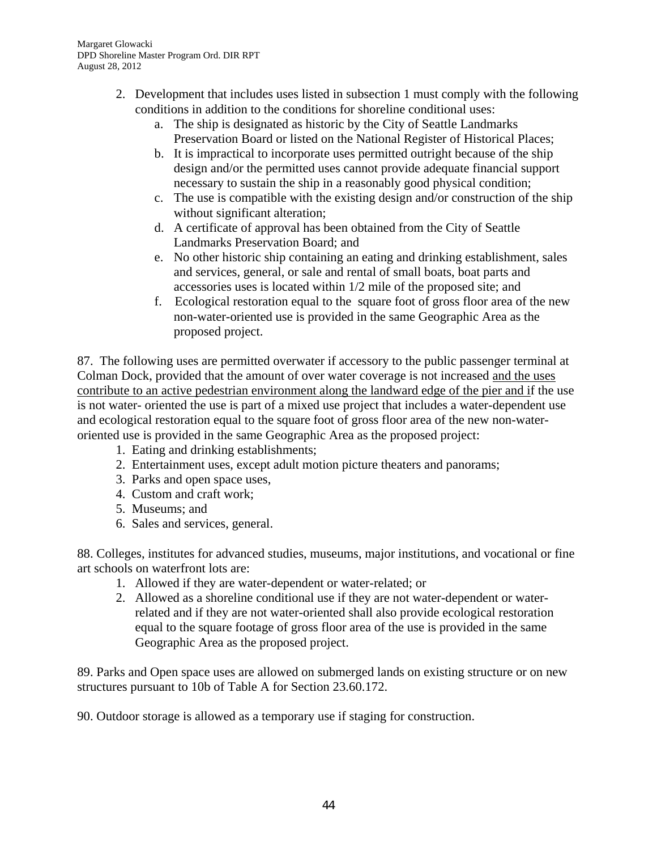- 2. Development that includes uses listed in subsection 1 must comply with the following conditions in addition to the conditions for shoreline conditional uses:
	- a. The ship is designated as historic by the City of Seattle Landmarks Preservation Board or listed on the National Register of Historical Places;
	- b. It is impractical to incorporate uses permitted outright because of the ship design and/or the permitted uses cannot provide adequate financial support necessary to sustain the ship in a reasonably good physical condition;
	- c. The use is compatible with the existing design and/or construction of the ship without significant alteration;
	- d. A certificate of approval has been obtained from the City of Seattle Landmarks Preservation Board; and
	- e. No other historic ship containing an eating and drinking establishment, sales and services, general, or sale and rental of small boats, boat parts and accessories uses is located within 1/2 mile of the proposed site; and
	- f. Ecological restoration equal to the square foot of gross floor area of the new non-water-oriented use is provided in the same Geographic Area as the proposed project.

87. The following uses are permitted overwater if accessory to the public passenger terminal at Colman Dock, provided that the amount of over water coverage is not increased and the uses contribute to an active pedestrian environment along the landward edge of the pier and if the use is not water- oriented the use is part of a mixed use project that includes a water-dependent use and ecological restoration equal to the square foot of gross floor area of the new non-wateroriented use is provided in the same Geographic Area as the proposed project:

- 1. Eating and drinking establishments;
- 2. Entertainment uses, except adult motion picture theaters and panorams;
- 3. Parks and open space uses,
- 4. Custom and craft work;
- 5. Museums; and
- 6. Sales and services, general.

88. Colleges, institutes for advanced studies, museums, major institutions, and vocational or fine art schools on waterfront lots are:

- 1. Allowed if they are water-dependent or water-related; or
- 2. Allowed as a shoreline conditional use if they are not water-dependent or waterrelated and if they are not water-oriented shall also provide ecological restoration equal to the square footage of gross floor area of the use is provided in the same Geographic Area as the proposed project.

89. Parks and Open space uses are allowed on submerged lands on existing structure or on new structures pursuant to 10b of Table A for Section 23.60.172.

90. Outdoor storage is allowed as a temporary use if staging for construction.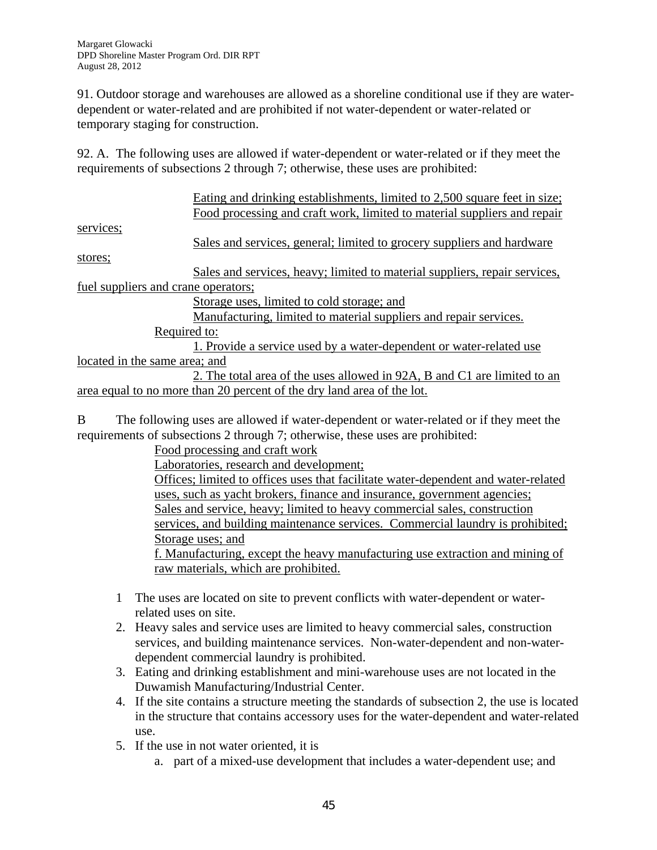91. Outdoor storage and warehouses are allowed as a shoreline conditional use if they are waterdependent or water-related and are prohibited if not water-dependent or water-related or temporary staging for construction.

92. A. The following uses are allowed if water-dependent or water-related or if they meet the requirements of subsections 2 through 7; otherwise, these uses are prohibited:

|                                     | Eating and drinking establishments, limited to 2,500 square feet in size;  |
|-------------------------------------|----------------------------------------------------------------------------|
|                                     | Food processing and craft work, limited to material suppliers and repair   |
| services;                           |                                                                            |
|                                     | Sales and services, general; limited to grocery suppliers and hardware     |
| stores;                             |                                                                            |
|                                     | Sales and services, heavy; limited to material suppliers, repair services, |
| fuel suppliers and crane operators; |                                                                            |
|                                     | Storage uses, limited to cold storage; and                                 |
|                                     | Manufacturing, limited to material suppliers and repair services.          |
| Required to:                        |                                                                            |
|                                     | 1. Provide a service used by a water-dependent or water-related use        |
| located in the same area; and       |                                                                            |
|                                     | 2. The total area of the uses allowed in 92A, B and C1 are limited to an   |
|                                     | area equal to no more than 20 percent of the dry land area of the lot.     |
|                                     |                                                                            |
|                                     |                                                                            |

B The following uses are allowed if water-dependent or water-related or if they meet the requirements of subsections 2 through 7; otherwise, these uses are prohibited:

Food processing and craft work Laboratories, research and development; Offices; limited to offices uses that facilitate water-dependent and water-related uses, such as yacht brokers, finance and insurance, government agencies; Sales and service, heavy; limited to heavy commercial sales, construction services, and building maintenance services. Commercial laundry is prohibited; Storage uses; and f. Manufacturing, except the heavy manufacturing use extraction and mining of raw materials, which are prohibited.

- 1 The uses are located on site to prevent conflicts with water-dependent or waterrelated uses on site.
- 2. Heavy sales and service uses are limited to heavy commercial sales, construction services, and building maintenance services. Non-water-dependent and non-waterdependent commercial laundry is prohibited.
- 3. Eating and drinking establishment and mini-warehouse uses are not located in the Duwamish Manufacturing/Industrial Center.
- 4. If the site contains a structure meeting the standards of subsection 2, the use is located in the structure that contains accessory uses for the water-dependent and water-related use.
- 5. If the use in not water oriented, it is
	- a. part of a mixed-use development that includes a water-dependent use; and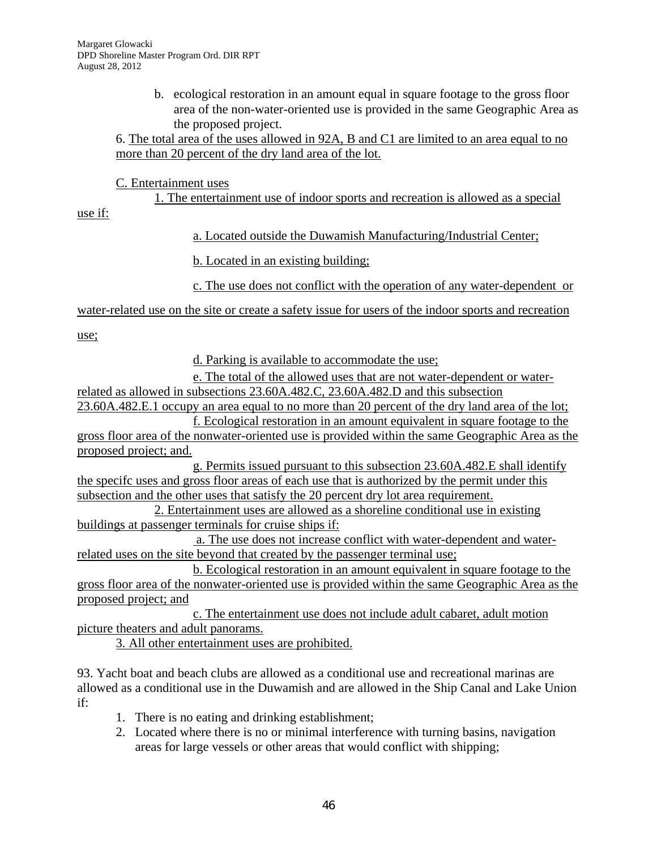b. ecological restoration in an amount equal in square footage to the gross floor area of the non-water-oriented use is provided in the same Geographic Area as the proposed project.

6. The total area of the uses allowed in 92A, B and C1 are limited to an area equal to no more than 20 percent of the dry land area of the lot.

C. Entertainment uses

1. The entertainment use of indoor sports and recreation is allowed as a special

use if:

a. Located outside the Duwamish Manufacturing/Industrial Center;

b. Located in an existing building;

c. The use does not conflict with the operation of any water-dependent or

water-related use on the site or create a safety issue for users of the indoor sports and recreation

use;

d. Parking is available to accommodate the use;

e. The total of the allowed uses that are not water-dependent or waterrelated as allowed in subsections 23.60A.482.C, 23.60A.482.D and this subsection

23.60A.482.E.1 occupy an area equal to no more than 20 percent of the dry land area of the lot; f. Ecological restoration in an amount equivalent in square footage to the

gross floor area of the nonwater-oriented use is provided within the same Geographic Area as the proposed project; and.

g. Permits issued pursuant to this subsection 23.60A.482.E shall identify the specifc uses and gross floor areas of each use that is authorized by the permit under this subsection and the other uses that satisfy the 20 percent dry lot area requirement.

2. Entertainment uses are allowed as a shoreline conditional use in existing buildings at passenger terminals for cruise ships if:

 a. The use does not increase conflict with water-dependent and waterrelated uses on the site beyond that created by the passenger terminal use;

b. Ecological restoration in an amount equivalent in square footage to the gross floor area of the nonwater-oriented use is provided within the same Geographic Area as the proposed project; and

c. The entertainment use does not include adult cabaret, adult motion picture theaters and adult panorams.

3. All other entertainment uses are prohibited.

93. Yacht boat and beach clubs are allowed as a conditional use and recreational marinas are allowed as a conditional use in the Duwamish and are allowed in the Ship Canal and Lake Union if:

- 1. There is no eating and drinking establishment;
- 2. Located where there is no or minimal interference with turning basins, navigation areas for large vessels or other areas that would conflict with shipping;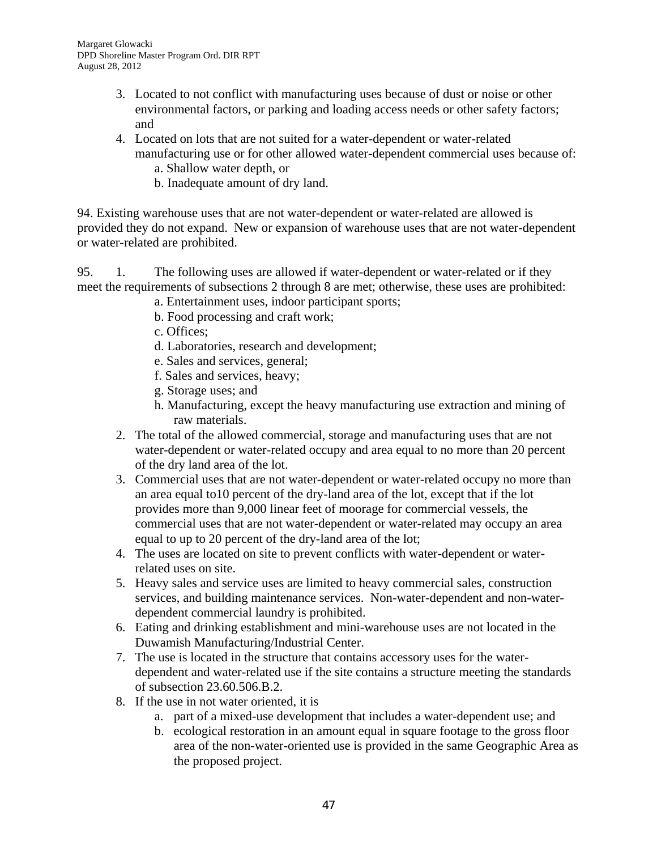- 3. Located to not conflict with manufacturing uses because of dust or noise or other environmental factors, or parking and loading access needs or other safety factors; and
- 4. Located on lots that are not suited for a water-dependent or water-related manufacturing use or for other allowed water-dependent commercial uses because of:
	- a. Shallow water depth, or
	- b. Inadequate amount of dry land.

94. Existing warehouse uses that are not water-dependent or water-related are allowed is provided they do not expand. New or expansion of warehouse uses that are not water-dependent or water-related are prohibited.

95. 1. The following uses are allowed if water-dependent or water-related or if they meet the requirements of subsections 2 through 8 are met; otherwise, these uses are prohibited:

- a. Entertainment uses, indoor participant sports;
- b. Food processing and craft work;
- c. Offices;
- d. Laboratories, research and development;
- e. Sales and services, general;
- f. Sales and services, heavy;
- g. Storage uses; and
- h. Manufacturing, except the heavy manufacturing use extraction and mining of raw materials.
- 2. The total of the allowed commercial, storage and manufacturing uses that are not water-dependent or water-related occupy and area equal to no more than 20 percent of the dry land area of the lot.
- 3. Commercial uses that are not water-dependent or water-related occupy no more than an area equal to10 percent of the dry-land area of the lot, except that if the lot provides more than 9,000 linear feet of moorage for commercial vessels, the commercial uses that are not water-dependent or water-related may occupy an area equal to up to 20 percent of the dry-land area of the lot;
- 4. The uses are located on site to prevent conflicts with water-dependent or waterrelated uses on site.
- 5. Heavy sales and service uses are limited to heavy commercial sales, construction services, and building maintenance services. Non-water-dependent and non-waterdependent commercial laundry is prohibited.
- 6. Eating and drinking establishment and mini-warehouse uses are not located in the Duwamish Manufacturing/Industrial Center.
- 7. The use is located in the structure that contains accessory uses for the waterdependent and water-related use if the site contains a structure meeting the standards of subsection 23.60.506.B.2.
- 8. If the use in not water oriented, it is
	- a. part of a mixed-use development that includes a water-dependent use; and
	- b. ecological restoration in an amount equal in square footage to the gross floor area of the non-water-oriented use is provided in the same Geographic Area as the proposed project.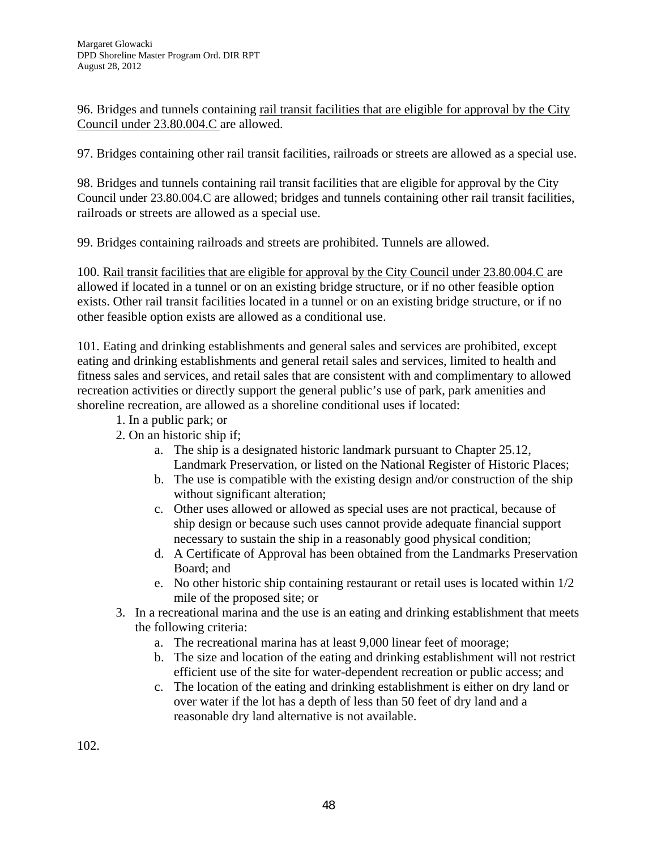96. Bridges and tunnels containing rail transit facilities that are eligible for approval by the City Council under 23.80.004.C are allowed.

97. Bridges containing other rail transit facilities, railroads or streets are allowed as a special use.

98. Bridges and tunnels containing rail transit facilities that are eligible for approval by the City Council under 23.80.004.C are allowed; bridges and tunnels containing other rail transit facilities, railroads or streets are allowed as a special use.

99. Bridges containing railroads and streets are prohibited. Tunnels are allowed.

100. Rail transit facilities that are eligible for approval by the City Council under 23.80.004.C are allowed if located in a tunnel or on an existing bridge structure, or if no other feasible option exists. Other rail transit facilities located in a tunnel or on an existing bridge structure, or if no other feasible option exists are allowed as a conditional use.

101. Eating and drinking establishments and general sales and services are prohibited, except eating and drinking establishments and general retail sales and services, limited to health and fitness sales and services, and retail sales that are consistent with and complimentary to allowed recreation activities or directly support the general public's use of park, park amenities and shoreline recreation, are allowed as a shoreline conditional uses if located:

- 1. In a public park; or
- 2. On an historic ship if;
	- a. The ship is a designated historic landmark pursuant to Chapter 25.12, Landmark Preservation, or listed on the National Register of Historic Places;
	- b. The use is compatible with the existing design and/or construction of the ship without significant alteration;
	- c. Other uses allowed or allowed as special uses are not practical, because of ship design or because such uses cannot provide adequate financial support necessary to sustain the ship in a reasonably good physical condition;
	- d. A Certificate of Approval has been obtained from the Landmarks Preservation Board; and
	- e. No other historic ship containing restaurant or retail uses is located within 1/2 mile of the proposed site; or
- 3. In a recreational marina and the use is an eating and drinking establishment that meets the following criteria:
	- a. The recreational marina has at least 9,000 linear feet of moorage;
	- b. The size and location of the eating and drinking establishment will not restrict efficient use of the site for water-dependent recreation or public access; and
	- c. The location of the eating and drinking establishment is either on dry land or over water if the lot has a depth of less than 50 feet of dry land and a reasonable dry land alternative is not available.

102.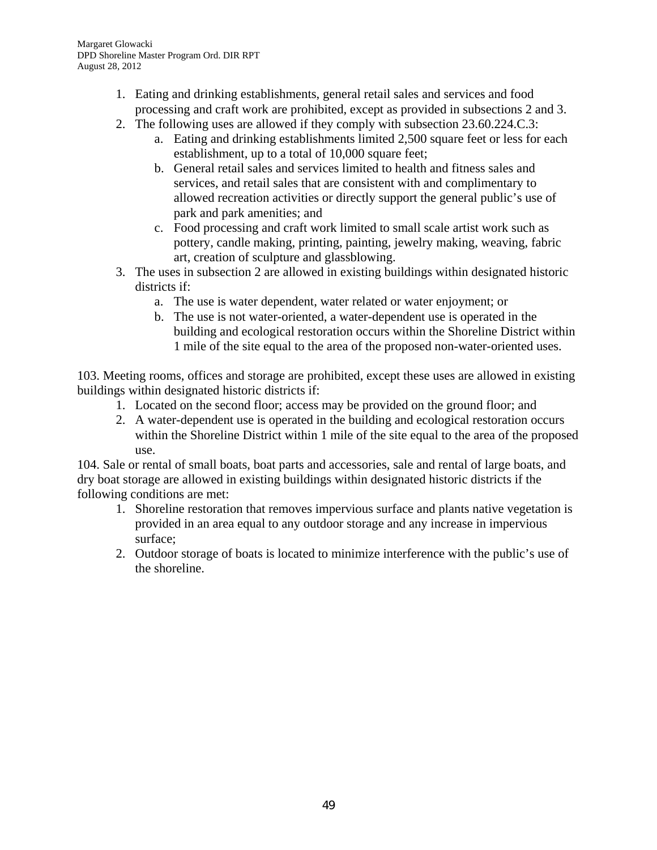- 1. Eating and drinking establishments, general retail sales and services and food processing and craft work are prohibited, except as provided in subsections 2 and 3.
- 2. The following uses are allowed if they comply with subsection 23.60.224.C.3:
	- a. Eating and drinking establishments limited 2,500 square feet or less for each establishment, up to a total of 10,000 square feet;
	- b. General retail sales and services limited to health and fitness sales and services, and retail sales that are consistent with and complimentary to allowed recreation activities or directly support the general public's use of park and park amenities; and
	- c. Food processing and craft work limited to small scale artist work such as pottery, candle making, printing, painting, jewelry making, weaving, fabric art, creation of sculpture and glassblowing.
- 3. The uses in subsection 2 are allowed in existing buildings within designated historic districts if:
	- a. The use is water dependent, water related or water enjoyment; or
	- b. The use is not water-oriented, a water-dependent use is operated in the building and ecological restoration occurs within the Shoreline District within 1 mile of the site equal to the area of the proposed non-water-oriented uses.

103. Meeting rooms, offices and storage are prohibited, except these uses are allowed in existing buildings within designated historic districts if:

- 1. Located on the second floor; access may be provided on the ground floor; and
- 2. A water-dependent use is operated in the building and ecological restoration occurs within the Shoreline District within 1 mile of the site equal to the area of the proposed use.

104. Sale or rental of small boats, boat parts and accessories, sale and rental of large boats, and dry boat storage are allowed in existing buildings within designated historic districts if the following conditions are met:

- 1. Shoreline restoration that removes impervious surface and plants native vegetation is provided in an area equal to any outdoor storage and any increase in impervious surface;
- 2. Outdoor storage of boats is located to minimize interference with the public's use of the shoreline.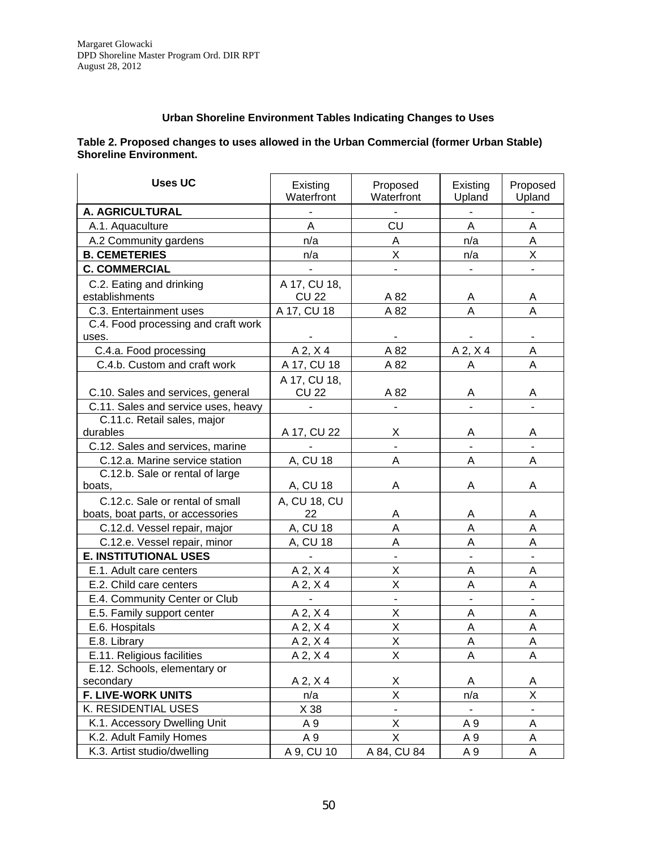#### **Urban Shoreline Environment Tables Indicating Changes to Uses**

#### **Table 2. Proposed changes to uses allowed in the Urban Commercial (former Urban Stable) Shoreline Environment.**

| <b>Uses UC</b>                         | Existing<br>Waterfront | Proposed<br>Waterfront   | Existing<br>Upland | Proposed<br>Upland |
|----------------------------------------|------------------------|--------------------------|--------------------|--------------------|
| A. AGRICULTURAL                        |                        |                          |                    |                    |
| A.1. Aquaculture                       | A                      | CU                       | Α                  | Α                  |
| A.2 Community gardens                  | n/a                    | A                        | n/a                | A                  |
| <b>B. CEMETERIES</b>                   | n/a                    | X                        | n/a                | X                  |
| <b>C. COMMERCIAL</b>                   |                        |                          |                    |                    |
| C.2. Eating and drinking               | A 17, CU 18,           |                          |                    |                    |
| establishments                         | <b>CU 22</b>           | A 82                     | A                  | A                  |
| C.3. Entertainment uses                | A 17, CU 18            | A 82                     | A                  | A                  |
| C.4. Food processing and craft work    |                        |                          |                    |                    |
| uses.                                  |                        |                          |                    |                    |
| C.4.a. Food processing                 | $A$ 2, $X$ 4           | A 82                     | $A$ 2, $X$ 4       | A                  |
| C.4.b. Custom and craft work           | A 17, CU 18            | A 82                     | Α                  | Α                  |
|                                        | A 17, CU 18,           |                          |                    |                    |
| C.10. Sales and services, general      | <b>CU 22</b>           | A 82                     | Α                  | Α                  |
| C.11. Sales and service uses, heavy    |                        |                          |                    |                    |
| C.11.c. Retail sales, major            |                        |                          |                    |                    |
| durables                               | A 17, CU 22            | Χ                        | Α                  | Α                  |
| C.12. Sales and services, marine       |                        | ä,                       | $\overline{a}$     |                    |
| C.12.a. Marine service station         | A, CU 18               | Α                        | Α                  | Α                  |
| C.12.b. Sale or rental of large        |                        |                          |                    |                    |
| boats,                                 | A, CU 18               | Α                        | Α                  | Α                  |
| C.12.c. Sale or rental of small        | A, CU 18, CU           |                          |                    |                    |
| boats, boat parts, or accessories      | 22                     | Α<br>A                   | Α<br>A             | A<br>A             |
| C.12.d. Vessel repair, major           | A, CU 18               | A                        |                    |                    |
| C.12.e. Vessel repair, minor           | A, CU 18               |                          | A                  | A                  |
| <b>E. INSTITUTIONAL USES</b>           |                        |                          |                    |                    |
| E.1. Adult care centers                | A 2, X 4               | X                        | А                  | A                  |
| E.2. Child care centers                | $A$ 2, $X$ 4           | X                        | A                  | A                  |
| E.4. Community Center or Club          |                        |                          |                    |                    |
| E.5. Family support center             | A 2, X 4               | Χ                        | Α                  | A                  |
| E.6. Hospitals                         | $A$ 2, $X$ 4           | X                        | A                  | A                  |
| E.8. Library                           | $A$ 2, $X$ 4           | X                        | Α                  | A                  |
| E.11. Religious facilities             | A 2, X 4               | X                        | A                  | $\mathsf A$        |
| E.12. Schools, elementary or           |                        |                          |                    |                    |
| secondary<br><b>F. LIVE-WORK UNITS</b> | $A$ 2, $X$ 4<br>n/a    | Χ<br>X                   | Α<br>n/a           | A<br>X             |
| K. RESIDENTIAL USES                    | X 38                   | $\overline{\phantom{0}}$ | $\blacksquare$     | $\blacksquare$     |
| K.1. Accessory Dwelling Unit           | A 9                    | Χ                        |                    |                    |
| K.2. Adult Family Homes                | A 9                    | X                        | A 9                | Α                  |
| K.3. Artist studio/dwelling            | A 9, CU 10             | A 84, CU 84              | A 9                | Α                  |
|                                        |                        |                          | A 9                | Α                  |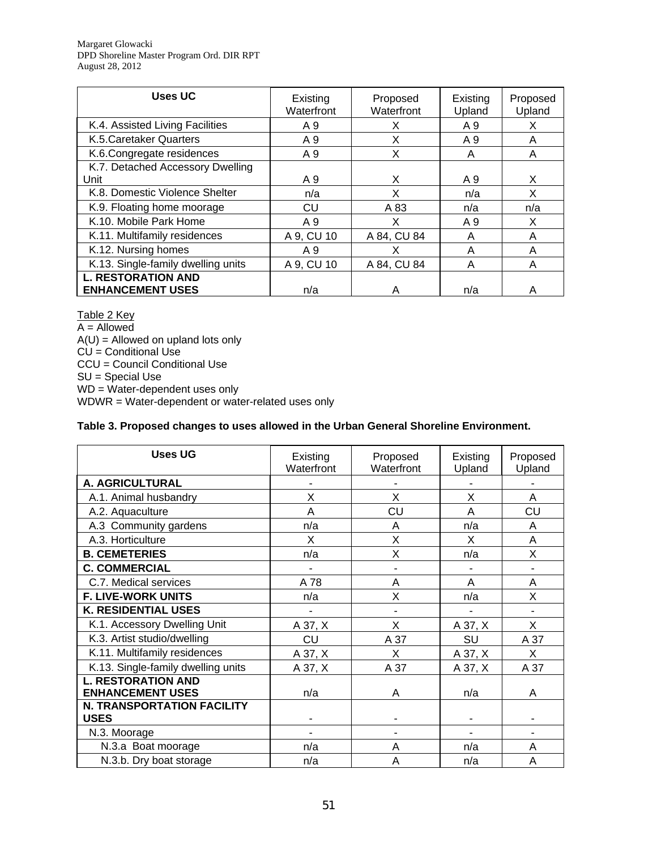Margaret Glowacki DPD Shoreline Master Program Ord. DIR RPT August 28, 2012

| <b>Uses UC</b>                     | Existing<br>Waterfront | Proposed<br>Waterfront | Existing<br>Upland | Proposed<br>Upland |
|------------------------------------|------------------------|------------------------|--------------------|--------------------|
| K.4. Assisted Living Facilities    | A 9                    | X                      | A 9                | X                  |
| K.5. Caretaker Quarters            | A 9                    | X                      | A 9                | Α                  |
| K.6.Congregate residences          | A 9                    | Χ                      | A                  | Α                  |
| K.7. Detached Accessory Dwelling   |                        |                        |                    |                    |
| Unit                               | A 9                    | X                      | A 9                | X                  |
| K.8. Domestic Violence Shelter     | n/a                    | X                      | n/a                | X                  |
| K.9. Floating home moorage         | CU                     | A 83                   | n/a                | n/a                |
| K.10. Mobile Park Home             | A 9                    | x                      | A 9                | X                  |
| K.11. Multifamily residences       | A 9, CU 10             | A 84, CU 84            | A                  | A                  |
| K.12. Nursing homes                | A 9                    | x                      | A                  | A                  |
| K.13. Single-family dwelling units | A 9, CU 10             | A 84, CU 84            | Α                  | Α                  |
| <b>L. RESTORATION AND</b>          |                        |                        |                    |                    |
| <b>ENHANCEMENT USES</b>            | n/a                    | А                      | n/a                | А                  |

Table 2 Key  $A =$  Allowed  $A(U)$  = Allowed on upland lots only CU = Conditional Use CCU = Council Conditional Use SU = Special Use WD = Water-dependent uses only WDWR = Water-dependent or water-related uses only

#### **Table 3. Proposed changes to uses allowed in the Urban General Shoreline Environment.**

| <b>Uses UG</b>                                   | Existing<br>Waterfront | Proposed<br>Waterfront | Existing<br>Upland | Proposed<br>Upland |
|--------------------------------------------------|------------------------|------------------------|--------------------|--------------------|
| A. AGRICULTURAL                                  |                        |                        |                    |                    |
| A.1. Animal husbandry                            | X                      | X                      | X                  | A                  |
| A.2. Aquaculture                                 | A                      | CU                     | A                  | CU                 |
| A.3 Community gardens                            | n/a                    | A                      | n/a                | Α                  |
| A.3. Horticulture                                | X                      | X                      | X                  | A                  |
| <b>B. CEMETERIES</b>                             | n/a                    | Χ                      | n/a                | X                  |
| <b>C. COMMERCIAL</b>                             |                        |                        |                    |                    |
| C.7. Medical services                            | A 78                   | A                      | A                  | A                  |
| <b>F. LIVE-WORK UNITS</b>                        | n/a                    | X                      | n/a                | X                  |
| <b>K. RESIDENTIAL USES</b>                       |                        |                        |                    |                    |
| K.1. Accessory Dwelling Unit                     | A 37, X                | X                      | A 37, X            | X                  |
| K.3. Artist studio/dwelling                      | CU                     | A 37                   | SU                 | A 37               |
| K.11. Multifamily residences                     | A 37, X                | X                      | A 37, X            | X                  |
| K.13. Single-family dwelling units               | A 37, X                | A 37                   | A 37, X            | A 37               |
| <b>L. RESTORATION AND</b>                        |                        |                        |                    |                    |
| <b>ENHANCEMENT USES</b>                          | n/a                    | A                      | n/a                | Α                  |
| <b>N. TRANSPORTATION FACILITY</b><br><b>USES</b> |                        |                        |                    |                    |
| N.3. Moorage                                     |                        | ۰                      | ۰                  |                    |
| N.3.a Boat moorage                               | n/a                    | A                      | n/a                | A                  |
| N.3.b. Dry boat storage                          | n/a                    | A                      | n/a                | Α                  |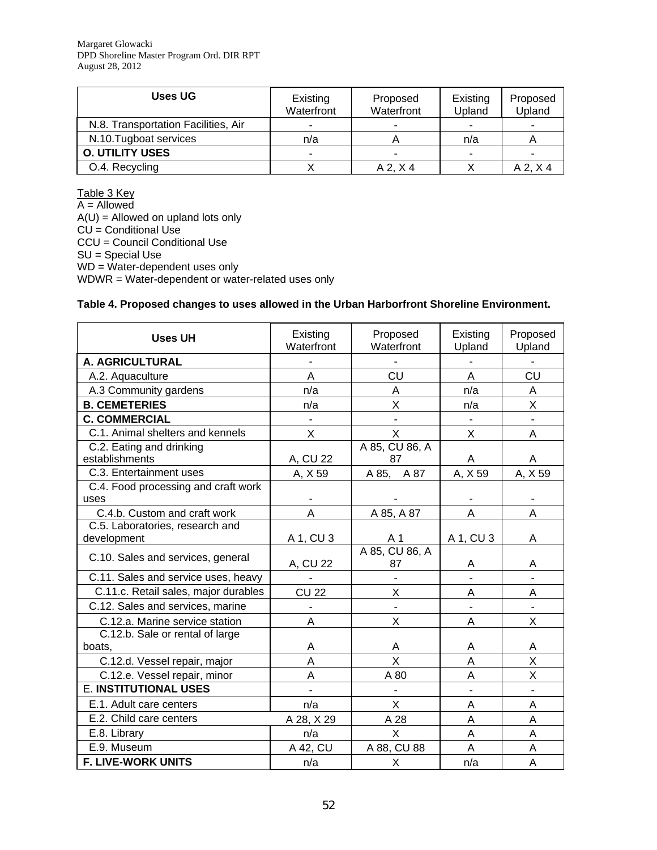| Uses UG                             | Existing<br>Waterfront | Proposed<br>Waterfront | Existing<br>Upland       | Proposed<br>Upland |
|-------------------------------------|------------------------|------------------------|--------------------------|--------------------|
| N.8. Transportation Facilities, Air | -                      |                        | $\blacksquare$           |                    |
| N.10. Tugboat services              | n/a                    |                        | n/a                      |                    |
| <b>O. UTILITY USES</b>              |                        |                        | $\overline{\phantom{0}}$ |                    |
| O.4. Recycling                      |                        | $A$ 2, $X$ 4           |                          | A 2, X 4           |

Table 3 Key A = Allowed  $A(U) =$  Allowed on upland lots only  $CU =$  Conditional Use CCU = Council Conditional Use SU = Special Use WD = Water-dependent uses only WDWR = Water-dependent or water-related uses only

#### **Table 4. Proposed changes to uses allowed in the Urban Harborfront Shoreline Environment.**

| <b>Uses UH</b>                                                  | Existing<br>Waterfront | Proposed<br>Waterfront | Existing<br>Upland       | Proposed<br>Upland |
|-----------------------------------------------------------------|------------------------|------------------------|--------------------------|--------------------|
| A. AGRICULTURAL                                                 |                        |                        |                          |                    |
| A.2. Aquaculture                                                | A                      | CU                     | A                        | CU                 |
| A.3 Community gardens                                           | n/a                    | A                      | n/a                      | Α                  |
| <b>B. CEMETERIES</b>                                            | n/a                    | Χ                      | n/a                      | Χ                  |
| <b>C. COMMERCIAL</b>                                            |                        | $\blacksquare$         | $\overline{\phantom{0}}$ |                    |
| C.1. Animal shelters and kennels                                | X                      | $\mathsf{x}$           | X                        | A                  |
| C.2. Eating and drinking                                        |                        | A 85, CU 86, A         |                          |                    |
| establishments                                                  | A, CU 22               | 87                     | A                        | A                  |
| C.3. Entertainment uses                                         | A, X 59                | A 85, A 87             | A, X 59                  | A, X 59            |
| C.4. Food processing and craft work                             |                        |                        |                          |                    |
| uses                                                            |                        |                        | A                        |                    |
| C.4.b. Custom and craft work<br>C.5. Laboratories, research and | A                      | A 85, A 87             |                          | A                  |
| development                                                     | A 1, CU 3              | A <sub>1</sub>         | A 1, CU 3                | A                  |
|                                                                 |                        | A 85, CU 86, A         |                          |                    |
| C.10. Sales and services, general                               | A, CU 22               | 87                     | A                        | Α                  |
| C.11. Sales and service uses, heavy                             |                        |                        |                          |                    |
| C.11.c. Retail sales, major durables                            | <b>CU 22</b>           | X                      | A                        | A                  |
| C.12. Sales and services, marine                                |                        |                        |                          |                    |
| C.12.a. Marine service station                                  | A                      | X                      | A                        | X                  |
| C.12.b. Sale or rental of large                                 |                        |                        |                          |                    |
| boats.                                                          | A                      | A                      | A                        | A                  |
| C.12.d. Vessel repair, major                                    | A                      | X                      | A                        | X                  |
| C.12.e. Vessel repair, minor                                    | A                      | A 80                   | A                        | X                  |
| <b>E. INSTITUTIONAL USES</b>                                    |                        |                        |                          |                    |
| E.1. Adult care centers                                         | n/a                    | X.                     | Α                        | A                  |
| E.2. Child care centers                                         | A 28, X 29             | A 28                   | A                        | A                  |
| E.8. Library                                                    | n/a                    | X                      | A                        | A                  |
| E.9. Museum                                                     | A 42, CU               | A 88, CU 88            | A                        | A                  |
| F. LIVE-WORK UNITS                                              | n/a                    | X                      | n/a                      | A                  |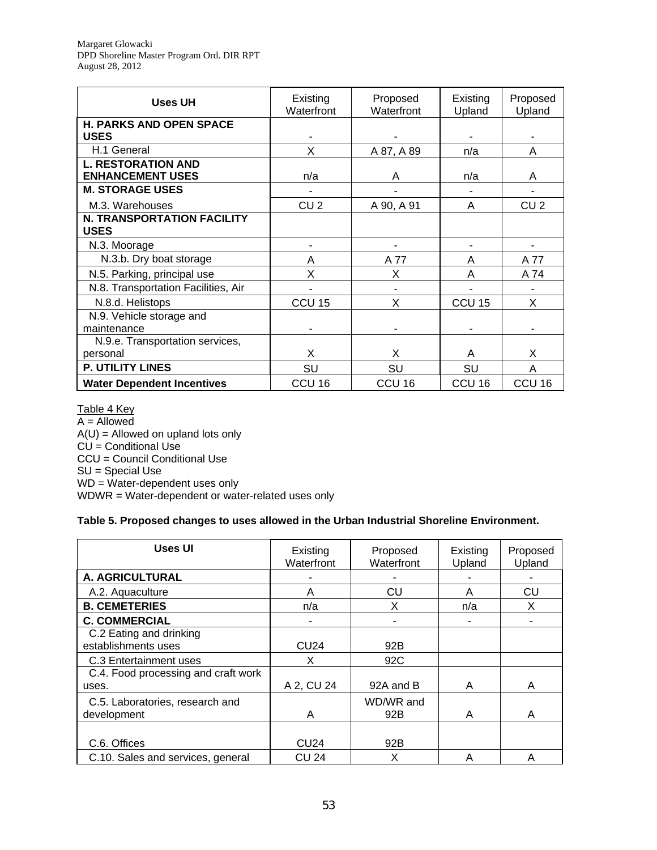| Uses UH                                              | Existing<br>Waterfront | Proposed<br>Waterfront | Existing<br>Upland | Proposed<br>Upland |
|------------------------------------------------------|------------------------|------------------------|--------------------|--------------------|
| <b>H. PARKS AND OPEN SPACE</b><br><b>USES</b>        |                        |                        |                    |                    |
| H.1 General                                          | X                      | A 87, A 89             | n/a                | Α                  |
| <b>L. RESTORATION AND</b><br><b>ENHANCEMENT USES</b> | n/a                    | A                      | n/a                | A                  |
| <b>M. STORAGE USES</b>                               |                        |                        |                    |                    |
| M.3. Warehouses                                      | CU <sub>2</sub>        | A 90, A 91             | A                  | CU <sub>2</sub>    |
| <b>N. TRANSPORTATION FACILITY</b><br><b>USES</b>     |                        |                        |                    |                    |
| N.3. Moorage                                         |                        |                        |                    |                    |
| N.3.b. Dry boat storage                              | Α                      | A 77                   | A                  | A 77               |
| N.5. Parking, principal use                          | Χ                      | X                      | A                  | A 74               |
| N.8. Transportation Facilities, Air                  |                        |                        |                    |                    |
| N.8.d. Helistops                                     | CCU <sub>15</sub>      | X                      | CCU <sub>15</sub>  | X                  |
| N.9. Vehicle storage and<br>maintenance              |                        |                        |                    |                    |
| N.9.e. Transportation services,                      |                        |                        |                    |                    |
| personal                                             | X                      | X                      | A                  | X                  |
| P. UTILITY LINES                                     | SU                     | SU                     | SU                 | A                  |
| <b>Water Dependent Incentives</b>                    | CCU <sub>16</sub>      | CCU <sub>16</sub>      | CCU <sub>16</sub>  | CCU <sub>16</sub>  |

#### Table 4 Key

 $A =$  Allowed  $A(U) =$  Allowed on upland lots only  $C\dot{\cup}$  = Conditional Use CCU = Council Conditional Use SU = Special Use WD = Water-dependent uses only WDWR = Water-dependent or water-related uses only

#### **Table 5. Proposed changes to uses allowed in the Urban Industrial Shoreline Environment.**

| Uses UI                             | Existing<br>Waterfront | Proposed<br>Waterfront | Existing | Proposed |
|-------------------------------------|------------------------|------------------------|----------|----------|
|                                     |                        |                        | Upland   | Upland   |
| A. AGRICULTURAL                     |                        |                        |          |          |
| A.2. Aquaculture                    | Α                      | CU                     | A        | CU       |
| <b>B. CEMETERIES</b>                | n/a                    | х                      | n/a      | X        |
| <b>C. COMMERCIAL</b>                |                        |                        |          |          |
| C.2 Eating and drinking             |                        |                        |          |          |
| establishments uses                 | <b>CU24</b>            | 92B                    |          |          |
| C.3 Entertainment uses              | x                      | 92C                    |          |          |
| C.4. Food processing and craft work |                        |                        |          |          |
| uses.                               | A 2, CU 24             | 92A and B              | A        | A        |
| C.5. Laboratories, research and     |                        | WD/WR and              |          |          |
| development                         | Α                      | 92B                    | A        | A        |
|                                     |                        |                        |          |          |
| C.6. Offices                        | <b>CU24</b>            | 92B                    |          |          |
| C.10. Sales and services, general   | <b>CU 24</b>           | X                      | A        | A        |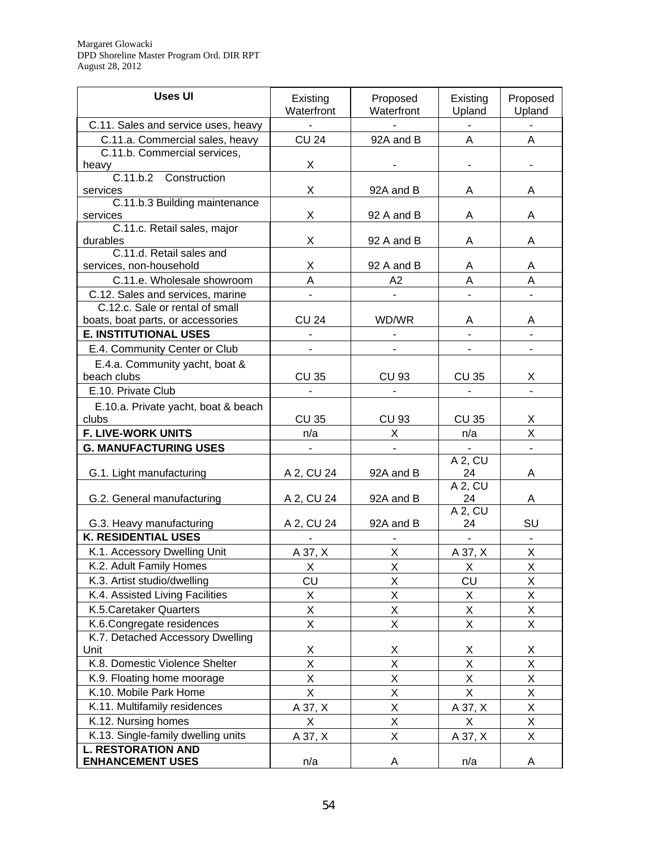| <b>Uses UI</b>                                         | Existing<br>Waterfront   | Proposed<br>Waterfront | Existing<br>Upland | Proposed<br>Upland      |
|--------------------------------------------------------|--------------------------|------------------------|--------------------|-------------------------|
| C.11. Sales and service uses, heavy                    | $\overline{\phantom{a}}$ |                        | $\blacksquare$     |                         |
| C.11.a. Commercial sales, heavy                        | <b>CU 24</b>             | 92A and B              | A                  | A                       |
| C.11.b. Commercial services,                           |                          |                        |                    |                         |
| heavy                                                  | X                        |                        |                    |                         |
| C.11.b.2 Construction                                  |                          |                        |                    |                         |
| services                                               | X                        | 92A and B              | A                  | A                       |
| C.11.b.3 Building maintenance                          |                          |                        |                    |                         |
| services<br>C.11.c. Retail sales, major                | X                        | 92 A and B             | Α                  | A                       |
| durables                                               | X                        | 92 A and B             | Α                  | A                       |
| C.11.d. Retail sales and                               |                          |                        |                    |                         |
| services, non-household                                | Χ                        | 92 A and B             | A                  | Α                       |
| C.11.e. Wholesale showroom                             | A                        | A2                     | A                  | A                       |
| C.12. Sales and services, marine                       |                          |                        |                    |                         |
| C.12.c. Sale or rental of small                        |                          |                        |                    |                         |
| boats, boat parts, or accessories                      | <b>CU 24</b>             | WD/WR                  | A                  | Α                       |
| <b>E. INSTITUTIONAL USES</b>                           |                          |                        |                    |                         |
| E.4. Community Center or Club                          |                          |                        |                    |                         |
| E.4.a. Community yacht, boat &                         |                          |                        |                    |                         |
| beach clubs                                            | <b>CU 35</b>             | <b>CU 93</b>           | CU 35              | X                       |
| E.10. Private Club                                     |                          |                        |                    |                         |
| E.10.a. Private yacht, boat & beach                    |                          |                        |                    |                         |
| clubs                                                  | <b>CU 35</b>             | <b>CU 93</b>           | <b>CU 35</b>       | X                       |
| <b>F. LIVE-WORK UNITS</b>                              | n/a                      | X                      | n/a                | $\overline{\mathsf{X}}$ |
| <b>G. MANUFACTURING USES</b>                           |                          |                        | $\blacksquare$     |                         |
|                                                        |                          |                        | A 2, CU            |                         |
| G.1. Light manufacturing                               | A 2, CU 24               | 92A and B              | 24                 | A                       |
|                                                        |                          |                        | A 2, CU            |                         |
| G.2. General manufacturing                             | A 2, CU 24               | 92A and B              | 24                 | Α                       |
|                                                        |                          |                        | A 2, CU            |                         |
| G.3. Heavy manufacturing<br><b>K. RESIDENTIAL USES</b> | A 2, CU 24               | 92A and B              | 24                 | SU                      |
|                                                        |                          |                        | $\mathbf{r}$       |                         |
| K.1. Accessory Dwelling Unit                           | A 37, X                  | $\mathsf{X}% _{0}$     | A 37, X            | Χ                       |
| K.2. Adult Family Homes                                | $\mathsf{X}$             | $\overline{X}$         | $\mathsf{X}$       | $\mathsf{X}% _{0}$      |
| K.3. Artist studio/dwelling                            | CU                       | X                      | CU                 | X                       |
| K.4. Assisted Living Facilities                        | X                        | X                      | X                  | Χ                       |
| K.5. Caretaker Quarters                                | X                        | X                      | Χ                  | X                       |
| K.6.Congregate residences                              | X                        | X                      | Χ                  | X                       |
| K.7. Detached Accessory Dwelling                       |                          |                        |                    |                         |
| Unit                                                   | Χ                        | Χ                      | Χ                  | Χ                       |
| K.8. Domestic Violence Shelter                         | X                        | X                      | X                  | $\mathsf X$             |
| K.9. Floating home moorage                             | X                        | X                      | Χ                  | $\mathsf X$             |
| K.10. Mobile Park Home                                 | Χ                        | Χ                      | X                  | Χ                       |
| K.11. Multifamily residences                           | A 37, X                  | Χ                      | A 37, X            | Χ                       |
| K.12. Nursing homes                                    | X                        | X                      | X                  | Χ                       |
| K.13. Single-family dwelling units                     | A 37, X                  | X                      | A 37, X            | X                       |
| <b>L. RESTORATION AND</b>                              |                          |                        |                    |                         |
| <b>ENHANCEMENT USES</b>                                | n/a                      | Α                      | n/a                | A                       |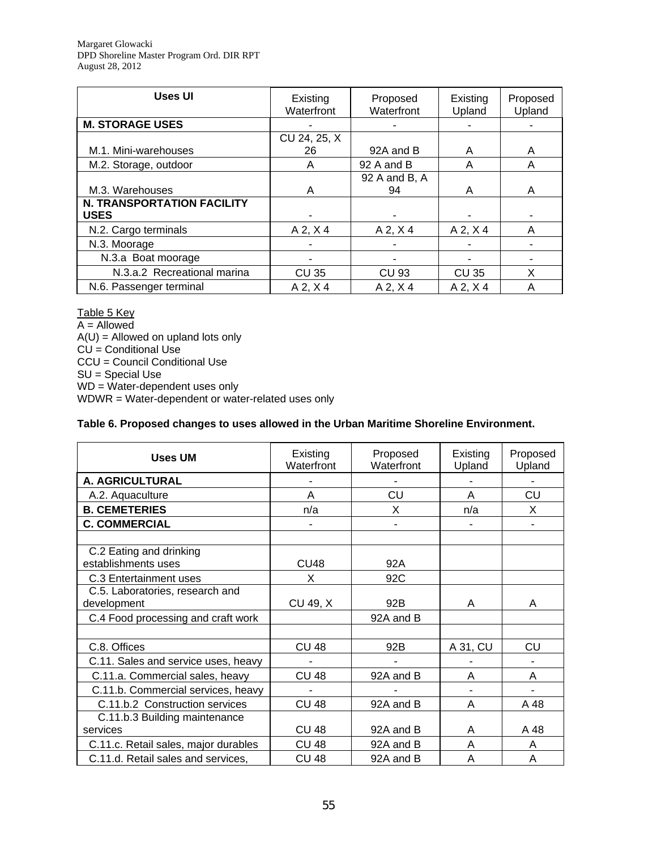Margaret Glowacki DPD Shoreline Master Program Ord. DIR RPT August 28, 2012

| <b>Uses UI</b>                                   | Existing<br>Waterfront | Proposed<br>Waterfront | Existing<br>Upland | Proposed<br>Upland |
|--------------------------------------------------|------------------------|------------------------|--------------------|--------------------|
| <b>M. STORAGE USES</b>                           |                        |                        |                    |                    |
|                                                  | CU 24, 25, X           |                        |                    |                    |
| M.1. Mini-warehouses                             | 26                     | 92A and B              | A                  | A                  |
| M.2. Storage, outdoor                            | A                      | 92 A and B             | A                  | A                  |
|                                                  |                        | 92 A and B, A          |                    |                    |
| M.3. Warehouses                                  | A                      | 94                     | A                  | A                  |
| <b>N. TRANSPORTATION FACILITY</b><br><b>USES</b> |                        |                        |                    |                    |
| N.2. Cargo terminals                             | $A$ 2, $X$ 4           | $A$ 2, $X$ 4           | $A$ 2, $X$ 4       | A                  |
| N.3. Moorage                                     |                        |                        |                    |                    |
| N.3.a Boat moorage                               |                        |                        |                    |                    |
| N.3.a.2 Recreational marina                      | <b>CU 35</b>           | CU 93                  | <b>CU 35</b>       | X                  |
| N.6. Passenger terminal                          | $A$ 2, $X$ 4           | $A$ 2, $X$ 4           | $A$ 2, $X$ 4       | A                  |

#### Table 5 Key

A = Allowed  $A(U) =$  Allowed on upland lots only  $CU =$  Conditional Use CCU = Council Conditional Use SU = Special Use WD = Water-dependent uses only WDWR = Water-dependent or water-related uses only

#### **Table 6. Proposed changes to uses allowed in the Urban Maritime Shoreline Environment.**

| <b>Uses UM</b>                                 | Existing<br>Waterfront | Proposed<br>Waterfront | Existing<br>Upland | Proposed<br>Upland |
|------------------------------------------------|------------------------|------------------------|--------------------|--------------------|
| A. AGRICULTURAL                                |                        |                        |                    |                    |
| A.2. Aquaculture                               | A                      | CU                     | A                  | CU                 |
| <b>B. CEMETERIES</b>                           | n/a                    | X                      | n/a                | X                  |
| <b>C. COMMERCIAL</b>                           |                        |                        |                    |                    |
|                                                |                        |                        |                    |                    |
| C.2 Eating and drinking<br>establishments uses | CU <sub>48</sub>       | 92A                    |                    |                    |
| C.3 Entertainment uses                         | X                      | 92C                    |                    |                    |
| C.5. Laboratories, research and<br>development | CU 49, X               | 92B                    | A                  | A                  |
| C.4 Food processing and craft work             |                        | 92A and B              |                    |                    |
|                                                |                        |                        |                    |                    |
| C.8. Offices                                   | <b>CU 48</b>           | 92B                    | A 31, CU           | CU                 |
| C.11. Sales and service uses, heavy            |                        |                        |                    |                    |
| C.11.a. Commercial sales, heavy                | <b>CU 48</b>           | 92A and B              | A                  | A                  |
| C.11.b. Commercial services, heavy             |                        |                        |                    |                    |
| C.11.b.2 Construction services                 | <b>CU 48</b>           | 92A and B              | A                  | A 48               |
| C.11.b.3 Building maintenance                  |                        |                        |                    |                    |
| services                                       | <b>CU 48</b>           | 92A and B              | A                  | A 48               |
| C.11.c. Retail sales, major durables           | <b>CU 48</b>           | 92A and B              | A                  | A                  |
| C.11.d. Retail sales and services,             | CU 48                  | 92A and B              | A                  | Α                  |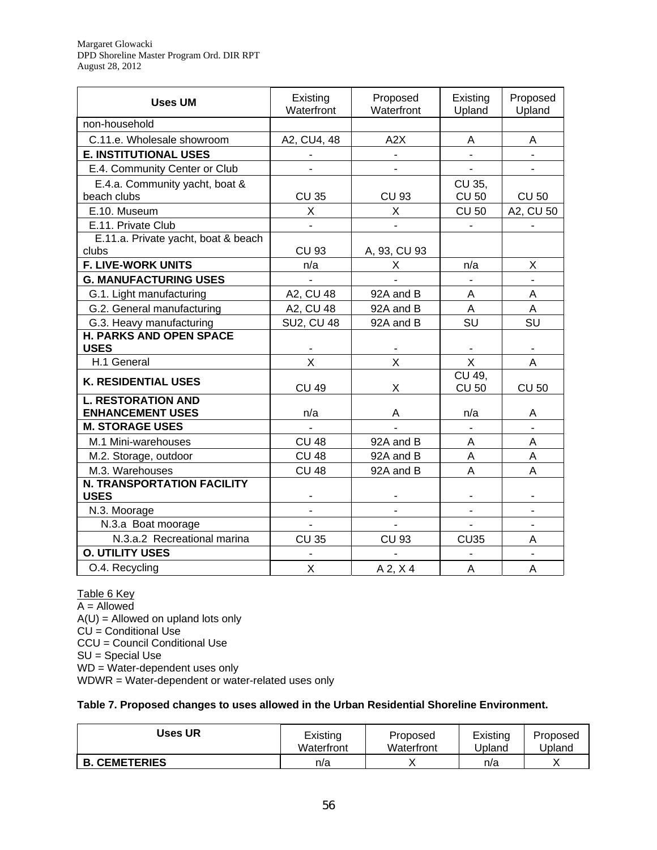| <b>Uses UM</b>                                | Existing<br>Waterfront | Proposed<br>Waterfront | Existing<br>Upland       | Proposed<br>Upland |
|-----------------------------------------------|------------------------|------------------------|--------------------------|--------------------|
| non-household                                 |                        |                        |                          |                    |
| C.11.e. Wholesale showroom                    | A2, CU4, 48            | A2X                    | A                        | A                  |
| <b>E. INSTITUTIONAL USES</b>                  |                        | ٠                      | $\overline{\phantom{a}}$ |                    |
| E.4. Community Center or Club                 |                        |                        |                          |                    |
| E.4.a. Community yacht, boat &                |                        |                        | CU 35,                   |                    |
| beach clubs                                   | <b>CU 35</b>           | <b>CU 93</b>           | <b>CU 50</b>             | <b>CU 50</b>       |
| E.10. Museum                                  | X                      | X                      | <b>CU 50</b>             | A2, CU 50          |
| E.11. Private Club                            | ÷,                     | ä,                     | $\blacksquare$           |                    |
| E.11.a. Private yacht, boat & beach           |                        |                        |                          |                    |
| clubs                                         | <b>CU 93</b>           | A, 93, CU 93           |                          |                    |
| <b>F. LIVE-WORK UNITS</b>                     | n/a                    | Χ                      | n/a                      | Χ                  |
| <b>G. MANUFACTURING USES</b>                  |                        |                        |                          |                    |
| G.1. Light manufacturing                      | A2, CU 48              | 92A and B              | A                        | A                  |
| G.2. General manufacturing                    | A2, CU 48              | 92A and B              | $\overline{A}$           | A                  |
| G.3. Heavy manufacturing                      | <b>SU2, CU 48</b>      | 92A and B              | SU                       | SU                 |
| <b>H. PARKS AND OPEN SPACE</b><br><b>USES</b> |                        |                        |                          |                    |
| H.1 General                                   | X                      | X                      | X                        | Α                  |
| <b>K. RESIDENTIAL USES</b>                    | <b>CU 49</b>           | Χ                      | CU 49,<br><b>CU 50</b>   | <b>CU 50</b>       |
| <b>L. RESTORATION AND</b>                     |                        |                        |                          |                    |
| <b>ENHANCEMENT USES</b>                       | n/a                    | A                      | n/a                      | Α                  |
| <b>M. STORAGE USES</b>                        |                        |                        | $\overline{a}$           |                    |
| M.1 Mini-warehouses                           | <b>CU 48</b>           | 92A and B              | Α                        | A                  |
| M.2. Storage, outdoor                         | <b>CU 48</b>           | 92A and B              | A                        | A                  |
| M.3. Warehouses                               | <b>CU 48</b>           | 92A and B              | A                        | A                  |
| <b>N. TRANSPORTATION FACILITY</b>             |                        |                        |                          |                    |
| <b>USES</b>                                   |                        |                        |                          |                    |
| N.3. Moorage                                  |                        |                        |                          |                    |
| N.3.a Boat moorage                            |                        |                        |                          |                    |
| N.3.a.2 Recreational marina                   | <b>CU 35</b>           | <b>CU 93</b>           | CU35                     | A                  |
| <b>O. UTILITY USES</b>                        |                        |                        |                          |                    |
| O.4. Recycling                                | X                      | $A$ 2, $X$ 4           | $\overline{A}$           | $\overline{A}$     |

Table 6 Key A = Allowed  $A(U) =$  Allowed on upland lots only  $CU =$  Conditional Use CCU = Council Conditional Use SU = Special Use WD = Water-dependent uses only WDWR = Water-dependent or water-related uses only

#### **Table 7. Proposed changes to uses allowed in the Urban Residential Shoreline Environment.**

| Uses UR              | Existing   | Proposed   | Existing | Proposed |
|----------------------|------------|------------|----------|----------|
|                      | Waterfront | Waterfront | Upland   | Jpland   |
| <b>B. CEMETERIES</b> | n/a        |            | n/a      |          |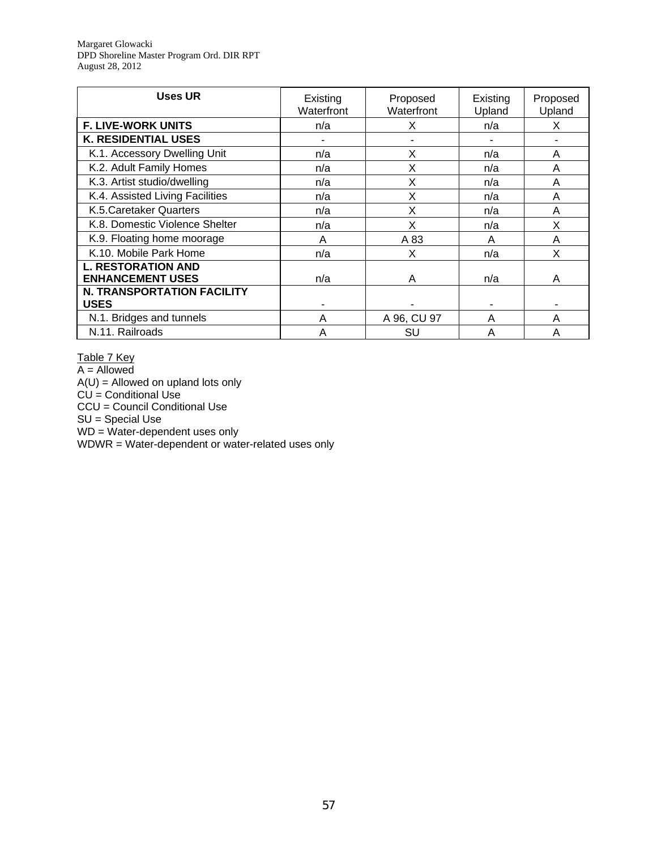Margaret Glowacki DPD Shoreline Master Program Ord. DIR RPT August 28, 2012

| <b>Uses UR</b>                                       | Existing<br>Waterfront | Proposed<br>Waterfront | Existing<br>Upland | Proposed<br>Upland |
|------------------------------------------------------|------------------------|------------------------|--------------------|--------------------|
| <b>F. LIVE-WORK UNITS</b>                            | n/a                    | х                      | n/a                | X                  |
| <b>K. RESIDENTIAL USES</b>                           |                        |                        |                    |                    |
| K.1. Accessory Dwelling Unit                         | n/a                    | X                      | n/a                | A                  |
| K.2. Adult Family Homes                              | n/a                    | X                      | n/a                | A                  |
| K.3. Artist studio/dwelling                          | n/a                    | X                      | n/a                | A                  |
| K.4. Assisted Living Facilities                      | n/a                    | x                      | n/a                | A                  |
| K.5. Caretaker Quarters                              | n/a                    | X                      | n/a                | A                  |
| K.8. Domestic Violence Shelter                       | n/a                    | X                      | n/a                | X                  |
| K.9. Floating home moorage                           | A                      | A 83                   | Α                  | A                  |
| K.10. Mobile Park Home                               | n/a                    | X                      | n/a                | X                  |
| <b>L. RESTORATION AND</b><br><b>ENHANCEMENT USES</b> | n/a                    | A                      | n/a                | A                  |
| <b>N. TRANSPORTATION FACILITY</b>                    |                        |                        |                    |                    |
| <b>USES</b>                                          |                        |                        |                    |                    |
| N.1. Bridges and tunnels                             | A                      | A 96, CU 97            | A                  | A                  |
| N.11. Railroads                                      | Α                      | SU                     | Α                  | A                  |

Table 7 Key A = Allowed  $A(U)$  = Allowed on upland lots only

CU = Conditional Use CCU = Council Conditional Use

SU = Special Use

WD = Water-dependent uses only

WDWR = Water-dependent or water-related uses only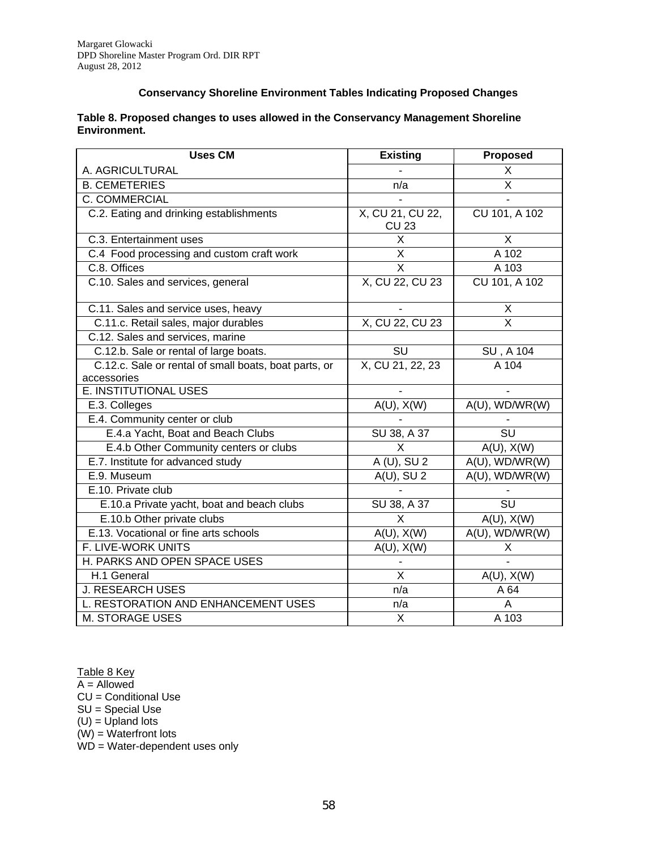#### **Conservancy Shoreline Environment Tables Indicating Proposed Changes**

| Table 8. Proposed changes to uses allowed in the Conservancy Management Shoreline |  |
|-----------------------------------------------------------------------------------|--|
| Environment.                                                                      |  |

| <b>Uses CM</b>                                        | <b>Existing</b>                   | <b>Proposed</b>                   |
|-------------------------------------------------------|-----------------------------------|-----------------------------------|
| A. AGRICULTURAL                                       |                                   | X                                 |
| <b>B. CEMETERIES</b>                                  | n/a                               | $\overline{\mathsf{x}}$           |
| C. COMMERCIAL                                         |                                   |                                   |
| C.2. Eating and drinking establishments               | X, CU 21, CU 22,<br><b>CU 23</b>  | CU 101, A 102                     |
| C.3. Entertainment uses                               | Χ                                 | X                                 |
| C.4 Food processing and custom craft work             | $\overline{\mathsf{x}}$           | A 102                             |
| C.8. Offices                                          | $\overline{X}$                    | A 103                             |
| C.10. Sales and services, general                     | X, CU 22, CU 23                   | CU 101, A 102                     |
| C.11. Sales and service uses, heavy                   |                                   | X                                 |
| C.11.c. Retail sales, major durables                  | X, CU 22, CU 23                   | X                                 |
| C.12. Sales and services, marine                      |                                   |                                   |
| C.12.b. Sale or rental of large boats.                | $\overline{\mathsf{S}\mathsf{U}}$ | <b>SU, A 104</b>                  |
| C.12.c. Sale or rental of small boats, boat parts, or | X, CU 21, 22, 23                  | A 104                             |
| accessories                                           |                                   |                                   |
| E. INSTITUTIONAL USES                                 |                                   |                                   |
| E.3. Colleges                                         | $A(U)$ , $X(W)$                   | A(U), WD/WR(W)                    |
| E.4. Community center or club                         |                                   |                                   |
| E.4.a Yacht, Boat and Beach Clubs                     | SU 38, A 37                       | $\overline{\text{SU}}$            |
| E.4.b Other Community centers or clubs                | X                                 | $A(U)$ , $X(W)$                   |
| E.7. Institute for advanced study                     | $A(U), \overline{SU2}$            | A(U), WD/WR(W)                    |
| E.9. Museum                                           | $A(U)$ , SU 2                     | A(U), WD/WR(W)                    |
| E.10. Private club                                    |                                   |                                   |
| E.10.a Private yacht, boat and beach clubs            | SU 38, A 37                       | $\overline{\mathsf{S}\mathsf{U}}$ |
| E.10.b Other private clubs                            | $\overline{X}$                    | $A(U)$ , $X(W)$                   |
| E.13. Vocational or fine arts schools                 | $A(U)$ , $X(W)$                   | $A(U)$ , WD/WR(W)                 |
| F. LIVE-WORK UNITS                                    | $A(U)$ , $X(W)$                   | Χ                                 |
| H. PARKS AND OPEN SPACE USES                          |                                   |                                   |
| H.1 General                                           | $\times$                          | $A(U)$ , $X(W)$                   |
| <b>J. RESEARCH USES</b>                               | $\overline{n/a}$                  | A 64                              |
| L. RESTORATION AND ENHANCEMENT USES                   | n/a                               | Α                                 |
| <b>M. STORAGE USES</b>                                | X                                 | A 103                             |

Table 8 Key

A = Allowed

CU = Conditional Use

SU = Special Use

 $(U)$  = Upland lots

(W) = Waterfront lots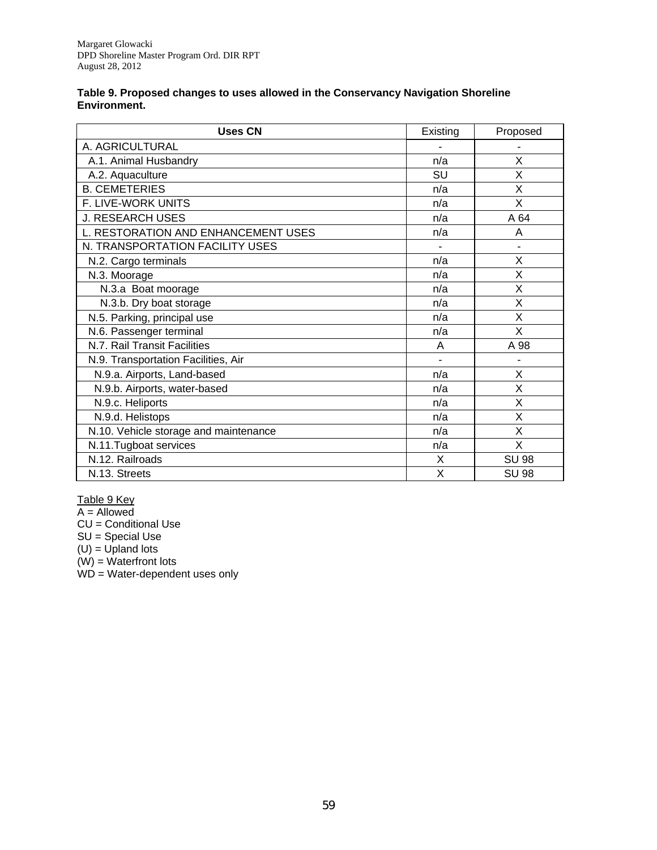#### **Table 9. Proposed changes to uses allowed in the Conservancy Navigation Shoreline Environment.**

| <b>Uses CN</b>                        | Existing | Proposed     |
|---------------------------------------|----------|--------------|
| A. AGRICULTURAL                       |          |              |
| A.1. Animal Husbandry                 | n/a      | X            |
| A.2. Aquaculture                      | SU       | X            |
| <b>B. CEMETERIES</b>                  | n/a      | X            |
| F. LIVE-WORK UNITS                    | n/a      | X            |
| <b>J. RESEARCH USES</b>               | n/a      | A 64         |
| L. RESTORATION AND ENHANCEMENT USES   | n/a      | A            |
| N. TRANSPORTATION FACILITY USES       |          |              |
| N.2. Cargo terminals                  | n/a      | X            |
| N.3. Moorage                          | n/a      | X            |
| N.3.a Boat moorage                    | n/a      | X            |
| N.3.b. Dry boat storage               | n/a      | X            |
| N.5. Parking, principal use           | n/a      | X            |
| N.6. Passenger terminal               | n/a      | X            |
| N.7. Rail Transit Facilities          | A        | A 98         |
| N.9. Transportation Facilities, Air   | ÷.       |              |
| N.9.a. Airports, Land-based           | n/a      | X            |
| N.9.b. Airports, water-based          | n/a      | X            |
| N.9.c. Heliports                      | n/a      | $\times$     |
| N.9.d. Helistops                      | n/a      | X            |
| N.10. Vehicle storage and maintenance | n/a      | X            |
| N.11. Tugboat services                | n/a      | X            |
| N.12. Railroads                       | X        | <b>SU 98</b> |
| N.13. Streets                         | X        | <b>SU 98</b> |

Table 9 Key

A = Allowed

CU = Conditional Use

SU = Special Use

 $(U)$  = Upland lots (W) = Waterfront lots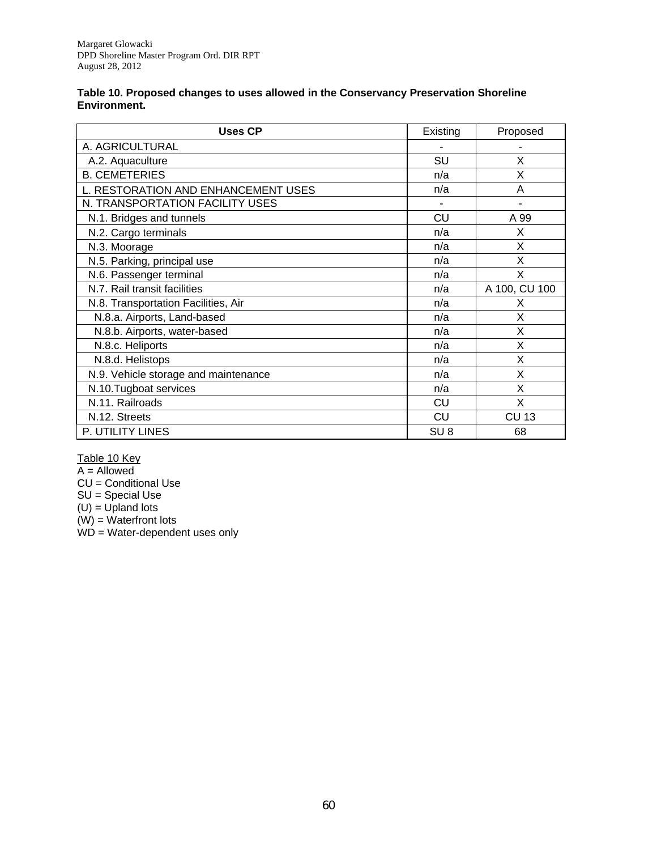| Table 10. Proposed changes to uses allowed in the Conservancy Preservation Shoreline |  |
|--------------------------------------------------------------------------------------|--|
| Environment.                                                                         |  |

| <b>Uses CP</b>                       | Existing        | Proposed      |
|--------------------------------------|-----------------|---------------|
| A. AGRICULTURAL                      |                 |               |
| A.2. Aquaculture                     | SU              | X             |
| <b>B. CEMETERIES</b>                 | n/a             | X             |
| L. RESTORATION AND ENHANCEMENT USES  | n/a             | A             |
| N. TRANSPORTATION FACILITY USES      |                 |               |
| N.1. Bridges and tunnels             | CU              | A 99          |
| N.2. Cargo terminals                 | n/a             | X             |
| N.3. Moorage                         | n/a             | X             |
| N.5. Parking, principal use          | n/a             | X             |
| N.6. Passenger terminal              | n/a             | x             |
| N.7. Rail transit facilities         | n/a             | A 100, CU 100 |
| N.8. Transportation Facilities, Air  | n/a             | x             |
| N.8.a. Airports, Land-based          | n/a             | x             |
| N.8.b. Airports, water-based         | n/a             | X             |
| N.8.c. Heliports                     | n/a             | Χ             |
| N.8.d. Helistops                     | n/a             | X             |
| N.9. Vehicle storage and maintenance | n/a             | Χ             |
| N.10.Tugboat services                | n/a             | X             |
| N.11. Railroads                      | CU              | Χ             |
| N.12. Streets                        | CU              | <b>CU 13</b>  |
| P. UTILITY LINES                     | SU <sub>8</sub> | 68            |

Table 10 Key

A = Allowed

CU = Conditional Use

SU = Special Use

 $(U)$  = Upland lots

(W) = Waterfront lots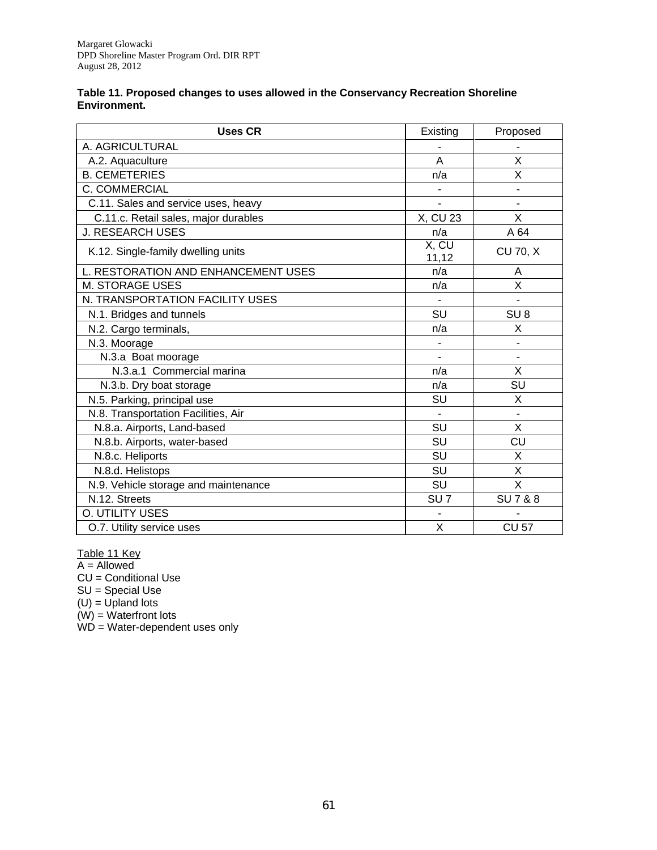| Table 11. Proposed changes to uses allowed in the Conservancy Recreation Shoreline |
|------------------------------------------------------------------------------------|
| Environment.                                                                       |

| <b>Uses CR</b>                       | Existing        | Proposed                 |
|--------------------------------------|-----------------|--------------------------|
| A. AGRICULTURAL                      |                 |                          |
| A.2. Aquaculture                     | A               | X                        |
| <b>B. CEMETERIES</b>                 | n/a             | X                        |
| C. COMMERCIAL                        |                 |                          |
| C.11. Sales and service uses, heavy  |                 |                          |
| C.11.c. Retail sales, major durables | X, CU 23        | X                        |
| <b>J. RESEARCH USES</b>              | n/a             | A 64                     |
| K.12. Single-family dwelling units   | X, CU<br>11,12  | <b>CU 70, X</b>          |
| L. RESTORATION AND ENHANCEMENT USES  | n/a             | Α                        |
| M. STORAGE USES                      | n/a             | X                        |
| N. TRANSPORTATION FACILITY USES      |                 |                          |
| N.1. Bridges and tunnels             | <b>SU</b>       | SU <sub>8</sub>          |
| N.2. Cargo terminals,                | n/a             | X                        |
| N.3. Moorage                         |                 |                          |
| N.3.a Boat moorage                   |                 | $\overline{\phantom{0}}$ |
| N.3.a.1 Commercial marina            | n/a             | X                        |
| N.3.b. Dry boat storage              | n/a             | SU                       |
| N.5. Parking, principal use          | SU              | Χ                        |
| N.8. Transportation Facilities, Air  |                 |                          |
| N.8.a. Airports, Land-based          | <b>SU</b>       | X                        |
| N.8.b. Airports, water-based         | <b>SU</b>       | CU                       |
| N.8.c. Heliports                     | SU              | X                        |
| N.8.d. Helistops                     | SU              | X                        |
| N.9. Vehicle storage and maintenance | SU              | X                        |
| N.12. Streets                        | SU <sub>7</sub> | <b>SU7&amp;8</b>         |
| O. UTILITY USES                      |                 |                          |
| O.7. Utility service uses            | X               | <b>CU 57</b>             |

Table 11 Key

A = Allowed

CU = Conditional Use

SU = Special Use

 $(U)$  = Upland lots

(W) = Waterfront lots